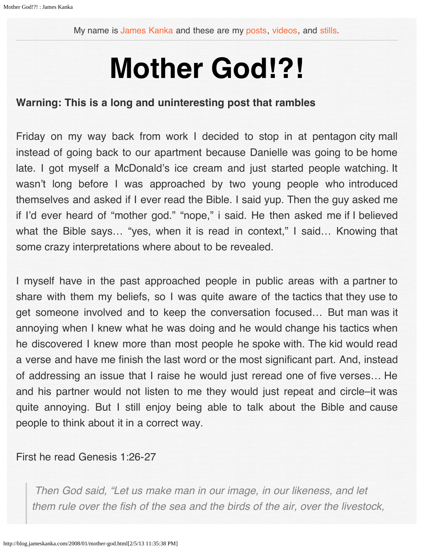My name is [James Kanka](mailto:james.kanka@gmail.com) and these are my [posts,](http://blog.jameskanka.com/) [videos](http://blog.jameskanka.com/reels), and [stills](http://blog.jameskanka.com/photo).

# **Mother God!?!**

## **Warning: This is a long and uninteresting post that rambles**

Friday on my way back from work I decided to stop in at pentagon city mall instead of going back to our apartment because Danielle was going to be home late. I got myself a McDonald's ice cream and just started people watching. It wasn't long before I was approached by two young people who introduced themselves and asked if I ever read the Bible. I said yup. Then the guy asked me if I'd ever heard of "mother god." "nope," i said. He then asked me if I believed what the Bible says... "yes, when it is read in context," I said... Knowing that some crazy interpretations where about to be revealed.

I myself have in the past approached people in public areas with a partner to share with them my beliefs, so I was quite aware of the tactics that they use to get someone involved and to keep the conversation focused… But man was it annoying when I knew what he was doing and he would change his tactics when he discovered I knew more than most people he spoke with. The kid would read a verse and have me finish the last word or the most significant part. And, instead of addressing an issue that I raise he would just reread one of five verses… He and his partner would not listen to me they would just repeat and circle–it was quite annoying. But I still enjoy being able to talk about the Bible and cause people to think about it in a correct way.

First he read Genesis 1:26-27

 *Then God said, "Let us make man in our image, in our likeness, and let them rule over the fish of the sea and the birds of the air, over the livestock,*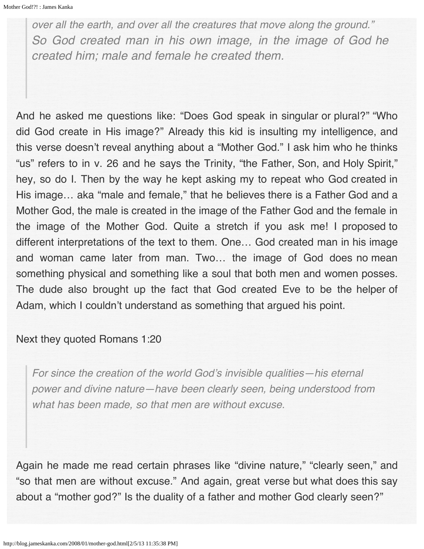*over all the earth, and over all the creatures that move along the ground." So God created man in his own image, in the image of God he created him; male and female he created them.*

And he asked me questions like: "Does God speak in singular or plural?" "Who did God create in His image?" Already this kid is insulting my intelligence, and this verse doesn't reveal anything about a "Mother God." I ask him who he thinks "us" refers to in v. 26 and he says the Trinity, "the Father, Son, and Holy Spirit," hey, so do I. Then by the way he kept asking my to repeat who God created in His image… aka "male and female," that he believes there is a Father God and a Mother God, the male is created in the image of the Father God and the female in the image of the Mother God. Quite a stretch if you ask me! I proposed to different interpretations of the text to them. One… God created man in his image and woman came later from man. Two… the image of God does no mean something physical and something like a soul that both men and women posses. The dude also brought up the fact that God created Eve to be the helper of Adam, which I couldn't understand as something that argued his point.

## Next they quoted Romans 1:20

For since the creation of the world God's invisible qualities—his eternal power and divine nature—have been clearly seen, being understood from *what has been made, so that men are without excuse.*

Again he made me read certain phrases like "divine nature," "clearly seen," and "so that men are without excuse." And again, great verse but what does this say about a "mother god?" Is the duality of a father and mother God clearly seen?"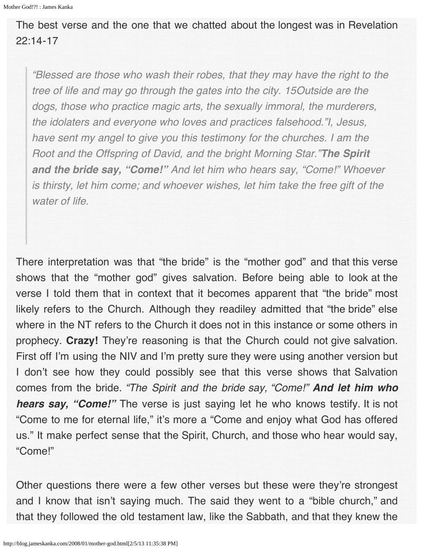The best verse and the one that we chatted about the longest was in Revelation 22:14-17

"Blessed are those who wash their robes, that they may have the right to the tree of life and may go through the gates into the city. *15Outside are the* dogs, those who practice magic arts, the sexually immoral, the murderers, the idolaters and everyone who loves and practices falsehood."I, Jesus, have sent my angel to give you this testimony for the churches. I am the *Root and the Offspring of David, and the bright Morning Star."The Spirit and the bride say, "Come!"* And let him who hears say, "Come!" Whoever is thirsty, let him come; and whoever wishes, let him take the free gift of the *water of life.*

There interpretation was that "the bride" is the "mother god" and that this verse shows that the "mother god" gives salvation. Before being able to look at the verse I told them that in context that it becomes apparent that "the bride" most likely refers to the Church. Although they readiley admitted that "the bride" else where in the NT refers to the Church it does not in this instance or some others in prophecy. **Crazy!** They're reasoning is that the Church could not give salvation. First off I'm using the NIV and I'm pretty sure they were using another version but I don't see how they could possibly see that this verse shows that Salvation comes from the bride. "The Spirit and the bride say, "Come!" *And let him who hears say, "Come!"* The verse is just saying let he who knows testify. It is not "Come to me for eternal life," it's more a "Come and enjoy what God has offered us." It make perfect sense that the Spirit, Church, and those who hear would say, "Come!"

Other questions there were a few other verses but these were they're strongest and I know that isn't saying much. The said they went to a "bible church," and that they followed the old testament law, like the Sabbath, and that they knew the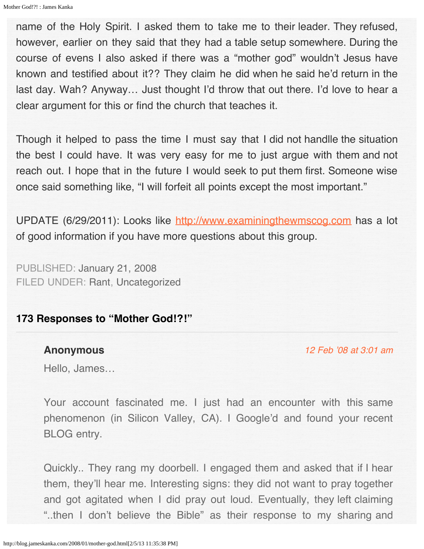name of the Holy Spirit. I asked them to take me to their leader. They refused, however, earlier on they said that they had a table setup somewhere. During the course of evens I also asked if there was a "mother god" wouldn't Jesus have known and testified about it?? They claim he did when he said he'd return in the last day. Wah? Anyway… Just thought I'd throw that out there. I'd love to hear a clear argument for this or find the church that teaches it.

Though it helped to pass the time I must say that I did not handlle the situation the best I could have. It was very easy for me to just argue with them and not reach out. I hope that in the future I would seek to put them first. Someone wise once said something like, "I will forfeit all points except the most important."

UPDATE (6/29/2011): Looks like [http://www.examiningthewmscog.com](http://www.examiningthewmscog.com/) has a lot of good information if you have more questions about this group.

PUBLISHED: [January 21, 2008](http://blog.jameskanka.com/2008/01/21) FILED UNDER: [Rant](http://blog.jameskanka.com/category/rant), [Uncategorized](http://blog.jameskanka.com/category/uncategorized)

# **173 Responses to "Mother God!?!"**

#### **Anonymous**

[12 Feb '08 at 3:01 am](#page-6-0)

Hello, James…

Your account fascinated me. I just had an encounter with this same phenomenon (in Silicon Valley, CA). I Google'd and found your recent BLOG entry.

Quickly.. They rang my doorbell. I engaged them and asked that if I hear them, they'll hear me. Interesting signs: they did not want to pray together and got agitated when I did pray out loud. Eventually, they left claiming "..then I don't believe the Bible" as their response to my sharing and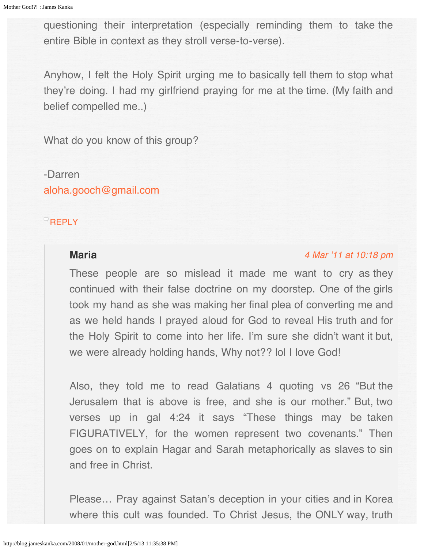questioning their interpretation (especially reminding them to take the entire Bible in context as they stroll verse-to-verse).

Anyhow, I felt the Holy Spirit urging me to basically tell them to stop what they're doing. I had my girlfriend praying for me at the time. (My faith and belief compelled me..)

What do you know of this group?

-Darren [aloha.gooch@gmail.com](mailto:aloha.gooch@gmail.com)

## **[REPLY](http://blog.jameskanka.com/2008/01/mother-god.html?replytocom=25#respond)**

# **Maria**

## [4 Mar '11 at 10:18 pm](#page-5-0)

These people are so mislead it made me want to cry as they continued with their false doctrine on my doorstep. One of the girls took my hand as she was making her final plea of converting me and as we held hands I prayed aloud for God to reveal His truth and for the Holy Spirit to come into her life. I'm sure she didn't want it but, we were already holding hands, Why not?? lol I love God!

Also, they told me to read Galatians 4 quoting vs 26 "But the Jerusalem that is above is free, and she is our mother." But, two verses up in gal 4:24 it says "These things may be taken FIGURATIVELY, for the women represent two covenants." Then goes on to explain Hagar and Sarah metaphorically as slaves to sin and free in Christ.

Please… Pray against Satan's deception in your cities and in Korea where this cult was founded. To Christ Jesus, the ONLY way, truth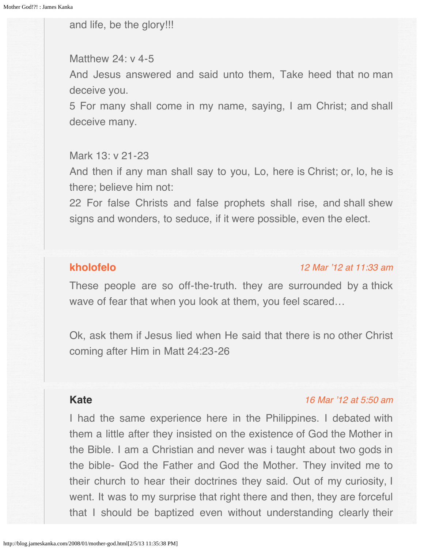<span id="page-5-0"></span>and life, be the glory!!!

## Matthew 24: v 4-5

And Jesus answered and said unto them, Take heed that no man deceive you.

5 For many shall come in my name, saying, I am Christ; and shall deceive many.

## Mark 13: v 21-23

And then if any man shall say to you, Lo, here is Christ; or, lo, he is there; believe him not:

22 For false Christs and false prophets shall rise, and shall shew signs and wonders, to seduce, if it were possible, even the elect.

# <span id="page-5-1"></span>**[kholofelo](http://people.cs.uct.ac.za/~mlmkho004)**

## [12 Mar '12 at 11:33 am](#page-5-1)

These people are so off-the-truth. they are surrounded by a thick wave of fear that when you look at them, you feel scared…

Ok, ask them if Jesus lied when He said that there is no other Christ coming after Him in Matt 24:23-26

# **Kate**

## [16 Mar '12 at 5:50 am](#page-6-1)

I had the same experience here in the Philippines. I debated with them a little after they insisted on the existence of God the Mother in the Bible. I am a Christian and never was i taught about two gods in the bible- God the Father and God the Mother. They invited me to their church to hear their doctrines they said. Out of my curiosity, I went. It was to my surprise that right there and then, they are forceful that I should be baptized even without understanding clearly their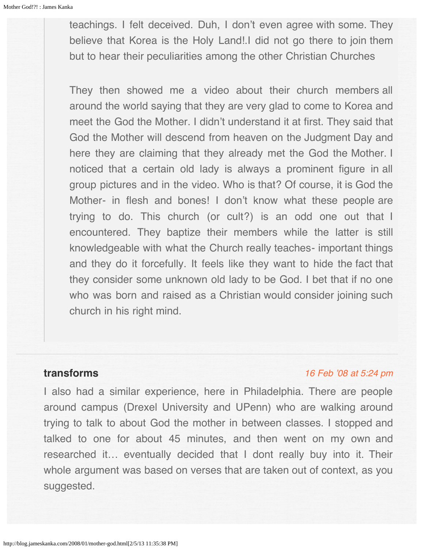<span id="page-6-1"></span><span id="page-6-0"></span>teachings. I felt deceived. Duh, I don't even agree with some. They believe that Korea is the Holy Land!.I did not go there to join them but to hear their peculiarities among the other Christian Churches

They then showed me a video about their church members all around the world saying that they are very glad to come to Korea and meet the God the Mother. I didn't understand it at first. They said that God the Mother will descend from heaven on the Judgment Day and here they are claiming that they already met the God the Mother. I noticed that a certain old lady is always a prominent figure in all group pictures and in the video. Who is that? Of course, it is God the Mother- in flesh and bones! I don't know what these people are trying to do. This church (or cult?) is an odd one out that I encountered. They baptize their members while the latter is still knowledgeable with what the Church really teaches- important things and they do it forcefully. It feels like they want to hide the fact that they consider some unknown old lady to be God. I bet that if no one who was born and raised as a Christian would consider joining such church in his right mind.

## **transforms**

#### [16 Feb '08 at 5:24 pm](#page-7-0)

I also had a similar experience, here in Philadelphia. There are people around campus (Drexel University and UPenn) who are walking around trying to talk to about God the mother in between classes. I stopped and talked to one for about 45 minutes, and then went on my own and researched it… eventually decided that I dont really buy into it. Their whole argument was based on verses that are taken out of context, as you suggested.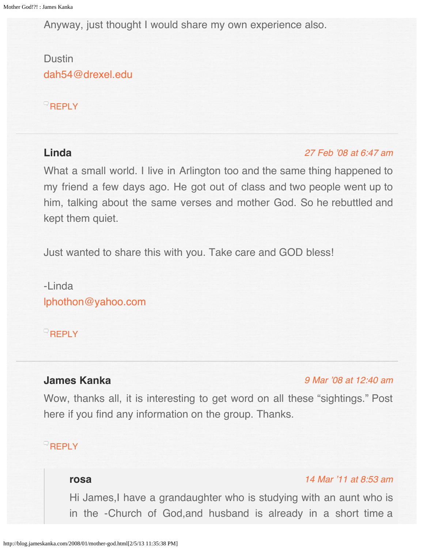<span id="page-7-0"></span>Anyway, just thought I would share my own experience also.

# Dustin [dah54@drexel.edu](mailto:dah54@drexel.edu)

## **[REPLY](http://blog.jameskanka.com/2008/01/mother-god.html?replytocom=26#respond)**

# <span id="page-7-1"></span>**Linda**

## [27 Feb '08 at 6:47 am](#page-7-1)

What a small world. I live in Arlington too and the same thing happened to my friend a few days ago. He got out of class and two people went up to him, talking about the same verses and mother God. So he rebuttled and kept them quiet.

Just wanted to share this with you. Take care and GOD bless!

-Linda [lphothon@yahoo.com](mailto:lphothon@yahoo.com)

**[REPLY](http://blog.jameskanka.com/2008/01/mother-god.html?replytocom=27#respond)** 

# **James Kanka**

## [9 Mar '08 at 12:40 am](#page-9-0)

Wow, thanks all, it is interesting to get word on all these "sightings." Post here if you find any information on the group. Thanks.

# **[REPLY](http://blog.jameskanka.com/2008/01/mother-god.html?replytocom=28#respond)**

## **rosa**

## [14 Mar '11 at 8:53 am](#page-8-0)

Hi James,I have a grandaughter who is studying with an aunt who is in the -Church of God,and husband is already in a short time a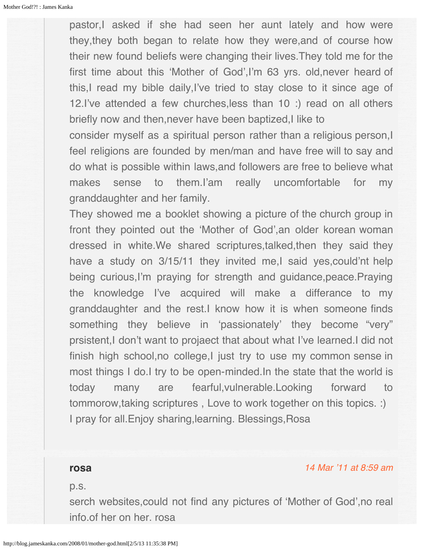<span id="page-8-0"></span>pastor,I asked if she had seen her aunt lately and how were they,they both began to relate how they were,and of course how their new found beliefs were changing their lives.They told me for the first time about this 'Mother of God',I'm 63 yrs. old,never heard of this,I read my bible daily,I've tried to stay close to it since age of 12.I've attended a few churches,less than 10 :) read on all others briefly now and then,never have been baptized,I like to

consider myself as a spiritual person rather than a religious person, I feel religions are founded by men/man and have free will to say and do what is possible within laws,and followers are free to believe what makes sense to them.I'am really uncomfortable for my granddaughter and her family.

They showed me a booklet showing a picture of the church group in front they pointed out the 'Mother of God',an older korean woman dressed in white.We shared scriptures,talked,then they said they have a study on 3/15/11 they invited me,I said yes, could'nt help being curious,I'm praying for strength and guidance,peace.Praying the knowledge I've acquired will make a differance to my granddaughter and the rest.I know how it is when someone finds something they believe in 'passionately' they become "very" prsistent,I don't want to projaect that about what I've learned.I did not finish high school, no college, I just try to use my common sense in most things I do.I try to be open-minded.In the state that the world is today many are fearful,vulnerable.Looking forward to tommorow,taking scriptures , Love to work together on this topics. :) I pray for all.Enjoy sharing,learning. Blessings,Rosa

#### **rosa**

p.s.

serch websites,could not find any pictures of 'Mother of God',no real info.of her on her. rosa

[14 Mar '11 at 8:59 am](#page-9-1)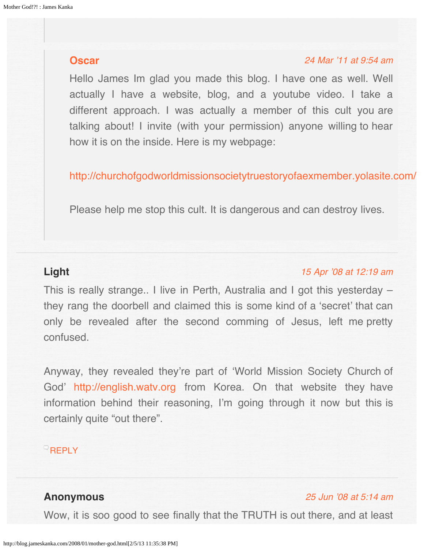## <span id="page-9-2"></span><span id="page-9-1"></span><span id="page-9-0"></span>**[Oscar](http://www.yahoo.com/)**

#### [24 Mar '11 at 9:54 am](#page-9-2)

Hello James Im glad you made this blog. I have one as well. Well actually I have a website, blog, and a youtube video. I take a different approach. I was actually a member of this cult you are talking about! I invite (with your permission) anyone willing to hear how it is on the inside. Here is my webpage:

<http://churchofgodworldmissionsocietytruestoryofaexmember.yolasite.com/>

Please help me stop this cult. It is dangerous and can destroy lives.

# <span id="page-9-3"></span>**Light**

#### [15 Apr '08 at 12:19 am](#page-9-3)

This is really strange.. I live in Perth, Australia and I got this yesterday – they rang the doorbell and claimed this is some kind of a 'secret' that can only be revealed after the second comming of Jesus, left me pretty confused.

Anyway, they revealed they're part of 'World Mission Society Church of God' [http://english.watv.org](http://english.watv.org/) from Korea. On that website they have information behind their reasoning, I'm going through it now but this is certainly quite "out there".

## **[REPLY](http://blog.jameskanka.com/2008/01/mother-god.html?replytocom=33#respond)**

# **Anonymous**

#### [25 Jun '08 at 5:14 am](#page-10-0)

Wow, it is soo good to see finally that the TRUTH is out there, and at least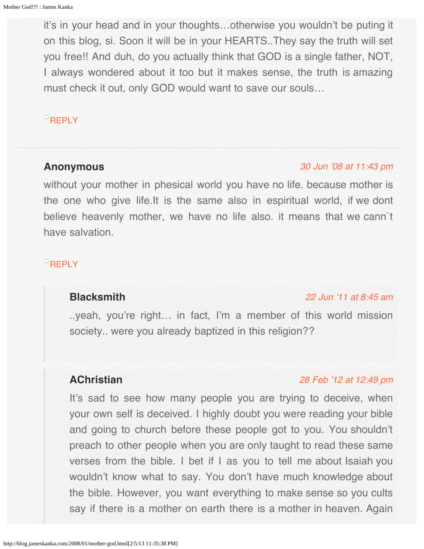<span id="page-10-0"></span>it's in your head and in your thoughts…otherwise you wouldn't be puting it on this blog, si. Soon it will be in your HEARTS..They say the truth will set you free!! And duh, do you actually think that GOD is a single father, NOT, I always wondered about it too but it makes sense, the truth is amazing must check it out, only GOD would want to save our souls…

## $R$ [REPLY](http://blog.jameskanka.com/2008/01/mother-god.html?replytocom=42#respond)

#### **Anonymous**

#### [30 Jun '08 at 11:43 pm](#page-13-0)

without your mother in phesical world you have no life. because mother is the one who give life.It is the same also in espiritual world, if we dont believe heavenly mother, we have no life also. it means that we cann`t have salvation.

# <span id="page-10-1"></span>**[REPLY](http://blog.jameskanka.com/2008/01/mother-god.html?replytocom=43#respond)**

# **Blacksmith**

#### [22 Jun '11 at 8:45 am](#page-10-1)

..yeah, you're right… in fact, I'm a member of this world mission society.. were you already baptized in this religion??

## **AChristian**

### [28 Feb '12 at 12:49 pm](#page-11-0)

It's sad to see how many people you are trying to deceive, when your own self is deceived. I highly doubt you were reading your bible and going to church before these people got to you. You shouldn't preach to other people when you are only taught to read these same verses from the bible. I bet if I as you to tell me about Isaiah you wouldn't know what to say. You don't have much knowledge about the bible. However, you want everything to make sense so you cults say if there is a mother on earth there is a mother in heaven. Again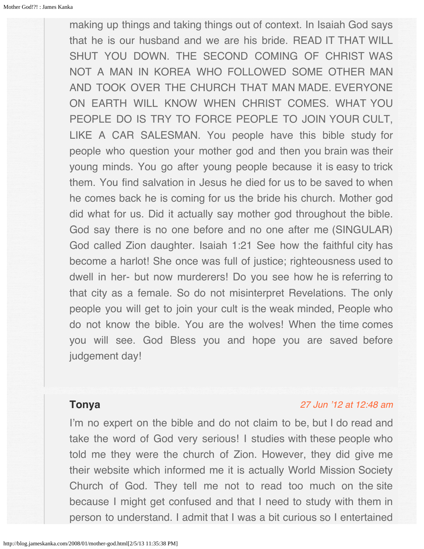<span id="page-11-0"></span>making up things and taking things out of context. In Isaiah God says that he is our husband and we are his bride. READ IT THAT WILL SHUT YOU DOWN. THE SECOND COMING OF CHRIST WAS NOT A MAN IN KOREA WHO FOLLOWED SOME OTHER MAN AND TOOK OVER THE CHURCH THAT MAN MADE. EVERYONE ON EARTH WILL KNOW WHEN CHRIST COMES. WHAT YOU PEOPLE DO IS TRY TO FORCE PEOPLE TO JOIN YOUR CULT, LIKE A CAR SALESMAN. You people have this bible study for people who question your mother god and then you brain was their young minds. You go after young people because it is easy to trick them. You find salvation in Jesus he died for us to be saved to when he comes back he is coming for us the bride his church. Mother god did what for us. Did it actually say mother god throughout the bible. God say there is no one before and no one after me (SINGULAR) God called Zion daughter. Isaiah 1:21 See how the faithful city has become a harlot! She once was full of justice; righteousness used to dwell in her- but now murderers! Do you see how he is referring to that city as a female. So do not misinterpret Revelations. The only people you will get to join your cult is the weak minded, People who do not know the bible. You are the wolves! When the time comes you will see. God Bless you and hope you are saved before judgement day!

## **Tonya**

#### [27 Jun '12 at 12:48 am](#page-12-0)

I'm no expert on the bible and do not claim to be, but I do read and take the word of God very serious! I studies with these people who told me they were the church of Zion. However, they did give me their website which informed me it is actually World Mission Society Church of God. They tell me not to read too much on the site because I might get confused and that I need to study with them in person to understand. I admit that I was a bit curious so I entertained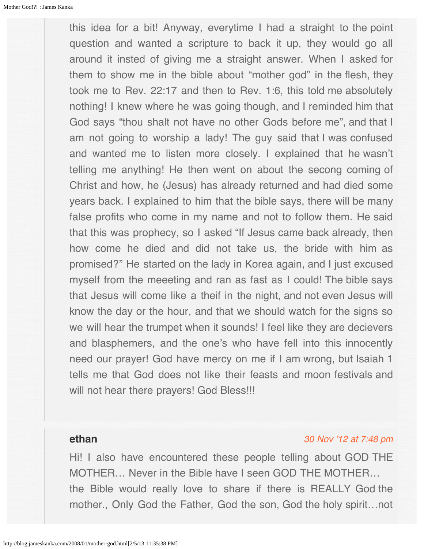<span id="page-12-0"></span>this idea for a bit! Anyway, everytime I had a straight to the point question and wanted a scripture to back it up, they would go all around it insted of giving me a straight answer. When I asked for them to show me in the bible about "mother god" in the flesh, they took me to Rev. 22:17 and then to Rev. 1:6, this told me absolutely nothing! I knew where he was going though, and I reminded him that God says "thou shalt not have no other Gods before me", and that I am not going to worship a lady! The guy said that I was confused and wanted me to listen more closely. I explained that he wasn't telling me anything! He then went on about the secong coming of Christ and how, he (Jesus) has already returned and had died some years back. I explained to him that the bible says, there will be many false profits who come in my name and not to follow them. He said that this was prophecy, so I asked "If Jesus came back already, then how come he died and did not take us, the bride with him as promised?" He started on the lady in Korea again, and I just excused myself from the meeeting and ran as fast as I could! The bible says that Jesus will come like a theif in the night, and not even Jesus will know the day or the hour, and that we should watch for the signs so we will hear the trumpet when it sounds! I feel like they are decievers and blasphemers, and the one's who have fell into this innocently need our prayer! God have mercy on me if I am wrong, but Isaiah 1 tells me that God does not like their feasts and moon festivals and will not hear there prayers! God Bless!!!

# **ethan**

#### [30 Nov '12 at 7:48 pm](#page-13-1)

Hi! I also have encountered these people telling about GOD THE MOTHER… Never in the Bible have I seen GOD THE MOTHER… the Bible would really love to share if there is REALLY God the mother., Only God the Father, God the son, God the holy spirit…not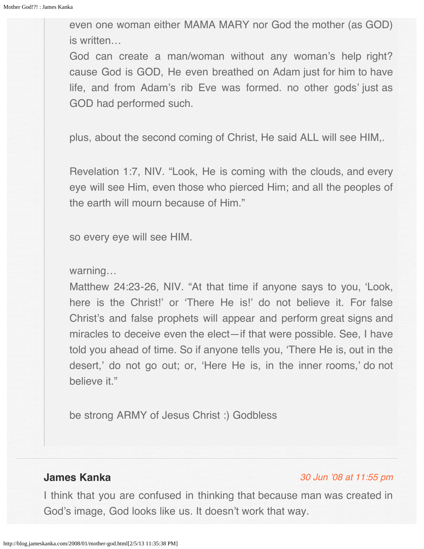<span id="page-13-1"></span><span id="page-13-0"></span>even one woman either MAMA MARY nor God the mother (as GOD) is written…

God can create a man/woman without any woman's help right? cause God is GOD, He even breathed on Adam just for him to have life, and from Adam's rib Eve was formed. no other gods' just as GOD had performed such.

plus, about the second coming of Christ, He said ALL will see HIM,.

Revelation 1:7, NIV. "Look, He is coming with the clouds, and every eye will see Him, even those who pierced Him; and all the peoples of the earth will mourn because of Him."

so every eye will see HIM.

## warning…

Matthew 24:23-26, NIV. "At that time if anyone says to you, 'Look, here is the Christ!' or 'There He is!' do not believe it. For false Christ's and false prophets will appear and perform great signs and miracles to deceive even the elect—if that were possible. See, I have told you ahead of time. So if anyone tells you, 'There He is, out in the desert,' do not go out; or, 'Here He is, in the inner rooms,' do not believe it."

be strong ARMY of Jesus Christ :) Godbless

# **James Kanka**

#### [30 Jun '08 at 11:55 pm](#page-14-0)

I think that you are confused in thinking that because man was created in God's image, God looks like us. It doesn't work that way.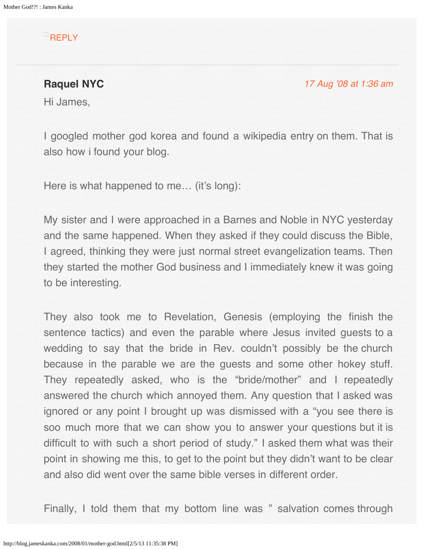## <span id="page-14-0"></span>**[REPLY](http://blog.jameskanka.com/2008/01/mother-god.html?replytocom=44#respond)**

**Raquel NYC**

[17 Aug '08 at 1:36 am](#page-17-0)

Hi James,

I googled mother god korea and found a wikipedia entry on them. That is also how i found your blog.

Here is what happened to me... (it's long):

My sister and I were approached in a Barnes and Noble in NYC yesterday and the same happened. When they asked if they could discuss the Bible, I agreed, thinking they were just normal street evangelization teams. Then they started the mother God business and I immediately knew it was going to be interesting.

They also took me to Revelation, Genesis (employing the finish the sentence tactics) and even the parable where Jesus invited guests to a wedding to say that the bride in Rev. couldn't possibly be the church because in the parable we are the guests and some other hokey stuff. They repeatedly asked, who is the "bride/mother" and I repeatedly answered the church which annoyed them. Any question that I asked was ignored or any point I brought up was dismissed with a "you see there is soo much more that we can show you to answer your questions but it is difficult to with such a short period of study." I asked them what was their point in showing me this, to get to the point but they didn't want to be clear and also did went over the same bible verses in different order.

Finally, I told them that my bottom line was " salvation comes through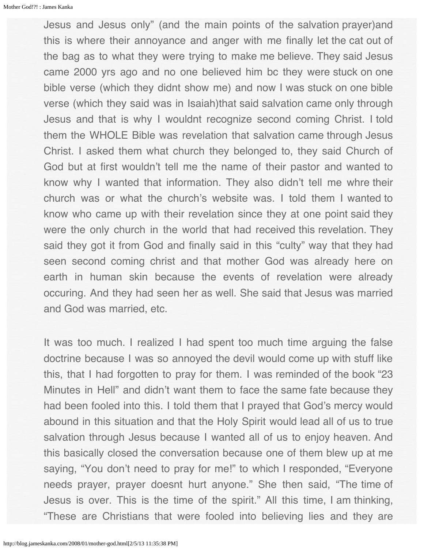Jesus and Jesus only" (and the main points of the salvation prayer)and this is where their annoyance and anger with me finally let the cat out of the bag as to what they were trying to make me believe. They said Jesus came 2000 yrs ago and no one believed him bc they were stuck on one bible verse (which they didnt show me) and now I was stuck on one bible verse (which they said was in Isaiah)that said salvation came only through Jesus and that is why I wouldnt recognize second coming Christ. I told them the WHOLE Bible was revelation that salvation came through Jesus Christ. I asked them what church they belonged to, they said Church of God but at first wouldn't tell me the name of their pastor and wanted to know why I wanted that information. They also didn't tell me whre their church was or what the church's website was. I told them I wanted to know who came up with their revelation since they at one point said they were the only church in the world that had received this revelation. They said they got it from God and finally said in this "culty" way that they had seen second coming christ and that mother God was already here on earth in human skin because the events of revelation were already occuring. And they had seen her as well. She said that Jesus was married and God was married, etc.

It was too much. I realized I had spent too much time arguing the false doctrine because I was so annoyed the devil would come up with stuff like this, that I had forgotten to pray for them. I was reminded of the book "23 Minutes in Hell" and didn't want them to face the same fate because they had been fooled into this. I told them that I prayed that God's mercy would abound in this situation and that the Holy Spirit would lead all of us to true salvation through Jesus because I wanted all of us to enjoy heaven. And this basically closed the conversation because one of them blew up at me saying, "You don't need to pray for me!" to which I responded, "Everyone needs prayer, prayer doesnt hurt anyone." She then said, "The time of Jesus is over. This is the time of the spirit." All this time, I am thinking, "These are Christians that were fooled into believing lies and they are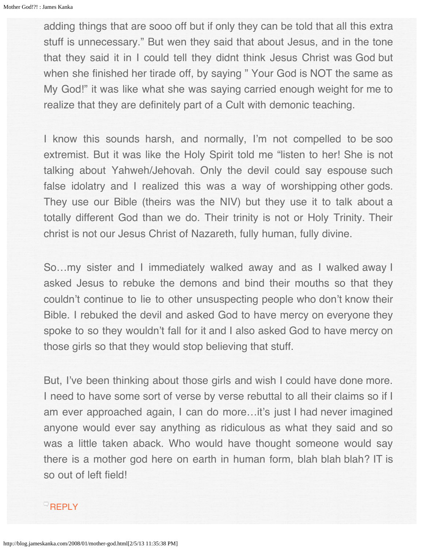adding things that are sooo off but if only they can be told that all this extra stuff is unnecessary." But wen they said that about Jesus, and in the tone that they said it in I could tell they didnt think Jesus Christ was God but when she finished her tirade off, by saying " Your God is NOT the same as My God!" it was like what she was saying carried enough weight for me to realize that they are definitely part of a Cult with demonic teaching.

I know this sounds harsh, and normally, I'm not compelled to be soo extremist. But it was like the Holy Spirit told me "listen to her! She is not talking about Yahweh/Jehovah. Only the devil could say espouse such false idolatry and I realized this was a way of worshipping other gods. They use our Bible (theirs was the NIV) but they use it to talk about a totally different God than we do. Their trinity is not or Holy Trinity. Their christ is not our Jesus Christ of Nazareth, fully human, fully divine.

So…my sister and I immediately walked away and as I walked away I asked Jesus to rebuke the demons and bind their mouths so that they couldn't continue to lie to other unsuspecting people who don't know their Bible. I rebuked the devil and asked God to have mercy on everyone they spoke to so they wouldn't fall for it and I also asked God to have mercy on those girls so that they would stop believing that stuff.

But, I've been thinking about those girls and wish I could have done more. I need to have some sort of verse by verse rebuttal to all their claims so if I am ever approached again, I can do more…it's just I had never imagined anyone would ever say anything as ridiculous as what they said and so was a little taken aback. Who would have thought someone would say there is a mother god here on earth in human form, blah blah blah? IT is so out of left field!

## $\overline{\phantom{a}}$ [REPLY](http://blog.jameskanka.com/2008/01/mother-god.html?replytocom=55#respond)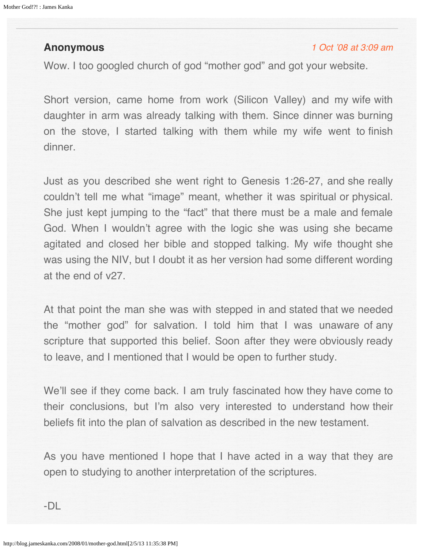## <span id="page-17-0"></span>**Anonymous**

#### [1 Oct '08 at 3:09 am](#page-18-0)

Wow. I too googled church of god "mother god" and got your website.

Short version, came home from work (Silicon Valley) and my wife with daughter in arm was already talking with them. Since dinner was burning on the stove, I started talking with them while my wife went to finish dinner.

Just as you described she went right to Genesis 1:26-27, and she really couldn't tell me what "image" meant, whether it was spiritual or physical. She just kept jumping to the "fact" that there must be a male and female God. When I wouldn't agree with the logic she was using she became agitated and closed her bible and stopped talking. My wife thought she was using the NIV, but I doubt it as her version had some different wording at the end of v27.

At that point the man she was with stepped in and stated that we needed the "mother god" for salvation. I told him that I was unaware of any scripture that supported this belief. Soon after they were obviously ready to leave, and I mentioned that I would be open to further study.

We'll see if they come back. I am truly fascinated how they have come to their conclusions, but I'm also very interested to understand how their beliefs fit into the plan of salvation as described in the new testament.

As you have mentioned I hope that I have acted in a way that they are open to studying to another interpretation of the scriptures.

-DL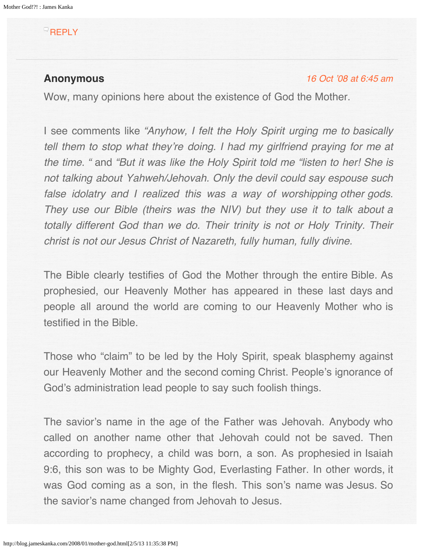# <span id="page-18-0"></span>**[REPLY](http://blog.jameskanka.com/2008/01/mother-god.html?replytocom=70#respond)**

## **Anonymous**

#### [16 Oct '08 at 6:45 am](#page-21-0)

Wow, many opinions here about the existence of God the Mother.

I see comments like "Anyhow, I felt the Holy Spirit urging me to basically tell them to stop what they're doing. I had my girlfriend praying for me at *the time. "* and "But it was like the Holy Spirit told me "listen to her! She is not talking about Yahweh/Jehovah. Only the devil could say espouse such false idolatry and I realized this was a way of worshipping other gods. They use our Bible (theirs was the NIV) but they use it to talk about a totally different God than we do. Their trinity is not or Holy Trinity. Their christ is not our Jesus Christ of Nazareth, fully human, fully divine.

The Bible clearly testifies of God the Mother through the entire Bible. As prophesied, our Heavenly Mother has appeared in these last days and people all around the world are coming to our Heavenly Mother who is testified in the Bible.

Those who "claim" to be led by the Holy Spirit, speak blasphemy against our Heavenly Mother and the second coming Christ. People's ignorance of God's administration lead people to say such foolish things.

The savior's name in the age of the Father was Jehovah. Anybody who called on another name other that Jehovah could not be saved. Then according to prophecy, a child was born, a son. As prophesied in Isaiah 9:6, this son was to be Mighty God, Everlasting Father. In other words, it was God coming as a son, in the flesh. This son's name was Jesus. So the savior's name changed from Jehovah to Jesus.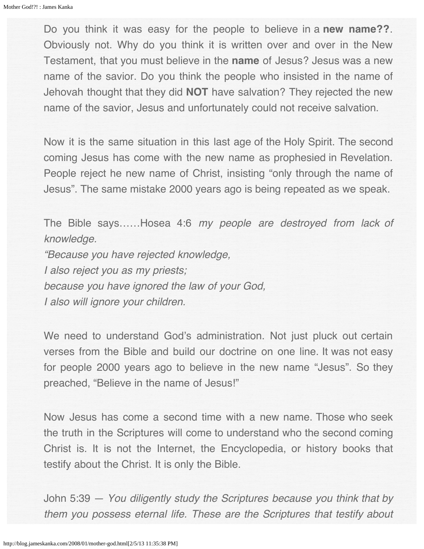Do you think it was easy for the people to believe in a **new name??**. Obviously not. Why do you think it is written over and over in the New Testament, that you must believe in the **name** of Jesus? Jesus was a new name of the savior. Do you think the people who insisted in the name of Jehovah thought that they did **NOT** have salvation? They rejected the new name of the savior, Jesus and unfortunately could not receive salvation.

Now it is the same situation in this last age of the Holy Spirit. The second coming Jesus has come with the new name as prophesied in Revelation. People reject he new name of Christ, insisting "only through the name of Jesus". The same mistake 2000 years ago is being repeated as we speak.

The Bible says……Hosea 4:6 my people are destroyed from lack of *knowledge.* 

"Because you have rejected knowledge, I also reject you as my priests; because you have ignored the law of your God, I also will ignore your children.

We need to understand God's administration. Not just pluck out certain verses from the Bible and build our doctrine on one line. It was not easy for people 2000 years ago to believe in the new name "Jesus". So they preached, "Believe in the name of Jesus!"

Now Jesus has come a second time with a new name. Those who seek the truth in the Scriptures will come to understand who the second coming Christ is. It is not the Internet, the Encyclopedia, or history books that testify about the Christ. It is only the Bible.

John 5:39 — You diligently study the Scriptures because you think that by them you possess eternal life. These are the Scriptures that testify about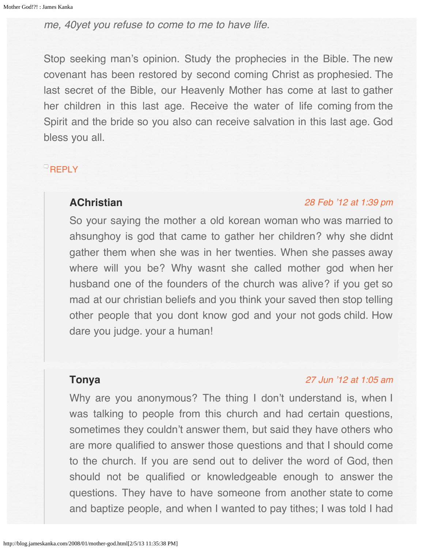me, 40yet you refuse to come to me to have life.

Stop seeking man's opinion. Study the prophecies in the Bible. The new covenant has been restored by second coming Christ as prophesied. The last secret of the Bible, our Heavenly Mother has come at last to gather her children in this last age. Receive the water of life coming from the Spirit and the bride so you also can receive salvation in this last age. God bless you all.

# <span id="page-20-0"></span>**[REPLY](http://blog.jameskanka.com/2008/01/mother-god.html?replytocom=72#respond)**

## **AChristian**

#### [28 Feb '12 at 1:39 pm](#page-20-0)

So your saying the mother a old korean woman who was married to ahsunghoy is god that came to gather her children? why she didnt gather them when she was in her twenties. When she passes away where will you be? Why wasnt she called mother god when her husband one of the founders of the church was alive? if you get so mad at our christian beliefs and you think your saved then stop telling other people that you dont know god and your not gods child. How dare you judge. your a human!

# **Tonya**

## [27 Jun '12 at 1:05 am](#page-21-1)

Why are you anonymous? The thing I don't understand is, when I was talking to people from this church and had certain questions, sometimes they couldn't answer them, but said they have others who are more qualified to answer those questions and that I should come to the church. If you are send out to deliver the word of God, then should not be qualified or knowledgeable enough to answer the questions. They have to have someone from another state to come and baptize people, and when I wanted to pay tithes; I was told I had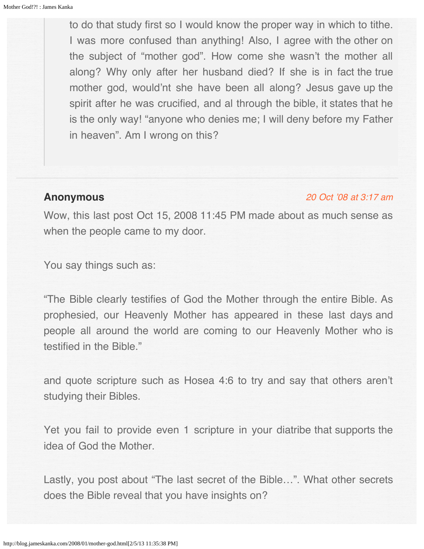<span id="page-21-1"></span><span id="page-21-0"></span>to do that study first so I would know the proper way in which to tithe. I was more confused than anything! Also, I agree with the other on the subject of "mother god". How come she wasn't the mother all along? Why only after her husband died? If she is in fact the true mother god, would'nt she have been all along? Jesus gave up the spirit after he was crucified, and al through the bible, it states that he is the only way! "anyone who denies me; I will deny before my Father in heaven". Am I wrong on this?

## **Anonymous**

#### [20 Oct '08 at 3:17 am](#page-22-0)

Wow, this last post Oct 15, 2008 11:45 PM made about as much sense as when the people came to my door.

You say things such as:

"The Bible clearly testifies of God the Mother through the entire Bible. As prophesied, our Heavenly Mother has appeared in these last days and people all around the world are coming to our Heavenly Mother who is testified in the Bible."

and quote scripture such as Hosea 4:6 to try and say that others aren't studying their Bibles.

Yet you fail to provide even 1 scripture in your diatribe that supports the idea of God the Mother.

Lastly, you post about "The last secret of the Bible…". What other secrets does the Bible reveal that you have insights on?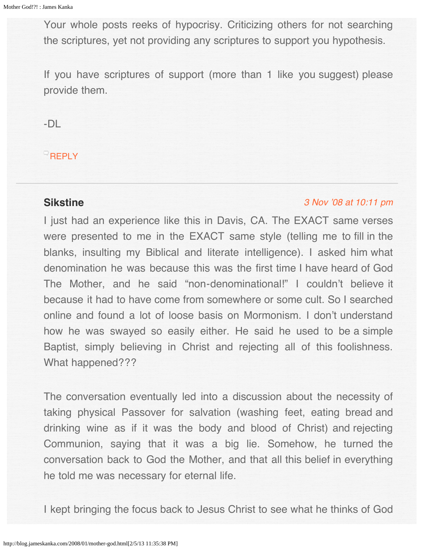<span id="page-22-0"></span>Your whole posts reeks of hypocrisy. Criticizing others for not searching the scriptures, yet not providing any scriptures to support you hypothesis.

If you have scriptures of support (more than 1 like you suggest) please provide them.

-DL

**[REPLY](http://blog.jameskanka.com/2008/01/mother-god.html?replytocom=75#respond)** 

## **Sikstine**

#### [3 Nov '08 at 10:11 pm](#page-23-0)

I just had an experience like this in Davis, CA. The EXACT same verses were presented to me in the EXACT same style (telling me to fill in the blanks, insulting my Biblical and literate intelligence). I asked him what denomination he was because this was the first time I have heard of God The Mother, and he said "non-denominational!" I couldn't believe it because it had to have come from somewhere or some cult. So I searched online and found a lot of loose basis on Mormonism. I don't understand how he was swayed so easily either. He said he used to be a simple Baptist, simply believing in Christ and rejecting all of this foolishness. What happened???

The conversation eventually led into a discussion about the necessity of taking physical Passover for salvation (washing feet, eating bread and drinking wine as if it was the body and blood of Christ) and rejecting Communion, saying that it was a big lie. Somehow, he turned the conversation back to God the Mother, and that all this belief in everything he told me was necessary for eternal life.

I kept bringing the focus back to Jesus Christ to see what he thinks of God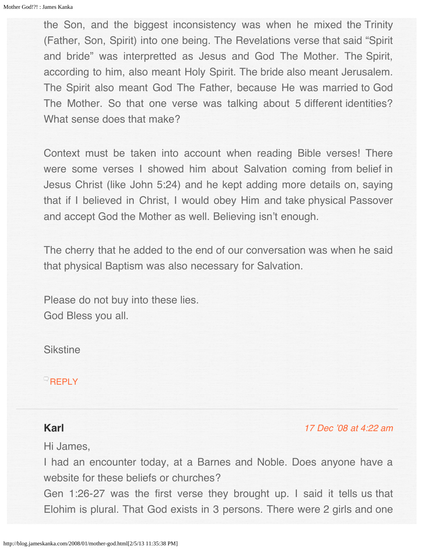<span id="page-23-0"></span>the Son, and the biggest inconsistency was when he mixed the Trinity (Father, Son, Spirit) into one being. The Revelations verse that said "Spirit and bride" was interpretted as Jesus and God The Mother. The Spirit, according to him, also meant Holy Spirit. The bride also meant Jerusalem. The Spirit also meant God The Father, because He was married to God The Mother. So that one verse was talking about 5 different identities? What sense does that make?

Context must be taken into account when reading Bible verses! There were some verses I showed him about Salvation coming from belief in Jesus Christ (like John 5:24) and he kept adding more details on, saying that if I believed in Christ, I would obey Him and take physical Passover and accept God the Mother as well. Believing isn't enough.

The cherry that he added to the end of our conversation was when he said that physical Baptism was also necessary for Salvation.

Please do not buy into these lies. God Bless you all.

**Sikstine** 

#### **[REPLY](http://blog.jameskanka.com/2008/01/mother-god.html?replytocom=77#respond)**

# **Karl**

[17 Dec '08 at 4:22 am](#page-25-0)

Hi James,

I had an encounter today, at a Barnes and Noble. Does anyone have a website for these beliefs or churches?

Gen 1:26-27 was the first verse they brought up. I said it tells us that Elohim is plural. That God exists in 3 persons. There were 2 girls and one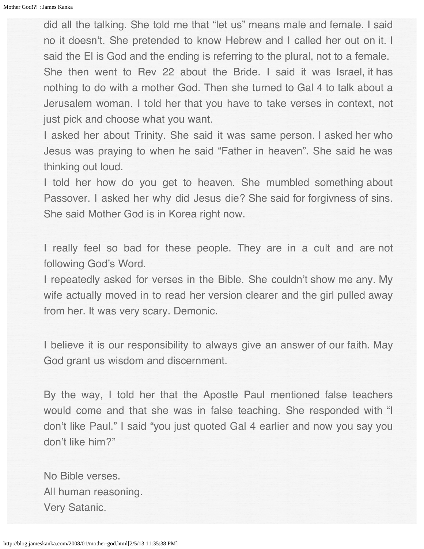did all the talking. She told me that "let us" means male and female. I said no it doesn't. She pretended to know Hebrew and I called her out on it. I said the El is God and the ending is referring to the plural, not to a female. She then went to Rev 22 about the Bride. I said it was Israel, it has nothing to do with a mother God. Then she turned to Gal 4 to talk about a Jerusalem woman. I told her that you have to take verses in context, not just pick and choose what you want.

I asked her about Trinity. She said it was same person. I asked her who Jesus was praying to when he said "Father in heaven". She said he was thinking out loud.

I told her how do you get to heaven. She mumbled something about Passover. I asked her why did Jesus die? She said for forgivness of sins. She said Mother God is in Korea right now.

I really feel so bad for these people. They are in a cult and are not following God's Word.

I repeatedly asked for verses in the Bible. She couldn't show me any. My wife actually moved in to read her version clearer and the girl pulled away from her. It was very scary. Demonic.

I believe it is our responsibility to always give an answer of our faith. May God grant us wisdom and discernment.

By the way, I told her that the Apostle Paul mentioned false teachers would come and that she was in false teaching. She responded with "I don't like Paul." I said "you just quoted Gal 4 earlier and now you say you don't like him?"

No Bible verses. All human reasoning. Very Satanic.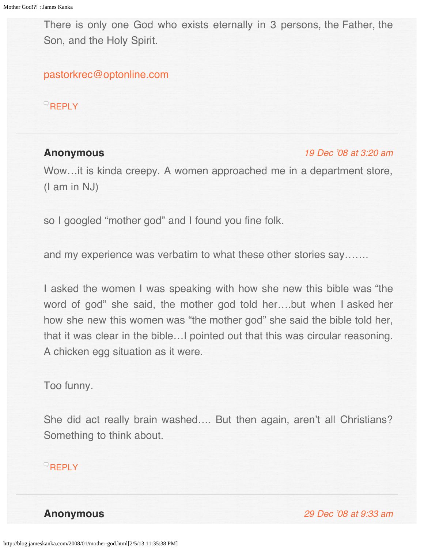<span id="page-25-0"></span>There is only one God who exists eternally in 3 persons, the Father, the Son, and the Holy Spirit.

[pastorkrec@optonline.com](mailto:pastorkrec@optonline.com)

**[REPLY](http://blog.jameskanka.com/2008/01/mother-god.html?replytocom=81#respond)** 

# <span id="page-25-1"></span>**Anonymous**

#### [19 Dec '08 at 3:20 am](#page-25-1)

Wow…it is kinda creepy. A women approached me in a department store, (I am in NJ)

so I googled "mother god" and I found you fine folk.

and my experience was verbatim to what these other stories say…….

I asked the women I was speaking with how she new this bible was "the word of god" she said, the mother god told her….but when I asked her how she new this women was "the mother god" she said the bible told her, that it was clear in the bible…I pointed out that this was circular reasoning. A chicken egg situation as it were.

Too funny.

She did act really brain washed…. But then again, aren't all Christians? Something to think about.

# **[REPLY](http://blog.jameskanka.com/2008/01/mother-god.html?replytocom=82#respond)**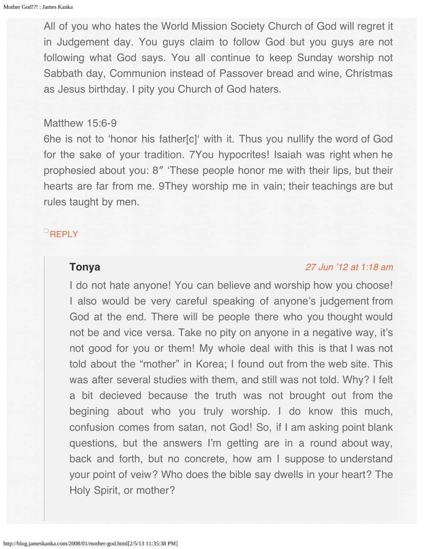All of you who hates the World Mission Society Church of God will regret it in Judgement day. You guys claim to follow God but you guys are not following what God says. You all continue to keep Sunday worship not Sabbath day, Communion instead of Passover bread and wine, Christmas as Jesus birthday. I pity you Church of God haters.

#### Matthew 15:6-9

6he is not to 'honor his father[c]' with it. Thus you nullify the word of God for the sake of your tradition. 7You hypocrites! Isaiah was right when he prophesied about you: 8″ 'These people honor me with their lips, but their hearts are far from me. 9They worship me in vain; their teachings are but rules taught by men.

## <span id="page-26-0"></span>**[REPLY](http://blog.jameskanka.com/2008/01/mother-god.html?replytocom=83#respond)**

## **Tonya**

#### [27 Jun '12 at 1:18 am](#page-26-0)

I do not hate anyone! You can believe and worship how you choose! I also would be very careful speaking of anyone's judgement from God at the end. There will be people there who you thought would not be and vice versa. Take no pity on anyone in a negative way, it's not good for you or them! My whole deal with this is that I was not told about the "mother" in Korea; I found out from the web site. This was after several studies with them, and still was not told. Why? I felt a bit decieved because the truth was not brought out from the begining about who you truly worship. I do know this much, confusion comes from satan, not God! So, if I am asking point blank questions, but the answers I'm getting are in a round about way, back and forth, but no concrete, how am I suppose to understand your point of veiw? Who does the bible say dwells in your heart? The Holy Spirit, or mother?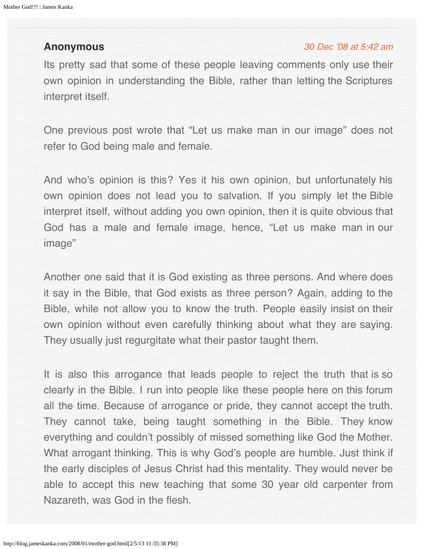# <span id="page-27-0"></span>**Anonymous**

#### [30 Dec '08 at 5:42 am](#page-28-0)

Its pretty sad that some of these people leaving comments only use their own opinion in understanding the Bible, rather than letting the Scriptures interpret itself.

One previous post wrote that "Let us make man in our image" does not refer to God being male and female.

And who's opinion is this? Yes it his own opinion, but unfortunately his own opinion does not lead you to salvation. If you simply let the Bible interpret itself, without adding you own opinion, then it is quite obvious that God has a male and female image, hence, "Let us make man in our image"

Another one said that it is God existing as three persons. And where does it say in the Bible, that God exists as three person? Again, adding to the Bible, while not allow you to know the truth. People easily insist on their own opinion without even carefully thinking about what they are saying. They usually just regurgitate what their pastor taught them.

It is also this arrogance that leads people to reject the truth that is so clearly in the Bible. I run into people like these people here on this forum all the time. Because of arrogance or pride, they cannot accept the truth. They cannot take, being taught something in the Bible. They know everything and couldn't possibly of missed something like God the Mother. What arrogant thinking. This is why God's people are humble. Just think if the early disciples of Jesus Christ had this mentality. They would never be able to accept this new teaching that some 30 year old carpenter from Nazareth, was God in the flesh.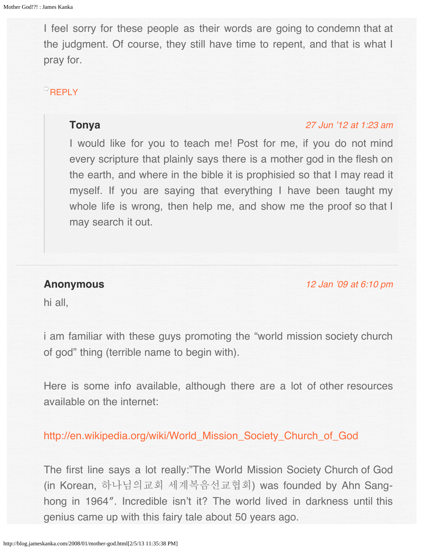<span id="page-28-0"></span>I feel sorry for these people as their words are going to condemn that at the judgment. Of course, they still have time to repent, and that is what I pray for.

# <span id="page-28-1"></span>[REPLY](http://blog.jameskanka.com/2008/01/mother-god.html?replytocom=84#respond)

# **Tonya**

#### [27 Jun '12 at 1:23 am](#page-28-1)

I would like for you to teach me! Post for me, if you do not mind every scripture that plainly says there is a mother god in the flesh on the earth, and where in the bible it is prophisied so that I may read it myself. If you are saying that everything I have been taught my whole life is wrong, then help me, and show me the proof so that I may search it out.

# **Anonymous**

[12 Jan '09 at 6:10 pm](#page-29-0)

hi all,

i am familiar with these guys promoting the "world mission society church of god" thing (terrible name to begin with).

Here is some info available, although there are a lot of other resources available on the internet:

[http://en.wikipedia.org/wiki/World\\_Mission\\_Society\\_Church\\_of\\_God](http://en.wikipedia.org/wiki/World_Mission_Society_Church_of_God)

The first line says a lot really:"The World Mission Society Church of God (in Korean, 하나님의교회 세계복음선교협회) was founded by Ahn Sanghong in 1964″. Incredible isn't it? The world lived in darkness until this genius came up with this fairy tale about 50 years ago.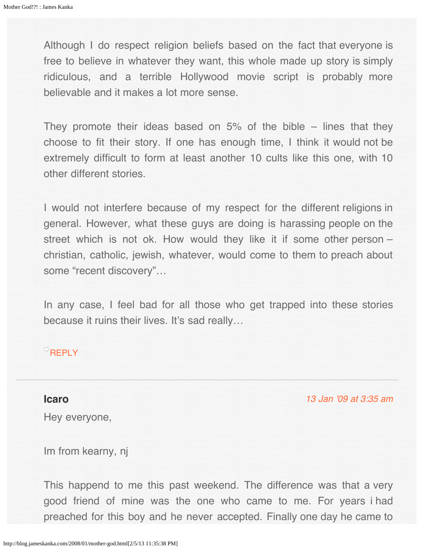<span id="page-29-0"></span>Although I do respect religion beliefs based on the fact that everyone is free to believe in whatever they want, this whole made up story is simply ridiculous, and a terrible Hollywood movie script is probably more believable and it makes a lot more sense.

They promote their ideas based on  $5\%$  of the bible – lines that they choose to fit their story. If one has enough time, I think it would not be extremely difficult to form at least another 10 cults like this one, with 10 other different stories.

I would not interfere because of my respect for the different religions in general. However, what these guys are doing is harassing people on the street which is not ok. How would they like it if some other person – christian, catholic, jewish, whatever, would come to them to preach about some "recent discovery"…

In any case, I feel bad for all those who get trapped into these stories because it ruins their lives. It's sad really...

## **[REPLY](http://blog.jameskanka.com/2008/01/mother-god.html?replytocom=92#respond)**

## **Icaro**

[13 Jan '09 at 3:35 am](#page-31-0)

Hey everyone,

Im from kearny, nj

This happend to me this past weekend. The difference was that a very good friend of mine was the one who came to me. For years i had preached for this boy and he never accepted. Finally one day he came to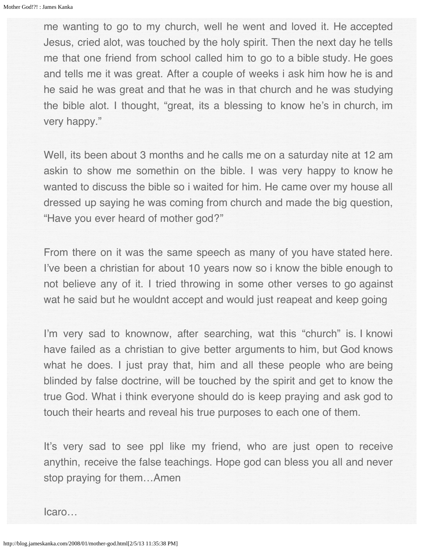me wanting to go to my church, well he went and loved it. He accepted Jesus, cried alot, was touched by the holy spirit. Then the next day he tells me that one friend from school called him to go to a bible study. He goes and tells me it was great. After a couple of weeks i ask him how he is and he said he was great and that he was in that church and he was studying the bible alot. I thought, "great, its a blessing to know he's in church, im very happy."

Well, its been about 3 months and he calls me on a saturday nite at 12 am askin to show me somethin on the bible. I was very happy to know he wanted to discuss the bible so i waited for him. He came over my house all dressed up saying he was coming from church and made the big question, "Have you ever heard of mother god?"

From there on it was the same speech as many of you have stated here. I've been a christian for about 10 years now so i know the bible enough to not believe any of it. I tried throwing in some other verses to go against wat he said but he wouldnt accept and would just reapeat and keep going

I'm very sad to knownow, after searching, wat this "church" is. I knowi have failed as a christian to give better arguments to him, but God knows what he does. I just pray that, him and all these people who are being blinded by false doctrine, will be touched by the spirit and get to know the true God. What i think everyone should do is keep praying and ask god to touch their hearts and reveal his true purposes to each one of them.

It's very sad to see ppl like my friend, who are just open to receive anythin, receive the false teachings. Hope god can bless you all and never stop praying for them…Amen

Icaro…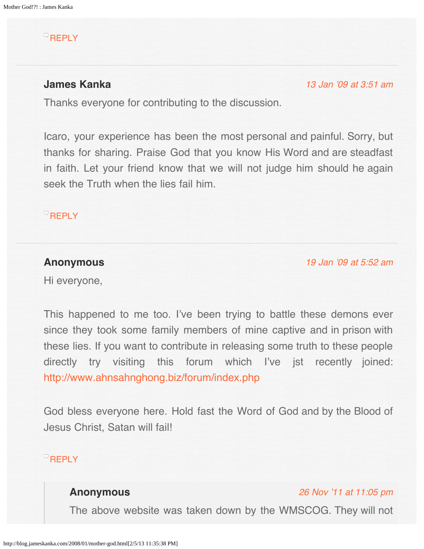## <span id="page-31-0"></span> $R$ [REPLY](http://blog.jameskanka.com/2008/01/mother-god.html?replytocom=93#respond)

# <span id="page-31-1"></span>**James Kanka**

[13 Jan '09 at 3:51 am](#page-31-1)

Thanks everyone for contributing to the discussion.

Icaro, your experience has been the most personal and painful. Sorry, but thanks for sharing. Praise God that you know His Word and are steadfast in faith. Let your friend know that we will not judge him should he again seek the Truth when the lies fail him.

# **[REPLY](http://blog.jameskanka.com/2008/01/mother-god.html?replytocom=94#respond)**

## **Anonymous**

[19 Jan '09 at 5:52 am](#page-32-0)

Hi everyone,

This happened to me too. I've been trying to battle these demons ever since they took some family members of mine captive and in prison with these lies. If you want to contribute in releasing some truth to these people directly try visiting this forum which I've jst recently joined: <http://www.ahnsahnghong.biz/forum/index.php>

God bless everyone here. Hold fast the Word of God and by the Blood of Jesus Christ, Satan will fail!

# **[REPLY](http://blog.jameskanka.com/2008/01/mother-god.html?replytocom=95#respond)**

# **Anonymous**

[26 Nov '11 at 11:05 pm](#page-32-1)

The above website was taken down by the WMSCOG. They will not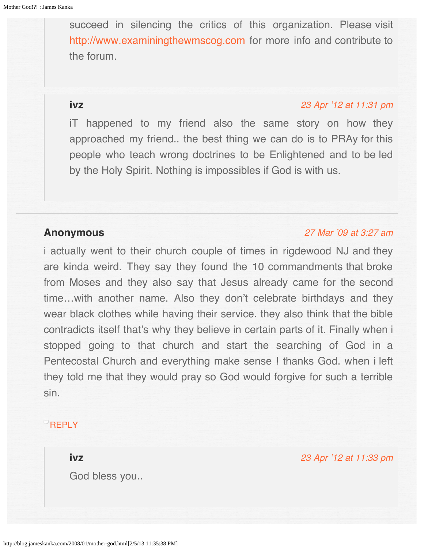<span id="page-32-1"></span><span id="page-32-0"></span>succeed in silencing the critics of this organization. Please visit [http://www.examiningthewmscog.com](http://www.examiningthewmscog.com/) for more info and contribute to the forum.

<span id="page-32-2"></span>**ivz**

#### [23 Apr '12 at 11:31 pm](#page-32-2)

iT happened to my friend also the same story on how they approached my friend.. the best thing we can do is to PRAy for this people who teach wrong doctrines to be Enlightened and to be led by the Holy Spirit. Nothing is impossibles if God is with us.

## <span id="page-32-3"></span>**Anonymous**

#### [27 Mar '09 at 3:27 am](#page-32-3)

i actually went to their church couple of times in rigdewood NJ and they are kinda weird. They say they found the 10 commandments that broke from Moses and they also say that Jesus already came for the second time…with another name. Also they don't celebrate birthdays and they wear black clothes while having their service. they also think that the bible contradicts itself that's why they believe in certain parts of it. Finally when i stopped going to that church and start the searching of God in a Pentecostal Church and everything make sense ! thanks God. when i left they told me that they would pray so God would forgive for such a terrible sin.

# <span id="page-32-4"></span>**[REPLY](http://blog.jameskanka.com/2008/01/mother-god.html?replytocom=106#respond)**

**ivz**

God bless you..

[23 Apr '12 at 11:33 pm](#page-32-4)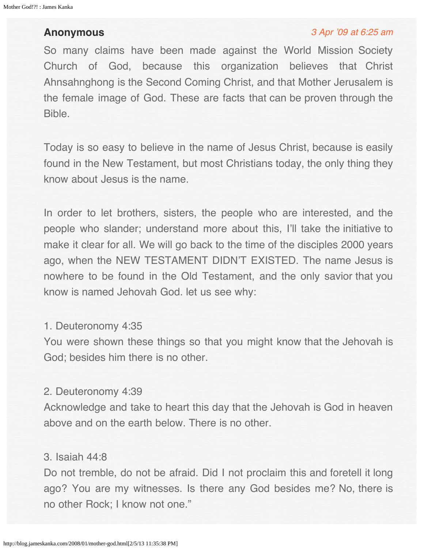## **Anonymous**

#### [3 Apr '09 at 6:25 am](#page-34-0)

So many claims have been made against the World Mission Society Church of God, because this organization believes that Christ Ahnsahnghong is the Second Coming Christ, and that Mother Jerusalem is the female image of God. These are facts that can be proven through the Bible.

Today is so easy to believe in the name of Jesus Christ, because is easily found in the New Testament, but most Christians today, the only thing they know about Jesus is the name.

In order to let brothers, sisters, the people who are interested, and the people who slander; understand more about this, I'll take the initiative to make it clear for all. We will go back to the time of the disciples 2000 years ago, when the NEW TESTAMENT DIDN'T EXISTED. The name Jesus is nowhere to be found in the Old Testament, and the only savior that you know is named Jehovah God. let us see why:

## 1. Deuteronomy 4:35

You were shown these things so that you might know that the Jehovah is God; besides him there is no other.

#### 2. Deuteronomy 4:39

Acknowledge and take to heart this day that the Jehovah is God in heaven above and on the earth below. There is no other.

## 3. Isaiah 44:8

Do not tremble, do not be afraid. Did I not proclaim this and foretell it long ago? You are my witnesses. Is there any God besides me? No, there is no other Rock; I know not one."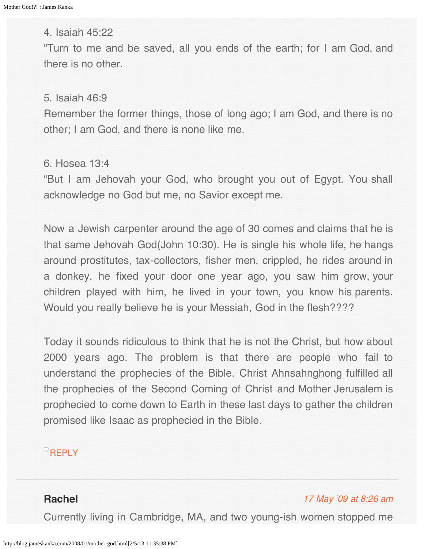<span id="page-34-0"></span>4. Isaiah 45:22

"Turn to me and be saved, all you ends of the earth; for I am God, and there is no other.

5. Isaiah 46:9

Remember the former things, those of long ago; I am God, and there is no other; I am God, and there is none like me.

6. Hosea 13:4

"But I am Jehovah your God, who brought you out of Egypt. You shall acknowledge no God but me, no Savior except me.

Now a Jewish carpenter around the age of 30 comes and claims that he is that same Jehovah God(John 10:30). He is single his whole life, he hangs around prostitutes, tax-collectors, fisher men, crippled, he rides around in a donkey, he fixed your door one year ago, you saw him grow, your children played with him, he lived in your town, you know his parents. Would you really believe he is your Messiah, God in the flesh????

Today it sounds ridiculous to think that he is not the Christ, but how about 2000 years ago. The problem is that there are people who fail to understand the prophecies of the Bible. Christ Ahnsahnghong fulfilled all the prophecies of the Second Coming of Christ and Mother Jerusalem is prophecied to come down to Earth in these last days to gather the children promised like Isaac as prophecied in the Bible.

**[REPLY](http://blog.jameskanka.com/2008/01/mother-god.html?replytocom=109#respond)** 

## **Rachel**

#### [17 May '09 at 8:26 am](#page-35-0)

Currently living in Cambridge, MA, and two young-ish women stopped me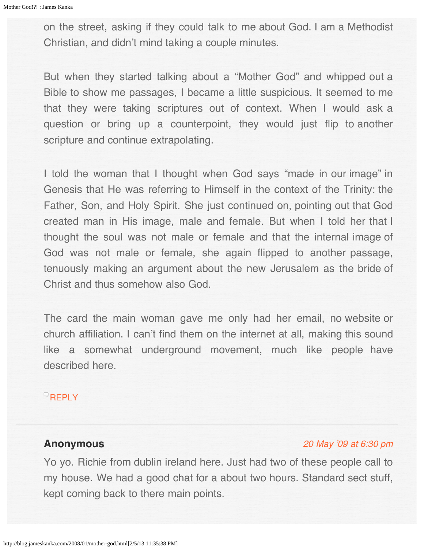<span id="page-35-0"></span>on the street, asking if they could talk to me about God. I am a Methodist Christian, and didn't mind taking a couple minutes.

But when they started talking about a "Mother God" and whipped out a Bible to show me passages, I became a little suspicious. It seemed to me that they were taking scriptures out of context. When I would ask a question or bring up a counterpoint, they would just flip to another scripture and continue extrapolating.

I told the woman that I thought when God says "made in our image" in Genesis that He was referring to Himself in the context of the Trinity: the Father, Son, and Holy Spirit. She just continued on, pointing out that God created man in His image, male and female. But when I told her that I thought the soul was not male or female and that the internal image of God was not male or female, she again flipped to another passage, tenuously making an argument about the new Jerusalem as the bride of Christ and thus somehow also God.

The card the main woman gave me only had her email, no website or church affiliation. I can't find them on the internet at all, making this sound like a somewhat underground movement, much like people have described here.

# **[REPLY](http://blog.jameskanka.com/2008/01/mother-god.html?replytocom=111#respond)**

# **Anonymous**

#### [20 May '09 at 6:30 pm](#page-36-0)

Yo yo. Richie from dublin ireland here. Just had two of these people call to my house. We had a good chat for a about two hours. Standard sect stuff, kept coming back to there main points.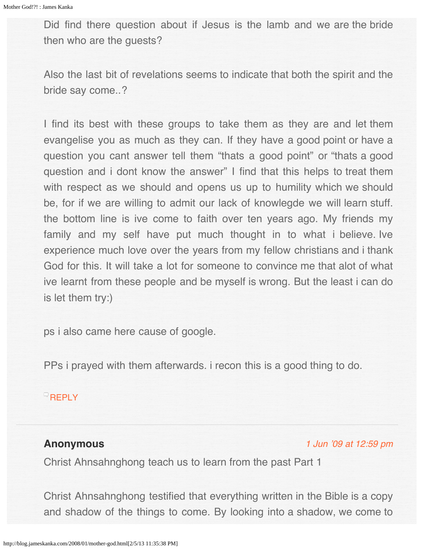Did find there question about if Jesus is the lamb and we are the bride then who are the guests?

Also the last bit of revelations seems to indicate that both the spirit and the bride say come..?

I find its best with these groups to take them as they are and let them evangelise you as much as they can. If they have a good point or have a question you cant answer tell them "thats a good point" or "thats a good question and i dont know the answer" I find that this helps to treat them with respect as we should and opens us up to humility which we should be, for if we are willing to admit our lack of knowlegde we will learn stuff. the bottom line is ive come to faith over ten years ago. My friends my family and my self have put much thought in to what i believe. Ive experience much love over the years from my fellow christians and i thank God for this. It will take a lot for someone to convince me that alot of what ive learnt from these people and be myself is wrong. But the least i can do is let them try:)

ps i also came here cause of google.

PPs i prayed with them afterwards. i recon this is a good thing to do.

# **[REPLY](http://blog.jameskanka.com/2008/01/mother-god.html?replytocom=112#respond)**

# **Anonymous**

[1 Jun '09 at 12:59 pm](#page-39-0)

Christ Ahnsahnghong teach us to learn from the past Part 1

Christ Ahnsahnghong testified that everything written in the Bible is a copy and shadow of the things to come. By looking into a shadow, we come to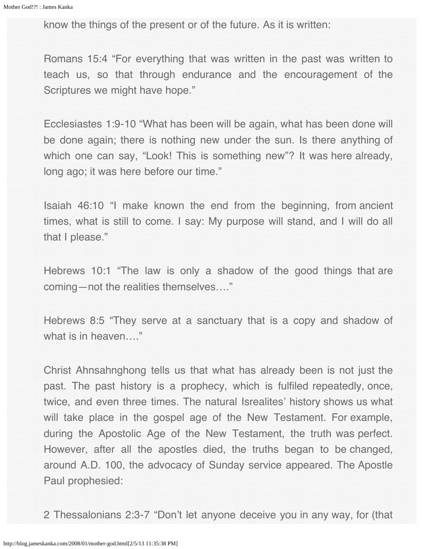know the things of the present or of the future. As it is written:

Romans 15:4 "For everything that was written in the past was written to teach us, so that through endurance and the encouragement of the Scriptures we might have hope."

Ecclesiastes 1:9-10 "What has been will be again, what has been done will be done again; there is nothing new under the sun. Is there anything of which one can say, "Look! This is something new"? It was here already, long ago; it was here before our time."

Isaiah 46:10 "I make known the end from the beginning, from ancient times, what is still to come. I say: My purpose will stand, and I will do all that I please."

Hebrews 10:1 "The law is only a shadow of the good things that are coming—not the realities themselves…."

Hebrews 8:5 "They serve at a sanctuary that is a copy and shadow of what is in heaven...."

Christ Ahnsahnghong tells us that what has already been is not just the past. The past history is a prophecy, which is fulfiled repeatedly, once, twice, and even three times. The natural Isrealites' history shows us what will take place in the gospel age of the New Testament. For example, during the Apostolic Age of the New Testament, the truth was perfect. However, after all the apostles died, the truths began to be changed, around A.D. 100, the advocacy of Sunday service appeared. The Apostle Paul prophesied:

2 Thessalonians 2:3-7 "Don't let anyone deceive you in any way, for (that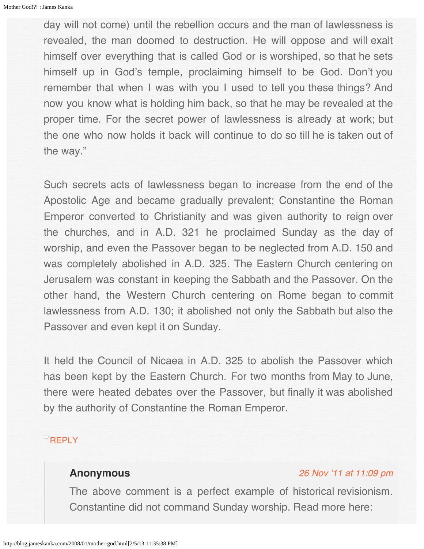day will not come) until the rebellion occurs and the man of lawlessness is revealed, the man doomed to destruction. He will oppose and will exalt himself over everything that is called God or is worshiped, so that he sets himself up in God's temple, proclaiming himself to be God. Don't you remember that when I was with you I used to tell you these things? And now you know what is holding him back, so that he may be revealed at the proper time. For the secret power of lawlessness is already at work; but the one who now holds it back will continue to do so till he is taken out of the way."

Such secrets acts of lawlessness began to increase from the end of the Apostolic Age and became gradually prevalent; Constantine the Roman Emperor converted to Christianity and was given authority to reign over the churches, and in A.D. 321 he proclaimed Sunday as the day of worship, and even the Passover began to be neglected from A.D. 150 and was completely abolished in A.D. 325. The Eastern Church centering on Jerusalem was constant in keeping the Sabbath and the Passover. On the other hand, the Western Church centering on Rome began to commit lawlessness from A.D. 130; it abolished not only the Sabbath but also the Passover and even kept it on Sunday.

It held the Council of Nicaea in A.D. 325 to abolish the Passover which has been kept by the Eastern Church. For two months from May to June, there were heated debates over the Passover, but finally it was abolished by the authority of Constantine the Roman Emperor.

# $^{\circ}$ [REPLY](http://blog.jameskanka.com/2008/01/mother-god.html?replytocom=113#respond)

## **Anonymous**

#### [26 Nov '11 at 11:09 pm](#page-39-1)

The above comment is a perfect example of historical revisionism. Constantine did not command Sunday worship. Read more here: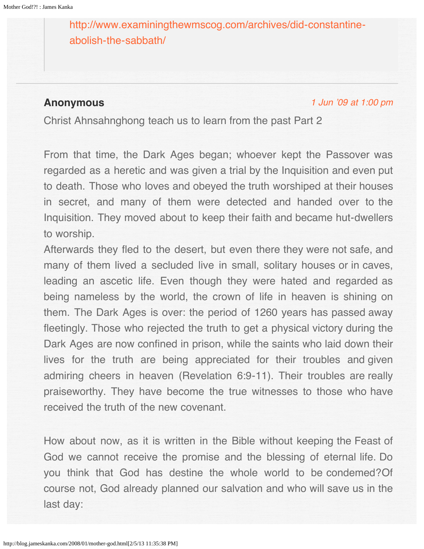<span id="page-39-1"></span><span id="page-39-0"></span>[http://www.examiningthewmscog.com/archives/did-constantine](http://www.examiningthewmscog.com/archives/did-constantine-abolish-the-sabbath/)[abolish-the-sabbath/](http://www.examiningthewmscog.com/archives/did-constantine-abolish-the-sabbath/)

## **Anonymous**

[1 Jun '09 at 1:00 pm](#page-40-0)

Christ Ahnsahnghong teach us to learn from the past Part 2

From that time, the Dark Ages began; whoever kept the Passover was regarded as a heretic and was given a trial by the Inquisition and even put to death. Those who loves and obeyed the truth worshiped at their houses in secret, and many of them were detected and handed over to the Inquisition. They moved about to keep their faith and became hut-dwellers to worship.

Afterwards they fled to the desert, but even there they were not safe, and many of them lived a secluded live in small, solitary houses or in caves, leading an ascetic life. Even though they were hated and regarded as being nameless by the world, the crown of life in heaven is shining on them. The Dark Ages is over: the period of 1260 years has passed away fleetingly. Those who rejected the truth to get a physical victory during the Dark Ages are now confined in prison, while the saints who laid down their lives for the truth are being appreciated for their troubles and given admiring cheers in heaven (Revelation 6:9-11). Their troubles are really praiseworthy. They have become the true witnesses to those who have received the truth of the new covenant.

How about now, as it is written in the Bible without keeping the Feast of God we cannot receive the promise and the blessing of eternal life. Do you think that God has destine the whole world to be condemed?Of course not, God already planned our salvation and who will save us in the last day: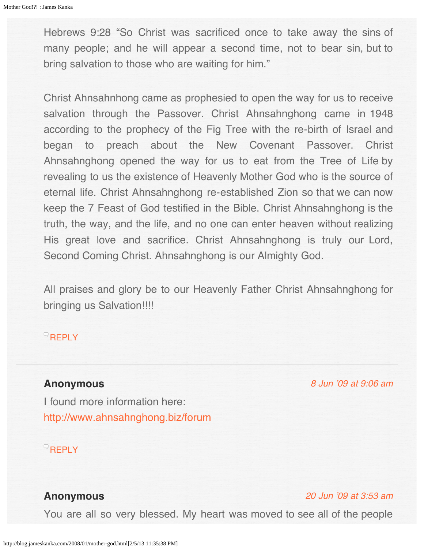<span id="page-40-0"></span>Hebrews 9:28 "So Christ was sacrificed once to take away the sins of many people; and he will appear a second time, not to bear sin, but to bring salvation to those who are waiting for him."

Christ Ahnsahnhong came as prophesied to open the way for us to receive salvation through the Passover. Christ Ahnsahnghong came in 1948 according to the prophecy of the Fig Tree with the re-birth of Israel and began to preach about the New Covenant Passover. Christ Ahnsahnghong opened the way for us to eat from the Tree of Life by revealing to us the existence of Heavenly Mother God who is the source of eternal life. Christ Ahnsahnghong re-established Zion so that we can now keep the 7 Feast of God testified in the Bible. Christ Ahnsahnghong is the truth, the way, and the life, and no one can enter heaven without realizing His great love and sacrifice. Christ Ahnsahnghong is truly our Lord, Second Coming Christ. Ahnsahnghong is our Almighty God.

All praises and glory be to our Heavenly Father Christ Ahnsahnghong for bringing us Salvation!!!!

## **[REPLY](http://blog.jameskanka.com/2008/01/mother-god.html?replytocom=114#respond)**

## <span id="page-40-1"></span>**Anonymous**

[8 Jun '09 at 9:06 am](#page-40-1)

I found more information here: <http://www.ahnsahnghong.biz/forum>

## $R$ [REPLY](http://blog.jameskanka.com/2008/01/mother-god.html?replytocom=115#respond)

## **Anonymous**

#### [20 Jun '09 at 3:53 am](#page-41-0)

You are all so very blessed. My heart was moved to see all of the people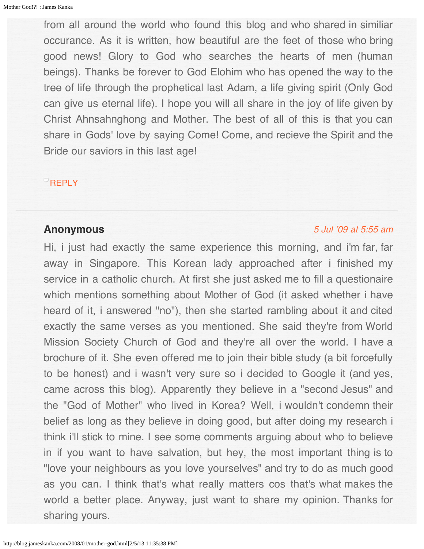<span id="page-41-0"></span>from all around the world who found this blog and who shared in similiar occurance. As it is written, how beautiful are the feet of those who bring good news! Glory to God who searches the hearts of men (human beings). Thanks be forever to God Elohim who has opened the way to the tree of life through the prophetical last Adam, a life giving spirit (Only God can give us eternal life). I hope you will all share in the joy of life given by Christ Ahnsahnghong and Mother. The best of all of this is that you can share in Gods' love by saying Come! Come, and recieve the Spirit and the Bride our saviors in this last age!

## **[REPLY](http://blog.jameskanka.com/2008/01/mother-god.html?replytocom=116#respond)**

## **Anonymous**

#### [5 Jul '09 at 5:55 am](#page-42-0)

Hi, i just had exactly the same experience this morning, and i'm far, far away in Singapore. This Korean lady approached after i finished my service in a catholic church. At first she just asked me to fill a questionaire which mentions something about Mother of God (it asked whether i have heard of it, i answered "no"), then she started rambling about it and cited exactly the same verses as you mentioned. She said they're from World Mission Society Church of God and they're all over the world. I have a brochure of it. She even offered me to join their bible study (a bit forcefully to be honest) and i wasn't very sure so i decided to Google it (and yes, came across this blog). Apparently they believe in a "second Jesus" and the "God of Mother" who lived in Korea? Well, i wouldn't condemn their belief as long as they believe in doing good, but after doing my research i think i'll stick to mine. I see some comments arguing about who to believe in if you want to have salvation, but hey, the most important thing is to "love your neighbours as you love yourselves" and try to do as much good as you can. I think that's what really matters cos that's what makes the world a better place. Anyway, just want to share my opinion. Thanks for sharing yours.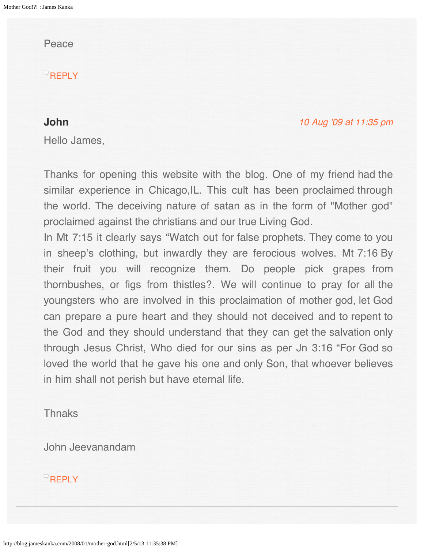<span id="page-42-0"></span>Peace

 $R$ [REPLY](http://blog.jameskanka.com/2008/01/mother-god.html?replytocom=117#respond)

## <span id="page-42-1"></span>**John**

[10 Aug '09 at 11:35 pm](#page-42-1)

Hello James,

Thanks for opening this website with the blog. One of my friend had the similar experience in Chicago, IL. This cult has been proclaimed through the world. The deceiving nature of satan as in the form of "Mother god" proclaimed against the christians and our true Living God.

In Mt 7:15 it clearly says "Watch out for false prophets. They come to you in sheep's clothing, but inwardly they are ferocious wolves. Mt 7:16 By their fruit you will recognize them. Do people pick grapes from thornbushes, or figs from thistles?. We will continue to pray for all the youngsters who are involved in this proclaimation of mother god, let God can prepare a pure heart and they should not deceived and to repent to the God and they should understand that they can get the salvation only through Jesus Christ, Who died for our sins as per Jn 3:16 "For God so loved the world that he gave his one and only Son, that whoever believes in him shall not perish but have eternal life.

# **Thnaks**

John Jeevanandam

# $R$ [REPLY](http://blog.jameskanka.com/2008/01/mother-god.html?replytocom=119#respond)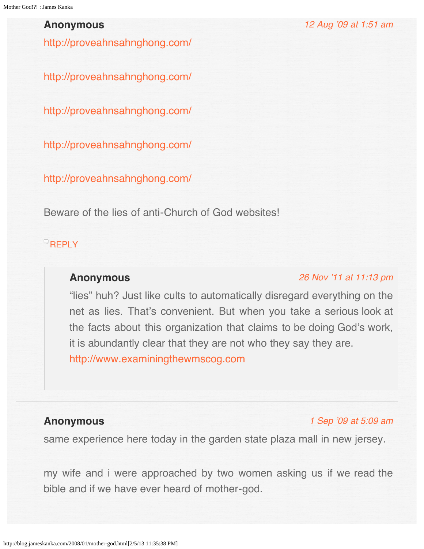## <span id="page-43-0"></span>**Anonymous**

<http://proveahnsahnghong.com/>

<http://proveahnsahnghong.com/>

<http://proveahnsahnghong.com/>

<http://proveahnsahnghong.com/>

<http://proveahnsahnghong.com/>

Beware of the lies of anti-Church of God websites!

## <span id="page-43-1"></span>**[REPLY](http://blog.jameskanka.com/2008/01/mother-god.html?replytocom=120#respond)**

## **Anonymous**

#### [26 Nov '11 at 11:13 pm](#page-43-1)

[12 Aug '09 at 1:51 am](#page-43-0)

"lies" huh? Just like cults to automatically disregard everything on the net as lies. That's convenient. But when you take a serious look at the facts about this organization that claims to be doing God's work, it is abundantly clear that they are not who they say they are. [http://www.examiningthewmscog.com](http://www.examiningthewmscog.com/)

## **Anonymous**

#### [1 Sep '09 at 5:09 am](#page-44-0)

same experience here today in the garden state plaza mall in new jersey.

my wife and i were approached by two women asking us if we read the bible and if we have ever heard of mother-god.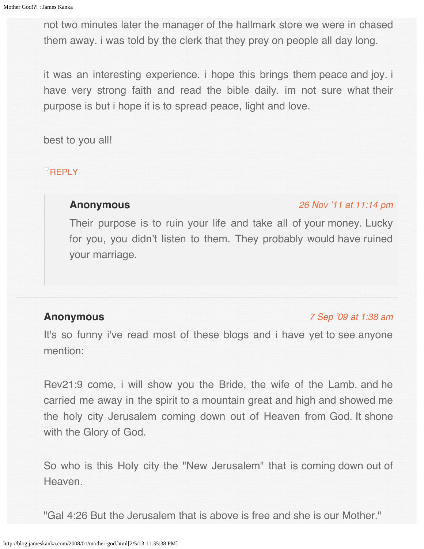<span id="page-44-0"></span>not two minutes later the manager of the hallmark store we were in chased them away. i was told by the clerk that they prey on people all day long.

it was an interesting experience. i hope this brings them peace and joy. i have very strong faith and read the bible daily. im not sure what their purpose is but i hope it is to spread peace, light and love.

best to you all!

## <span id="page-44-1"></span>**[REPLY](http://blog.jameskanka.com/2008/01/mother-god.html?replytocom=122#respond)**

## **Anonymous**

#### [26 Nov '11 at 11:14 pm](#page-44-1)

Their purpose is to ruin your life and take all of your money. Lucky for you, you didn't listen to them. They probably would have ruined your marriage.

## **Anonymous**

#### [7 Sep '09 at 1:38 am](#page-45-0)

It's so funny i've read most of these blogs and i have yet to see anyone mention:

Rev21:9 come, i will show you the Bride, the wife of the Lamb. and he carried me away in the spirit to a mountain great and high and showed me the holy city Jerusalem coming down out of Heaven from God. It shone with the Glory of God.

So who is this Holy city the "New Jerusalem" that is coming down out of Heaven.

"Gal 4:26 But the Jerusalem that is above is free and she is our Mother."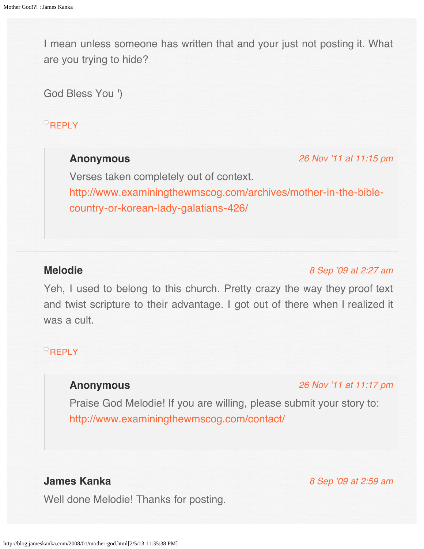<span id="page-45-0"></span>I mean unless someone has written that and your just not posting it. What are you trying to hide?

God Bless You ')

# <span id="page-45-1"></span>**[REPLY](http://blog.jameskanka.com/2008/01/mother-god.html?replytocom=123#respond)**

# **Anonymous**

[26 Nov '11 at 11:15 pm](#page-45-1)

Verses taken completely out of context. [http://www.examiningthewmscog.com/archives/mother-in-the-bible](http://www.examiningthewmscog.com/archives/mother-in-the-bible-country-or-korean-lady-galatians-426/)[country-or-korean-lady-galatians-426/](http://www.examiningthewmscog.com/archives/mother-in-the-bible-country-or-korean-lady-galatians-426/)

## <span id="page-45-2"></span>**Melodie**

[8 Sep '09 at 2:27 am](#page-45-2)

Yeh, I used to belong to this church. Pretty crazy the way they proof text and twist scripture to their advantage. I got out of there when I realized it was a cult.

# <span id="page-45-3"></span> $R$ [REPLY](http://blog.jameskanka.com/2008/01/mother-god.html?replytocom=124#respond)

# **Anonymous**

[26 Nov '11 at 11:17 pm](#page-45-3)

[8 Sep '09 at 2:59 am](#page-46-0)

Praise God Melodie! If you are willing, please submit your story to: <http://www.examiningthewmscog.com/contact/>

# **James Kanka**

Well done Melodie! Thanks for posting.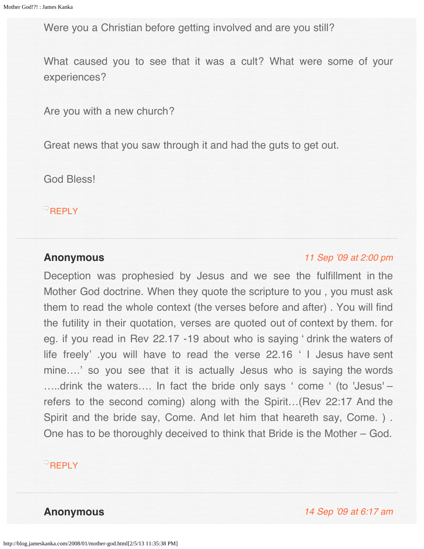<span id="page-46-0"></span>Were you a Christian before getting involved and are you still?

What caused you to see that it was a cult? What were some of your experiences?

Are you with a new church?

Great news that you saw through it and had the guts to get out.

God Bless!

 $R$ **[REPLY](http://blog.jameskanka.com/2008/01/mother-god.html?replytocom=125#respond)** 

#### <span id="page-46-1"></span>**Anonymous**

## [11 Sep '09 at 2:00 pm](#page-46-1)

Deception was prophesied by Jesus and we see the fulfillment in the Mother God doctrine. When they quote the scripture to you , you must ask them to read the whole context (the verses before and after) . You will find the futility in their quotation, verses are quoted out of context by them. for eg. if you read in Rev 22.17 -19 about who is saying ' drink the waters of life freely' .you will have to read the verse 22.16 ' I Jesus have sent mine....' so you see that it is actually Jesus who is saying the words …..drink the waters…. In fact the bride only says ' come ' (to 'Jesus' – refers to the second coming) along with the Spirit…(Rev 22:17 And the Spirit and the bride say, Come. And let him that heareth say, Come. ) . One has to be thoroughly deceived to think that Bride is the Mother – God.

## **[REPLY](http://blog.jameskanka.com/2008/01/mother-god.html?replytocom=126#respond)**

**Anonymous** [14 Sep '09 at 6:17 am](#page-48-0)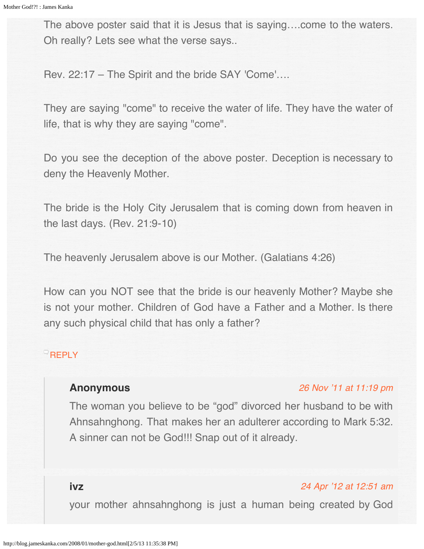The above poster said that it is Jesus that is saying….come to the waters. Oh really? Lets see what the verse says..

Rev. 22:17 – The Spirit and the bride SAY 'Come'….

They are saying "come" to receive the water of life. They have the water of life, that is why they are saying "come".

Do you see the deception of the above poster. Deception is necessary to deny the Heavenly Mother.

The bride is the Holy City Jerusalem that is coming down from heaven in the last days. (Rev. 21:9-10)

The heavenly Jerusalem above is our Mother. (Galatians 4:26)

How can you NOT see that the bride is our heavenly Mother? Maybe she is not your mother. Children of God have a Father and a Mother. Is there any such physical child that has only a father?

# <span id="page-47-0"></span>[REPLY](http://blog.jameskanka.com/2008/01/mother-god.html?replytocom=127#respond)

## **Anonymous**

#### [26 Nov '11 at 11:19 pm](#page-47-0)

The woman you believe to be "god" divorced her husband to be with Ahnsahnghong. That makes her an adulterer according to Mark 5:32. A sinner can not be God!!! Snap out of it already.

**ivz**

#### [24 Apr '12 at 12:51 am](#page-48-1)

your mother ahnsahnghong is just a human being created by God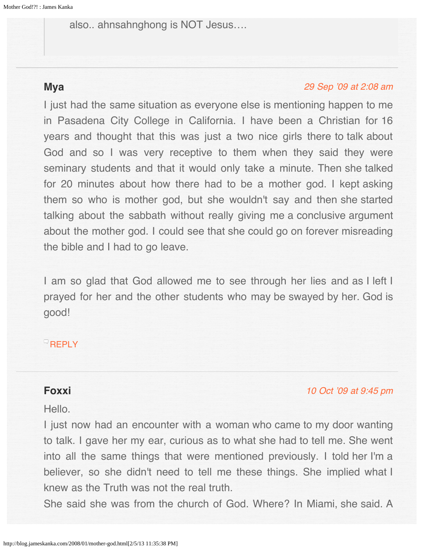<span id="page-48-1"></span><span id="page-48-0"></span>also.. ahnsahnghong is NOT Jesus….

# <span id="page-48-2"></span>**Mya**

#### [29 Sep '09 at 2:08 am](#page-48-2)

I just had the same situation as everyone else is mentioning happen to me in Pasadena City College in California. I have been a Christian for 16 years and thought that this was just a two nice girls there to talk about God and so I was very receptive to them when they said they were seminary students and that it would only take a minute. Then she talked for 20 minutes about how there had to be a mother god. I kept asking them so who is mother god, but she wouldn't say and then she started talking about the sabbath without really giving me a conclusive argument about the mother god. I could see that she could go on forever misreading the bible and I had to go leave.

I am so glad that God allowed me to see through her lies and as I left I prayed for her and the other students who may be swayed by her. God is good!

# **[REPLY](http://blog.jameskanka.com/2008/01/mother-god.html?replytocom=129#respond)**

# **Foxxi**

#### Hello.

#### [10 Oct '09 at 9:45 pm](#page-49-0)

I just now had an encounter with a woman who came to my door wanting to talk. I gave her my ear, curious as to what she had to tell me. She went into all the same things that were mentioned previously. I told her I'm a believer, so she didn't need to tell me these things. She implied what I knew as the Truth was not the real truth.

She said she was from the church of God. Where? In Miami, she said. A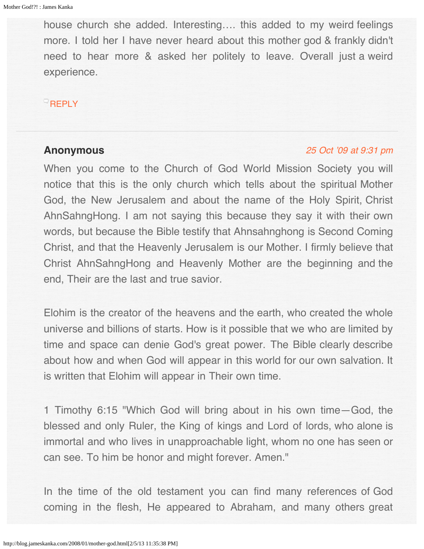<span id="page-49-0"></span>house church she added. Interesting…. this added to my weird feelings more. I told her I have never heard about this mother god & frankly didn't need to hear more & asked her politely to leave. Overall just a weird experience.

## $^{\circ}$ [REPLY](http://blog.jameskanka.com/2008/01/mother-god.html?replytocom=131#respond)

#### **Anonymous**

#### [25 Oct '09 at 9:31 pm](#page-51-0)

When you come to the Church of God World Mission Society you will notice that this is the only church which tells about the spiritual Mother God, the New Jerusalem and about the name of the Holy Spirit, Christ AhnSahngHong. I am not saying this because they say it with their own words, but because the Bible testify that Ahnsahnghong is Second Coming Christ, and that the Heavenly Jerusalem is our Mother. I firmly believe that Christ AhnSahngHong and Heavenly Mother are the beginning and the end, Their are the last and true savior.

Elohim is the creator of the heavens and the earth, who created the whole universe and billions of starts. How is it possible that we who are limited by time and space can denie God's great power. The Bible clearly describe about how and when God will appear in this world for our own salvation. It is written that Elohim will appear in Their own time.

1 Timothy 6:15 "Which God will bring about in his own time—God, the blessed and only Ruler, the King of kings and Lord of lords, who alone is immortal and who lives in unapproachable light, whom no one has seen or can see. To him be honor and might forever. Amen."

In the time of the old testament you can find many references of God coming in the flesh, He appeared to Abraham, and many others great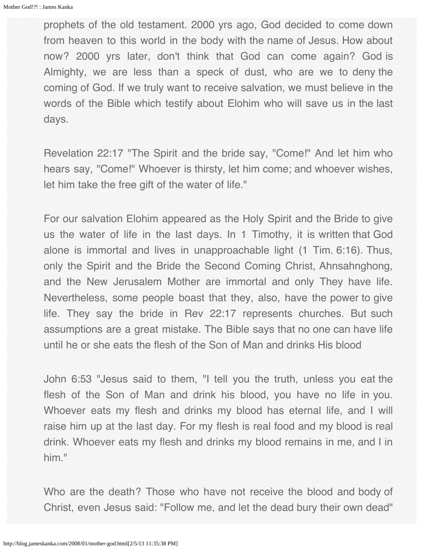prophets of the old testament. 2000 yrs ago, God decided to come down from heaven to this world in the body with the name of Jesus. How about now? 2000 yrs later, don't think that God can come again? God is Almighty, we are less than a speck of dust, who are we to deny the coming of God. If we truly want to receive salvation, we must believe in the words of the Bible which testify about Elohim who will save us in the last days.

Revelation 22:17 "The Spirit and the bride say, "Come!" And let him who hears say, "Come!" Whoever is thirsty, let him come; and whoever wishes, let him take the free gift of the water of life."

For our salvation Elohim appeared as the Holy Spirit and the Bride to give us the water of life in the last days. In 1 Timothy, it is written that God alone is immortal and lives in unapproachable light (1 Tim. 6:16). Thus, only the Spirit and the Bride the Second Coming Christ, Ahnsahnghong, and the New Jerusalem Mother are immortal and only They have life. Nevertheless, some people boast that they, also, have the power to give life. They say the bride in Rev 22:17 represents churches. But such assumptions are a great mistake. The Bible says that no one can have life until he or she eats the flesh of the Son of Man and drinks His blood

John 6:53 "Jesus said to them, "I tell you the truth, unless you eat the flesh of the Son of Man and drink his blood, you have no life in you. Whoever eats my flesh and drinks my blood has eternal life, and I will raise him up at the last day. For my flesh is real food and my blood is real drink. Whoever eats my flesh and drinks my blood remains in me, and I in him."

Who are the death? Those who have not receive the blood and body of Christ, even Jesus said: "Follow me, and let the dead bury their own dead"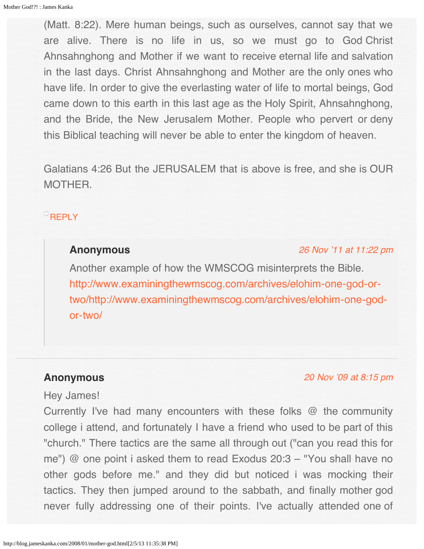<span id="page-51-0"></span>(Matt. 8:22). Mere human beings, such as ourselves, cannot say that we are alive. There is no life in us, so we must go to God Christ Ahnsahnghong and Mother if we want to receive eternal life and salvation in the last days. Christ Ahnsahnghong and Mother are the only ones who have life. In order to give the everlasting water of life to mortal beings, God came down to this earth in this last age as the Holy Spirit, Ahnsahnghong, and the Bride, the New Jerusalem Mother. People who pervert or deny this Biblical teaching will never be able to enter the kingdom of heaven.

Galatians 4:26 But the JERUSALEM that is above is free, and she is OUR MOTHER.

## <span id="page-51-1"></span>**[REPLY](http://blog.jameskanka.com/2008/01/mother-god.html?replytocom=132#respond)**

## **Anonymous**

[26 Nov '11 at 11:22 pm](#page-51-1)

Another example of how the WMSCOG misinterprets the Bible. [http://www.examiningthewmscog.com/archives/elohim-one-god-or](http://www.examiningthewmscog.com/archives/elohim-one-god-or-two/http://www.examiningthewmscog.com/archives/elohim-one-god-or-two/)[two/http://www.examiningthewmscog.com/archives/elohim-one-god](http://www.examiningthewmscog.com/archives/elohim-one-god-or-two/http://www.examiningthewmscog.com/archives/elohim-one-god-or-two/)[or-two/](http://www.examiningthewmscog.com/archives/elohim-one-god-or-two/http://www.examiningthewmscog.com/archives/elohim-one-god-or-two/)

## **Anonymous**

[20 Nov '09 at 8:15 pm](#page-52-0)

## Hey James!

Currently I've had many encounters with these folks @ the community college i attend, and fortunately I have a friend who used to be part of this "church." There tactics are the same all through out ("can you read this for me") @ one point i asked them to read Exodus 20:3 – "You shall have no other gods before me." and they did but noticed i was mocking their tactics. They then jumped around to the sabbath, and finally mother god never fully addressing one of their points. I've actually attended one of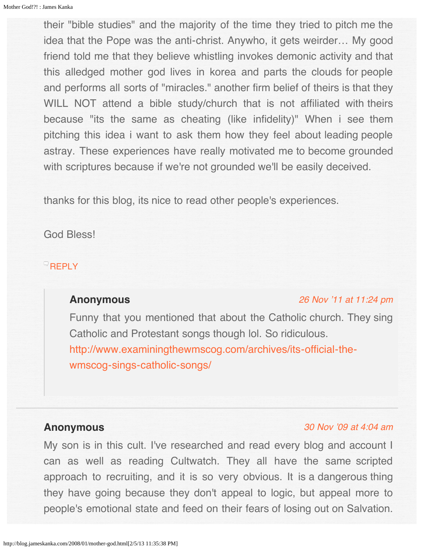<span id="page-52-0"></span>their "bible studies" and the majority of the time they tried to pitch me the idea that the Pope was the anti-christ. Anywho, it gets weirder… My good friend told me that they believe whistling invokes demonic activity and that this alledged mother god lives in korea and parts the clouds for people and performs all sorts of "miracles." another firm belief of theirs is that they WILL NOT attend a bible study/church that is not affiliated with theirs because "its the same as cheating (like infidelity)" When i see them pitching this idea i want to ask them how they feel about leading people astray. These experiences have really motivated me to become grounded with scriptures because if we're not grounded we'll be easily deceived.

thanks for this blog, its nice to read other people's experiences.

God Bless!

## <span id="page-52-1"></span> $R$ [REPLY](http://blog.jameskanka.com/2008/01/mother-god.html?replytocom=134#respond)

# **Anonymous**

#### [26 Nov '11 at 11:24 pm](#page-52-1)

Funny that you mentioned that about the Catholic church. They sing Catholic and Protestant songs though lol. So ridiculous. [http://www.examiningthewmscog.com/archives/its-official-the](http://www.examiningthewmscog.com/archives/its-official-the-wmscog-sings-catholic-songs/)[wmscog-sings-catholic-songs/](http://www.examiningthewmscog.com/archives/its-official-the-wmscog-sings-catholic-songs/)

## **Anonymous**

#### [30 Nov '09 at 4:04 am](#page-53-0)

My son is in this cult. I've researched and read every blog and account I can as well as reading Cultwatch. They all have the same scripted approach to recruiting, and it is so very obvious. It is a dangerous thing they have going because they don't appeal to logic, but appeal more to people's emotional state and feed on their fears of losing out on Salvation.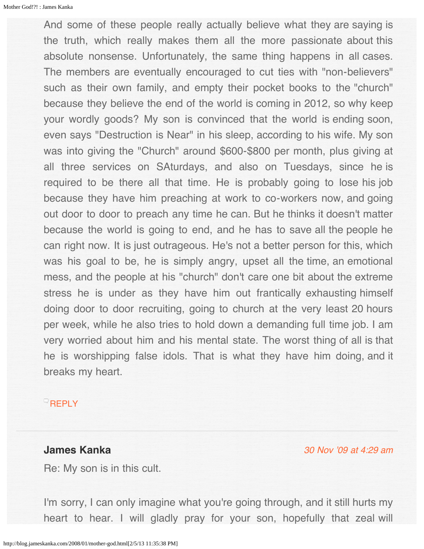<span id="page-53-0"></span>And some of these people really actually believe what they are saying is the truth, which really makes them all the more passionate about this absolute nonsense. Unfortunately, the same thing happens in all cases. The members are eventually encouraged to cut ties with "non-believers" such as their own family, and empty their pocket books to the "church" because they believe the end of the world is coming in 2012, so why keep your wordly goods? My son is convinced that the world is ending soon, even says "Destruction is Near" in his sleep, according to his wife. My son was into giving the "Church" around \$600-\$800 per month, plus giving at all three services on SAturdays, and also on Tuesdays, since he is required to be there all that time. He is probably going to lose his job because they have him preaching at work to co-workers now, and going out door to door to preach any time he can. But he thinks it doesn't matter because the world is going to end, and he has to save all the people he can right now. It is just outrageous. He's not a better person for this, which was his goal to be, he is simply angry, upset all the time, an emotional mess, and the people at his "church" don't care one bit about the extreme stress he is under as they have him out frantically exhausting himself doing door to door recruiting, going to church at the very least 20 hours per week, while he also tries to hold down a demanding full time job. I am very worried about him and his mental state. The worst thing of all is that he is worshipping false idols. That is what they have him doing, and it breaks my heart.

## **[REPLY](http://blog.jameskanka.com/2008/01/mother-god.html?replytocom=135#respond)**

## **James Kanka**

[30 Nov '09 at 4:29 am](#page-54-0)

Re: My son is in this cult.

I'm sorry, I can only imagine what you're going through, and it still hurts my heart to hear. I will gladly pray for your son, hopefully that zeal will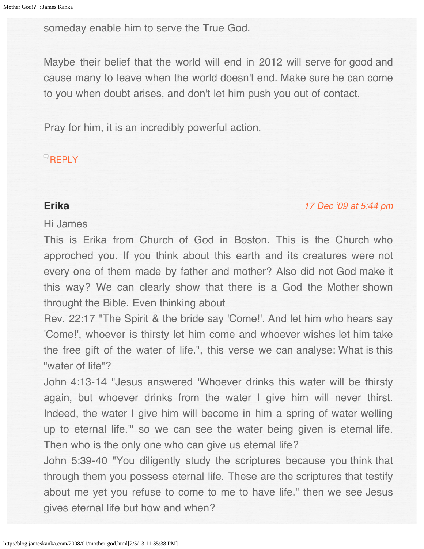<span id="page-54-0"></span>someday enable him to serve the True God.

Maybe their belief that the world will end in 2012 will serve for good and cause many to leave when the world doesn't end. Make sure he can come to you when doubt arises, and don't let him push you out of contact.

Pray for him, it is an incredibly powerful action.

## **[REPLY](http://blog.jameskanka.com/2008/01/mother-god.html?replytocom=136#respond)**

# **Erika**

## [17 Dec '09 at 5:44 pm](#page-56-0)

# Hi James

This is Erika from Church of God in Boston. This is the Church who approched you. If you think about this earth and its creatures were not every one of them made by father and mother? Also did not God make it this way? We can clearly show that there is a God the Mother shown throught the Bible. Even thinking about

Rev. 22:17 "The Spirit & the bride say 'Come!'. And let him who hears say 'Come!', whoever is thirsty let him come and whoever wishes let him take the free gift of the water of life.", this verse we can analyse: What is this "water of life"?

John 4:13-14 "Jesus answered 'Whoever drinks this water will be thirsty again, but whoever drinks from the water I give him will never thirst. Indeed, the water I give him will become in him a spring of water welling up to eternal life.'" so we can see the water being given is eternal life. Then who is the only one who can give us eternal life?

John 5:39-40 "You diligently study the scriptures because you think that through them you possess eternal life. These are the scriptures that testify about me yet you refuse to come to me to have life." then we see Jesus gives eternal life but how and when?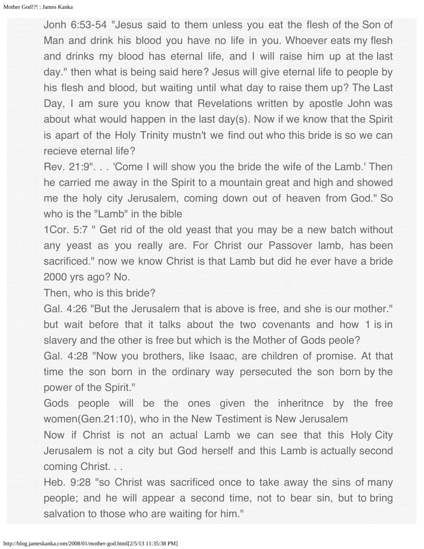Jonh 6:53-54 "Jesus said to them unless you eat the flesh of the Son of Man and drink his blood you have no life in you. Whoever eats my flesh and drinks my blood has eternal life, and I will raise him up at the last day." then what is being said here? Jesus will give eternal life to people by his flesh and blood, but waiting until what day to raise them up? The Last Day, I am sure you know that Revelations written by apostle John was about what would happen in the last day(s). Now if we know that the Spirit is apart of the Holy Trinity mustn't we find out who this bride is so we can recieve eternal life?

Rev. 21:9". . . 'Come I will show you the bride the wife of the Lamb.' Then he carried me away in the Spirit to a mountain great and high and showed me the holy city Jerusalem, coming down out of heaven from God." So who is the "Lamb" in the bible

1Cor. 5:7 " Get rid of the old yeast that you may be a new batch without any yeast as you really are. For Christ our Passover lamb, has been sacrificed." now we know Christ is that Lamb but did he ever have a bride 2000 yrs ago? No.

Then, who is this bride?

Gal. 4:26 "But the Jerusalem that is above is free, and she is our mother." but wait before that it talks about the two covenants and how 1 is in slavery and the other is free but which is the Mother of Gods peole?

Gal. 4:28 "Now you brothers, like Isaac, are children of promise. At that time the son born in the ordinary way persecuted the son born by the power of the Spirit."

Gods people will be the ones given the inheritnce by the free women(Gen.21:10), who in the New Testiment is New Jerusalem

Now if Christ is not an actual Lamb we can see that this Holy City Jerusalem is not a city but God herself and this Lamb is actually second coming Christ...

Heb. 9:28 "so Christ was sacrificed once to take away the sins of many people; and he will appear a second time, not to bear sin, but to bring salvation to those who are waiting for him."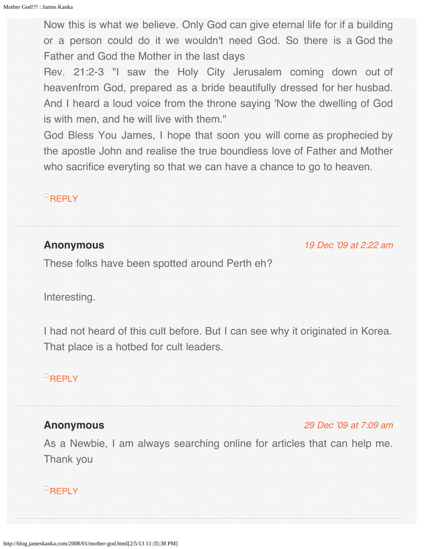<span id="page-56-0"></span>Now this is what we believe. Only God can give eternal life for if a building or a person could do it we wouldn't need God. So there is a God the Father and God the Mother in the last days

Rev. 21:2-3 "I saw the Holy City Jerusalem coming down out of heavenfrom God, prepared as a bride beautifully dressed for her husbad. And I heard a loud voice from the throne saying 'Now the dwelling of God is with men, and he will live with them."

God Bless You James, I hope that soon you will come as prophecied by the apostle John and realise the true boundless love of Father and Mother who sacrifice everyting so that we can have a chance to go to heaven.

### **[REPLY](http://blog.jameskanka.com/2008/01/mother-god.html?replytocom=143#respond)**

## <span id="page-56-1"></span>**Anonymous**

[19 Dec '09 at 2:22 am](#page-56-1)

These folks have been spotted around Perth eh?

Interesting.

I had not heard of this cult before. But I can see why it originated in Korea. That place is a hotbed for cult leaders.

# $R$ [REPLY](http://blog.jameskanka.com/2008/01/mother-god.html?replytocom=145#respond)

# <span id="page-56-2"></span>**Anonymous**

[29 Dec '09 at 7:09 am](#page-56-2)

As a Newbie, I am always searching online for articles that can help me. Thank you

## **[REPLY](http://blog.jameskanka.com/2008/01/mother-god.html?replytocom=148#respond)**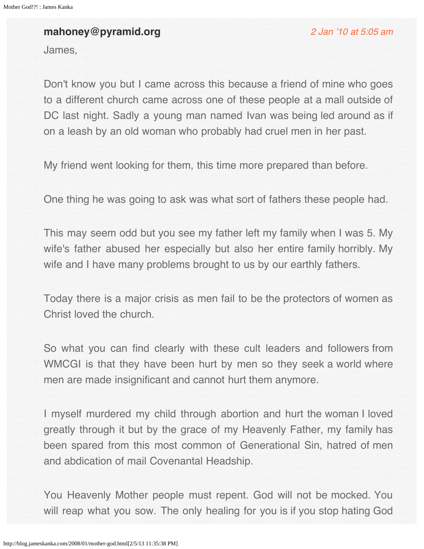# **mahoney@pyramid.org**

[2 Jan '10 at 5:05 am](#page-58-0)

James,

Don't know you but I came across this because a friend of mine who goes to a different church came across one of these people at a mall outside of DC last night. Sadly a young man named Ivan was being led around as if on a leash by an old woman who probably had cruel men in her past.

My friend went looking for them, this time more prepared than before.

One thing he was going to ask was what sort of fathers these people had.

This may seem odd but you see my father left my family when I was 5. My wife's father abused her especially but also her entire family horribly. My wife and I have many problems brought to us by our earthly fathers.

Today there is a major crisis as men fail to be the protectors of women as Christ loved the church.

So what you can find clearly with these cult leaders and followers from WMCGI is that they have been hurt by men so they seek a world where men are made insignificant and cannot hurt them anymore.

I myself murdered my child through abortion and hurt the woman I loved greatly through it but by the grace of my Heavenly Father, my family has been spared from this most common of Generational Sin, hatred of men and abdication of mail Covenantal Headship.

You Heavenly Mother people must repent. God will not be mocked. You will reap what you sow. The only healing for you is if you stop hating God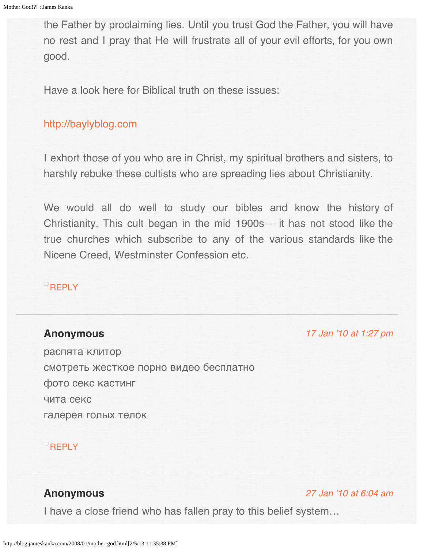<span id="page-58-0"></span>the Father by proclaiming lies. Until you trust God the Father, you will have no rest and I pray that He will frustrate all of your evil efforts, for you own good.

Have a look here for Biblical truth on these issues:

# [http://baylyblog.com](http://baylyblog.com/)

I exhort those of you who are in Christ, my spiritual brothers and sisters, to harshly rebuke these cultists who are spreading lies about Christianity.

We would all do well to study our bibles and know the history of Christianity. This cult began in the mid 1900s – it has not stood like the true churches which subscribe to any of the various standards like the Nicene Creed, Westminster Confession etc.

## **[REPLY](http://blog.jameskanka.com/2008/01/mother-god.html?replytocom=149#respond)**

## <span id="page-58-1"></span>**Anonymous**

[17 Jan '10 at 1:27 pm](#page-58-1)

распята клитор смотреть жесткое порно видео бесплатно фото секс кастинг чита секс галерея голых телок

## $R$ [REPLY](http://blog.jameskanka.com/2008/01/mother-god.html?replytocom=155#respond)

# **Anonymous**

#### [27 Jan '10 at 6:04 am](#page-60-0)

I have a close friend who has fallen pray to this belief system…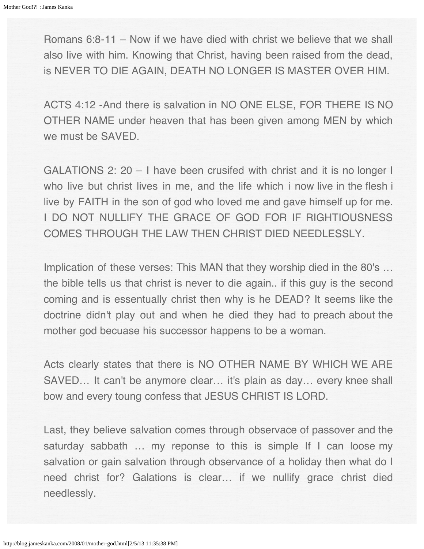Romans 6:8-11 – Now if we have died with christ we believe that we shall also live with him. Knowing that Christ, having been raised from the dead, is NEVER TO DIE AGAIN, DEATH NO LONGER IS MASTER OVER HIM.

ACTS 4:12 -And there is salvation in NO ONE ELSE, FOR THERE IS NO OTHER NAME under heaven that has been given among MEN by which we must be SAVED.

GALATIONS 2: 20 – I have been crusifed with christ and it is no longer I who live but christ lives in me, and the life which i now live in the flesh i live by FAITH in the son of god who loved me and gave himself up for me. I DO NOT NULLIFY THE GRACE OF GOD FOR IF RIGHTIOUSNESS COMES THROUGH THE LAW THEN CHRIST DIED NEEDLESSLY.

Implication of these verses: This MAN that they worship died in the 80's ... the bible tells us that christ is never to die again.. if this guy is the second coming and is essentually christ then why is he DEAD? It seems like the doctrine didn't play out and when he died they had to preach about the mother god becuase his successor happens to be a woman.

Acts clearly states that there is NO OTHER NAME BY WHICH WE ARE SAVED… It can't be anymore clear… it's plain as day… every knee shall bow and every toung confess that JESUS CHRIST IS LORD.

Last, they believe salvation comes through observace of passover and the saturday sabbath ... my reponse to this is simple If I can loose my salvation or gain salvation through observance of a holiday then what do I need christ for? Galations is clear… if we nullify grace christ died needlessly.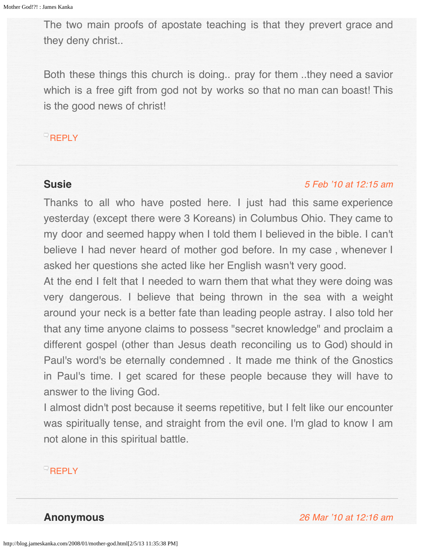<span id="page-60-0"></span>The two main proofs of apostate teaching is that they prevert grace and they deny christ..

Both these things this church is doing.. pray for them ..they need a savior which is a free gift from god not by works so that no man can boast! This is the good news of christ!

## **[REPLY](http://blog.jameskanka.com/2008/01/mother-god.html?replytocom=157#respond)**

# <span id="page-60-1"></span>**Susie**

#### [5 Feb '10 at 12:15 am](#page-60-1)

Thanks to all who have posted here. I just had this same experience yesterday (except there were 3 Koreans) in Columbus Ohio. They came to my door and seemed happy when I told them I believed in the bible. I can't believe I had never heard of mother god before. In my case , whenever I asked her questions she acted like her English wasn't very good.

At the end I felt that I needed to warn them that what they were doing was very dangerous. I believe that being thrown in the sea with a weight around your neck is a better fate than leading people astray. I also told her that any time anyone claims to possess "secret knowledge" and proclaim a different gospel (other than Jesus death reconciling us to God) should in Paul's word's be eternally condemned . It made me think of the Gnostics in Paul's time. I get scared for these people because they will have to answer to the living God.

I almost didn't post because it seems repetitive, but I felt like our encounter was spiritually tense, and straight from the evil one. I'm glad to know I am not alone in this spiritual battle.

## **[REPLY](http://blog.jameskanka.com/2008/01/mother-god.html?replytocom=165#respond)**

**Anonymous** [26 Mar '10 at 12:16 am](#page-61-0)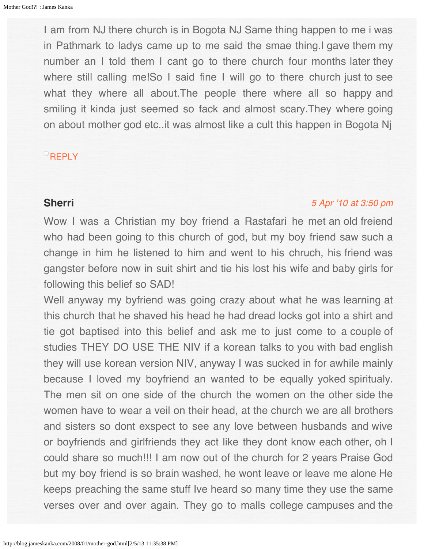<span id="page-61-0"></span>I am from NJ there church is in Bogota NJ Same thing happen to me i was in Pathmark to ladys came up to me said the smae thing.I gave them my number an I told them I cant go to there church four months later they where still calling me!So I said fine I will go to there church just to see what they where all about. The people there where all so happy and smiling it kinda just seemed so fack and almost scary.They where going on about mother god etc..it was almost like a cult this happen in Bogota Nj

## $R$ [REPLY](http://blog.jameskanka.com/2008/01/mother-god.html?replytocom=166#respond)

# **Sherri**

#### [5 Apr '10 at 3:50 pm](#page-62-0)

Wow I was a Christian my boy friend a Rastafari he met an old freiend who had been going to this church of god, but my boy friend saw such a change in him he listened to him and went to his chruch, his friend was gangster before now in suit shirt and tie his lost his wife and baby girls for following this belief so SAD!

Well anyway my byfriend was going crazy about what he was learning at this church that he shaved his head he had dread locks got into a shirt and tie got baptised into this belief and ask me to just come to a couple of studies THEY DO USE THE NIV if a korean talks to you with bad english they will use korean version NIV, anyway I was sucked in for awhile mainly because I loved my boyfriend an wanted to be equally yoked spiritualy. The men sit on one side of the church the women on the other side the women have to wear a veil on their head, at the church we are all brothers and sisters so dont exspect to see any love between husbands and wive or boyfriends and girlfriends they act like they dont know each other, oh I could share so much!!! I am now out of the church for 2 years Praise God but my boy friend is so brain washed, he wont leave or leave me alone He keeps preaching the same stuff Ive heard so many time they use the same verses over and over again. They go to malls college campuses and the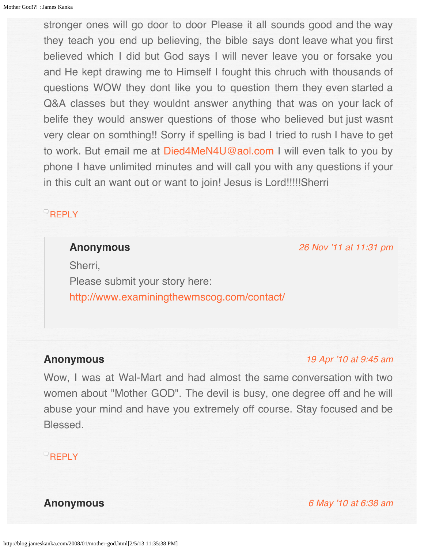<span id="page-62-0"></span>stronger ones will go door to door Please it all sounds good and the way they teach you end up believing, the bible says dont leave what you first believed which I did but God says I will never leave you or forsake you and He kept drawing me to Himself I fought this chruch with thousands of questions WOW they dont like you to question them they even started a Q&A classes but they wouldnt answer anything that was on your lack of belife they would answer questions of those who believed but just wasnt very clear on somthing!! Sorry if spelling is bad I tried to rush I have to get to work. But email me at [Died4MeN4U@aol.com](mailto:Died4MeN4U@aol.com) I will even talk to you by phone I have unlimited minutes and will call you with any questions if your in this cult an want out or want to join! Jesus is Lord!!!!!Sherri

## <span id="page-62-1"></span>**[REPLY](http://blog.jameskanka.com/2008/01/mother-god.html?replytocom=167#respond)**

#### **Anonymous**

[26 Nov '11 at 11:31 pm](#page-62-1)

Sherri, Please submit your story here: <http://www.examiningthewmscog.com/contact/>

## <span id="page-62-2"></span>**Anonymous**

#### [19 Apr '10 at 9:45 am](#page-62-2)

Wow, I was at Wal-Mart and had almost the same conversation with two women about "Mother GOD". The devil is busy, one degree off and he will abuse your mind and have you extremely off course. Stay focused and be **Blessed** 

# $R$ [REPLY](http://blog.jameskanka.com/2008/01/mother-god.html?replytocom=168#respond)

**Anonymous** [6 May '10 at 6:38 am](#page-63-0)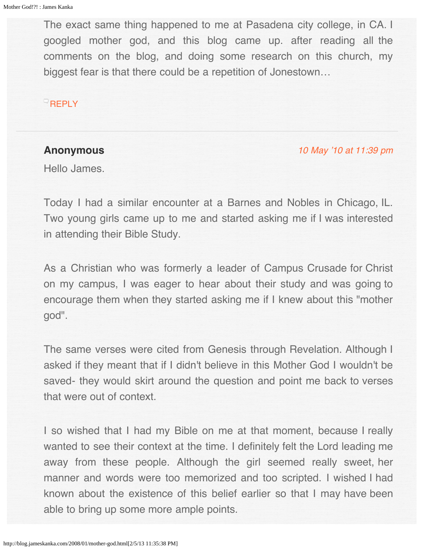<span id="page-63-0"></span>The exact same thing happened to me at Pasadena city college, in CA. I googled mother god, and this blog came up. after reading all the comments on the blog, and doing some research on this church, my biggest fear is that there could be a repetition of Jonestown…

## $\overline{\phantom{a}}$ [REPLY](http://blog.jameskanka.com/2008/01/mother-god.html?replytocom=169#respond)

# **Anonymous**

#### [10 May '10 at 11:39 pm](#page-64-0)

Hello James.

Today I had a similar encounter at a Barnes and Nobles in Chicago, IL. Two young girls came up to me and started asking me if I was interested in attending their Bible Study.

As a Christian who was formerly a leader of Campus Crusade for Christ on my campus, I was eager to hear about their study and was going to encourage them when they started asking me if I knew about this "mother god".

The same verses were cited from Genesis through Revelation. Although I asked if they meant that if I didn't believe in this Mother God I wouldn't be saved- they would skirt around the question and point me back to verses that were out of context.

I so wished that I had my Bible on me at that moment, because I really wanted to see their context at the time. I definitely felt the Lord leading me away from these people. Although the girl seemed really sweet, her manner and words were too memorized and too scripted. I wished I had known about the existence of this belief earlier so that I may have been able to bring up some more ample points.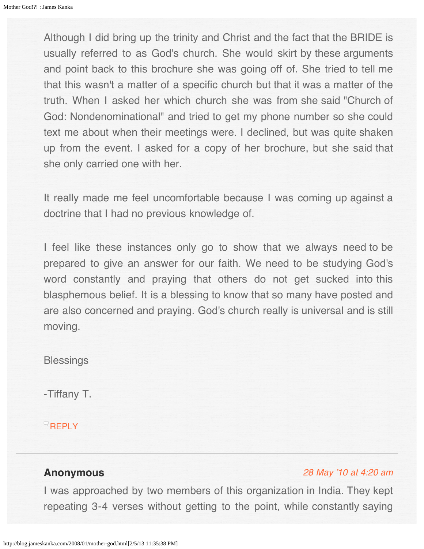<span id="page-64-0"></span>Although I did bring up the trinity and Christ and the fact that the BRIDE is usually referred to as God's church. She would skirt by these arguments and point back to this brochure she was going off of. She tried to tell me that this wasn't a matter of a specific church but that it was a matter of the truth. When I asked her which church she was from she said "Church of God: Nondenominational" and tried to get my phone number so she could text me about when their meetings were. I declined, but was quite shaken up from the event. I asked for a copy of her brochure, but she said that she only carried one with her.

It really made me feel uncomfortable because I was coming up against a doctrine that I had no previous knowledge of.

I feel like these instances only go to show that we always need to be prepared to give an answer for our faith. We need to be studying God's word constantly and praying that others do not get sucked into this blasphemous belief. It is a blessing to know that so many have posted and are also concerned and praying. God's church really is universal and is still moving.

## **Blessings**

-Tiffany T.

**[REPLY](http://blog.jameskanka.com/2008/01/mother-god.html?replytocom=170#respond)** 

## **Anonymous**

## [28 May '10 at 4:20 am](#page-65-0)

I was approached by two members of this organization in India. They kept repeating 3-4 verses without getting to the point, while constantly saying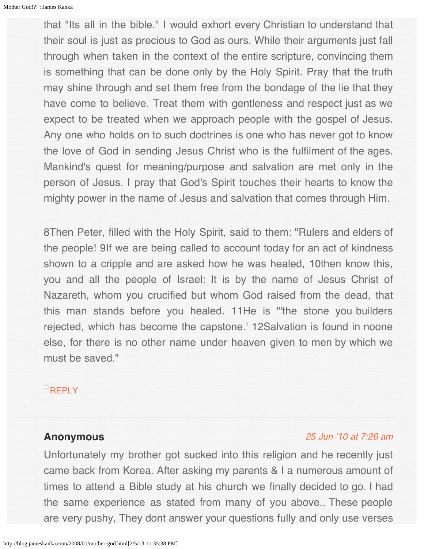<span id="page-65-0"></span>that "Its all in the bible." I would exhort every Christian to understand that their soul is just as precious to God as ours. While their arguments just fall through when taken in the context of the entire scripture, convincing them is something that can be done only by the Holy Spirit. Pray that the truth may shine through and set them free from the bondage of the lie that they have come to believe. Treat them with gentleness and respect just as we expect to be treated when we approach people with the gospel of Jesus. Any one who holds on to such doctrines is one who has never got to know the love of God in sending Jesus Christ who is the fulfilment of the ages. Mankind's quest for meaning/purpose and salvation are met only in the person of Jesus. I pray that God's Spirit touches their hearts to know the mighty power in the name of Jesus and salvation that comes through Him.

8Then Peter, filled with the Holy Spirit, said to them: "Rulers and elders of the people! 9If we are being called to account today for an act of kindness shown to a cripple and are asked how he was healed, 10then know this, you and all the people of Israel: It is by the name of Jesus Christ of Nazareth, whom you crucified but whom God raised from the dead, that this man stands before you healed. 11He is "'the stone you builders rejected, which has become the capstone.' 12Salvation is found in noone else, for there is no other name under heaven given to men by which we must be saved."

## **[REPLY](http://blog.jameskanka.com/2008/01/mother-god.html?replytocom=172#respond)**

## **Anonymous**

## [25 Jun '10 at 7:26 am](#page-66-0)

Unfortunately my brother got sucked into this religion and he recently just came back from Korea. After asking my parents & I a numerous amount of times to attend a Bible study at his church we finally decided to go. I had the same experience as stated from many of you above.. These people are very pushy, They dont answer your questions fully and only use verses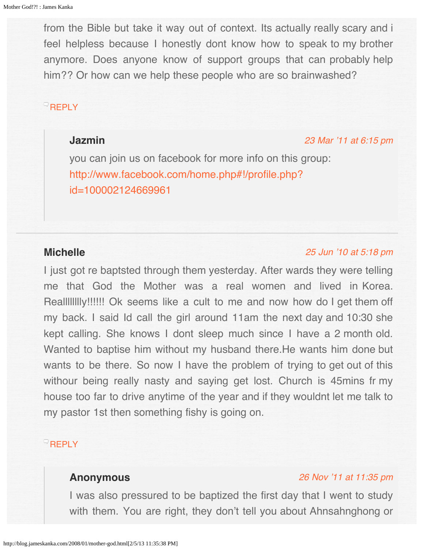<span id="page-66-0"></span>from the Bible but take it way out of context. Its actually really scary and i feel helpless because I honestly dont know how to speak to my brother anymore. Does anyone know of support groups that can probably help him?? Or how can we help these people who are so brainwashed?

# <span id="page-66-1"></span>**[REPLY](http://blog.jameskanka.com/2008/01/mother-god.html?replytocom=173#respond)**

# **Jazmin**

#### [23 Mar '11 at 6:15 pm](#page-66-1)

you can join us on facebook for more info on this group: [http://www.facebook.com/home.php#!/profile.php?](http://www.facebook.com/home.php#!/profile.php?id=100002124669961) [id=100002124669961](http://www.facebook.com/home.php#!/profile.php?id=100002124669961)

# **Michelle**

#### [25 Jun '10 at 5:18 pm](#page-67-0)

I just got re baptsted through them yesterday. After wards they were telling me that God the Mother was a real women and lived in Korea. Realllllllly!!!!!! Ok seems like a cult to me and now how do I get them off my back. I said Id call the girl around 11am the next day and 10:30 she kept calling. She knows I dont sleep much since I have a 2 month old. Wanted to baptise him without my husband there.He wants him done but wants to be there. So now I have the problem of trying to get out of this withour being really nasty and saying get lost. Church is 45mins fr my house too far to drive anytime of the year and if they wouldnt let me talk to my pastor 1st then something fishy is going on.

# **[REPLY](http://blog.jameskanka.com/2008/01/mother-god.html?replytocom=174#respond)**

## **Anonymous**

## [26 Nov '11 at 11:35 pm](#page-67-1)

I was also pressured to be baptized the first day that I went to study with them. You are right, they don't tell you about Ahnsahnghong or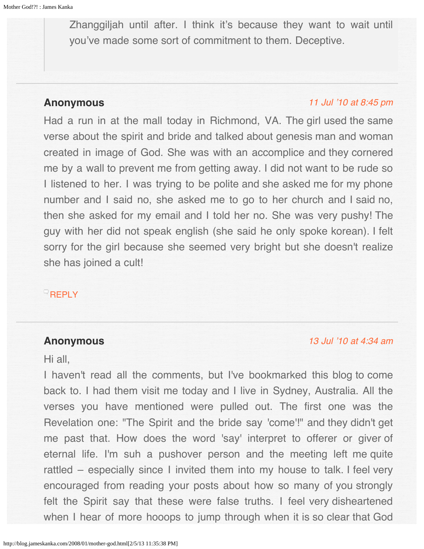<span id="page-67-1"></span><span id="page-67-0"></span>Zhanggiljah until after. I think it's because they want to wait until you've made some sort of commitment to them. Deceptive.

## <span id="page-67-2"></span>**Anonymous**

#### [11 Jul '10 at 8:45 pm](#page-67-2)

Had a run in at the mall today in Richmond, VA. The girl used the same verse about the spirit and bride and talked about genesis man and woman created in image of God. She was with an accomplice and they cornered me by a wall to prevent me from getting away. I did not want to be rude so I listened to her. I was trying to be polite and she asked me for my phone number and I said no, she asked me to go to her church and I said no, then she asked for my email and I told her no. She was very pushy! The guy with her did not speak english (she said he only spoke korean). I felt sorry for the girl because she seemed very bright but she doesn't realize she has joined a cult!

# $\overline{\phantom{a}}$ [REPLY](http://blog.jameskanka.com/2008/01/mother-god.html?replytocom=175#respond)

## **Anonymous**

#### [13 Jul '10 at 4:34 am](#page-68-0)

Hi all,

I haven't read all the comments, but I've bookmarked this blog to come back to. I had them visit me today and I live in Sydney, Australia. All the verses you have mentioned were pulled out. The first one was the Revelation one: "The Spirit and the bride say 'come'!" and they didn't get me past that. How does the word 'say' interpret to offerer or giver of eternal life. I'm suh a pushover person and the meeting left me quite rattled – especially since I invited them into my house to talk. I feel very encouraged from reading your posts about how so many of you strongly felt the Spirit say that these were false truths. I feel very disheartened when I hear of more hooops to jump through when it is so clear that God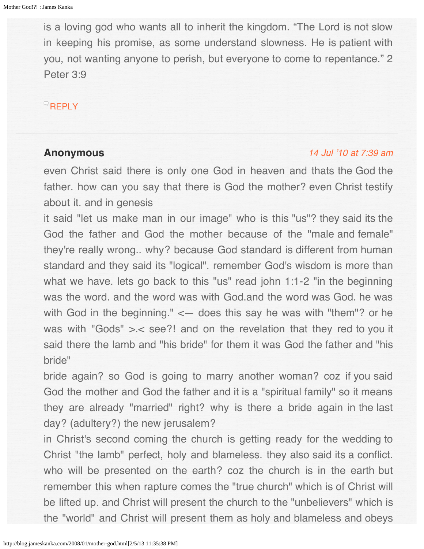<span id="page-68-0"></span>is a loving god who wants all to inherit the kingdom. "The Lord is not slow in keeping his promise, as some understand slowness. He is patient with you, not wanting anyone to perish, but everyone to come to repentance." 2 Peter 3:9

## [REPLY](http://blog.jameskanka.com/2008/01/mother-god.html?replytocom=176#respond)

## **Anonymous**

#### [14 Jul '10 at 7:39 am](#page-69-0)

even Christ said there is only one God in heaven and thats the God the father. how can you say that there is God the mother? even Christ testify about it. and in genesis

it said "let us make man in our image" who is this "us"? they said its the God the father and God the mother because of the "male and female" they're really wrong.. why? because God standard is different from human standard and they said its "logical". remember God's wisdom is more than what we have. lets go back to this "us" read john 1:1-2 "in the beginning was the word. and the word was with God.and the word was God. he was with God in the beginning."  $\leq$  does this say he was with "them"? or he was with "Gods" >.< see?! and on the revelation that they red to you it said there the lamb and "his bride" for them it was God the father and "his bride"

bride again? so God is going to marry another woman? coz if you said God the mother and God the father and it is a "spiritual family" so it means they are already "married" right? why is there a bride again in the last day? (adultery?) the new jerusalem?

in Christ's second coming the church is getting ready for the wedding to Christ "the lamb" perfect, holy and blameless. they also said its a conflict. who will be presented on the earth? coz the church is in the earth but remember this when rapture comes the "true church" which is of Christ will be lifted up. and Christ will present the church to the "unbelievers" which is the "world" and Christ will present them as holy and blameless and obeys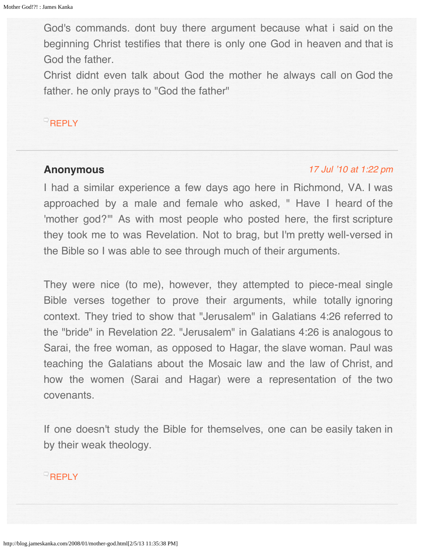<span id="page-69-0"></span>God's commands. dont buy there argument because what i said on the beginning Christ testifies that there is only one God in heaven and that is God the father.

Christ didnt even talk about God the mother he always call on God the father. he only prays to "God the father"

# **[REPLY](http://blog.jameskanka.com/2008/01/mother-god.html?replytocom=177#respond)**

## <span id="page-69-1"></span>**Anonymous**

#### [17 Jul '10 at 1:22 pm](#page-69-1)

I had a similar experience a few days ago here in Richmond, VA. I was approached by a male and female who asked, " Have I heard of the 'mother god?'" As with most people who posted here, the first scripture they took me to was Revelation. Not to brag, but I'm pretty well-versed in the Bible so I was able to see through much of their arguments.

They were nice (to me), however, they attempted to piece-meal single Bible verses together to prove their arguments, while totally ignoring context. They tried to show that "Jerusalem" in Galatians 4:26 referred to the "bride" in Revelation 22. "Jerusalem" in Galatians 4:26 is analogous to Sarai, the free woman, as opposed to Hagar, the slave woman. Paul was teaching the Galatians about the Mosaic law and the law of Christ, and how the women (Sarai and Hagar) were a representation of the two covenants.

If one doesn't study the Bible for themselves, one can be easily taken in by their weak theology.

## **[REPLY](http://blog.jameskanka.com/2008/01/mother-god.html?replytocom=178#respond)**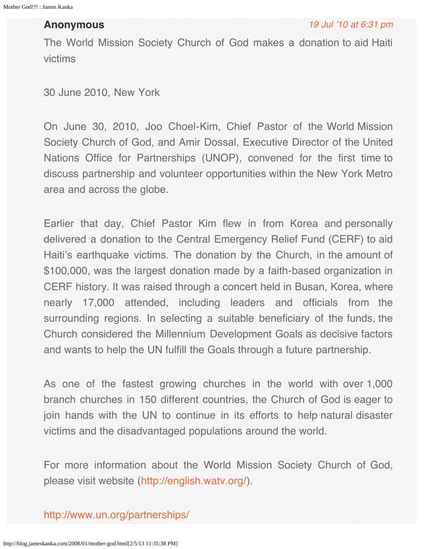## **Anonymous**

The World Mission Society Church of God makes a donation to aid Haiti victims

30 June 2010, New York

On June 30, 2010, Joo Choel-Kim, Chief Pastor of the World Mission Society Church of God, and Amir Dossal, Executive Director of the United Nations Office for Partnerships (UNOP), convened for the first time to discuss partnership and volunteer opportunities within the New York Metro area and across the globe.

Earlier that day, Chief Pastor Kim flew in from Korea and personally delivered a donation to the Central Emergency Relief Fund (CERF) to aid Haiti's earthquake victims. The donation by the Church, in the amount of \$100,000, was the largest donation made by a faith-based organization in CERF history. It was raised through a concert held in Busan, Korea, where nearly 17,000 attended, including leaders and officials from the surrounding regions. In selecting a suitable beneficiary of the funds, the Church considered the Millennium Development Goals as decisive factors and wants to help the UN fulfill the Goals through a future partnership.

As one of the fastest growing churches in the world with over 1,000 branch churches in 150 different countries, the Church of God is eager to join hands with the UN to continue in its efforts to help natural disaster victims and the disadvantaged populations around the world.

For more information about the World Mission Society Church of God, please visit website (<http://english.watv.org/>).

<http://www.un.org/partnerships/>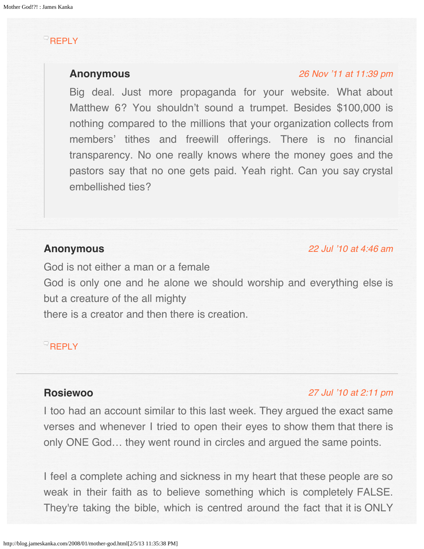# <span id="page-71-1"></span><span id="page-71-0"></span>**[REPLY](http://blog.jameskanka.com/2008/01/mother-god.html?replytocom=179#respond)**

## **Anonymous**

#### [26 Nov '11 at 11:39 pm](#page-71-1)

Big deal. Just more propaganda for your website. What about Matthew 6? You shouldn't sound a trumpet. Besides \$100,000 is nothing compared to the millions that your organization collects from members' tithes and freewill offerings. There is no financial transparency. No one really knows where the money goes and the pastors say that no one gets paid. Yeah right. Can you say crystal embellished ties?

# <span id="page-71-2"></span>**Anonymous**

[22 Jul '10 at 4:46 am](#page-71-2)

God is not either a man or a female God is only one and he alone we should worship and everything else is but a creature of the all mighty there is a creator and then there is creation.

# **[REPLY](http://blog.jameskanka.com/2008/01/mother-god.html?replytocom=180#respond)**

# **Rosiewoo**

## [27 Jul '10 at 2:11 pm](#page-72-0)

I too had an account similar to this last week. They argued the exact same verses and whenever I tried to open their eyes to show them that there is only ONE God… they went round in circles and argued the same points.

I feel a complete aching and sickness in my heart that these people are so weak in their faith as to believe something which is completely FALSE. They're taking the bible, which is centred around the fact that it is ONLY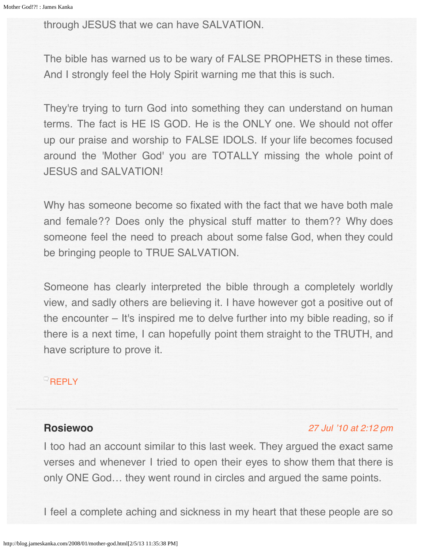through JESUS that we can have SALVATION.

The bible has warned us to be wary of FALSE PROPHETS in these times. And I strongly feel the Holy Spirit warning me that this is such.

They're trying to turn God into something they can understand on human terms. The fact is HE IS GOD. He is the ONLY one. We should not offer up our praise and worship to FALSE IDOLS. If your life becomes focused around the 'Mother God' you are TOTALLY missing the whole point of JESUS and SALVATION!

Why has someone become so fixated with the fact that we have both male and female?? Does only the physical stuff matter to them?? Why does someone feel the need to preach about some false God, when they could be bringing people to TRUE SALVATION.

Someone has clearly interpreted the bible through a completely worldly view, and sadly others are believing it. I have however got a positive out of the encounter – It's inspired me to delve further into my bible reading, so if there is a next time, I can hopefully point them straight to the TRUTH, and have scripture to prove it.

### **[REPLY](http://blog.jameskanka.com/2008/01/mother-god.html?replytocom=181#respond)**

# **Rosiewoo**

#### [27 Jul '10 at 2:12 pm](#page-73-0)

I too had an account similar to this last week. They argued the exact same verses and whenever I tried to open their eyes to show them that there is only ONE God… they went round in circles and argued the same points.

I feel a complete aching and sickness in my heart that these people are so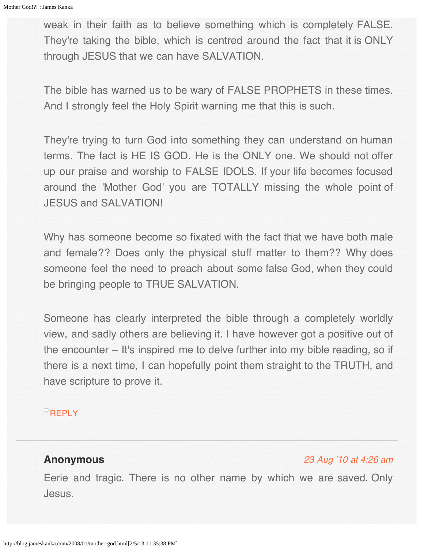<span id="page-73-0"></span>weak in their faith as to believe something which is completely FALSE. They're taking the bible, which is centred around the fact that it is ONLY through JESUS that we can have SALVATION.

The bible has warned us to be wary of FALSE PROPHETS in these times. And I strongly feel the Holy Spirit warning me that this is such.

They're trying to turn God into something they can understand on human terms. The fact is HE IS GOD. He is the ONLY one. We should not offer up our praise and worship to FALSE IDOLS. If your life becomes focused around the 'Mother God' you are TOTALLY missing the whole point of JESUS and SALVATION!

Why has someone become so fixated with the fact that we have both male and female?? Does only the physical stuff matter to them?? Why does someone feel the need to preach about some false God, when they could be bringing people to TRUE SALVATION.

Someone has clearly interpreted the bible through a completely worldly view, and sadly others are believing it. I have however got a positive out of the encounter – It's inspired me to delve further into my bible reading, so if there is a next time, I can hopefully point them straight to the TRUTH, and have scripture to prove it.

## **[REPLY](http://blog.jameskanka.com/2008/01/mother-god.html?replytocom=182#respond)**

# **Anonymous**

## [23 Aug '10 at 4:26 am](#page-74-0)

Eerie and tragic. There is no other name by which we are saved. Only Jesus.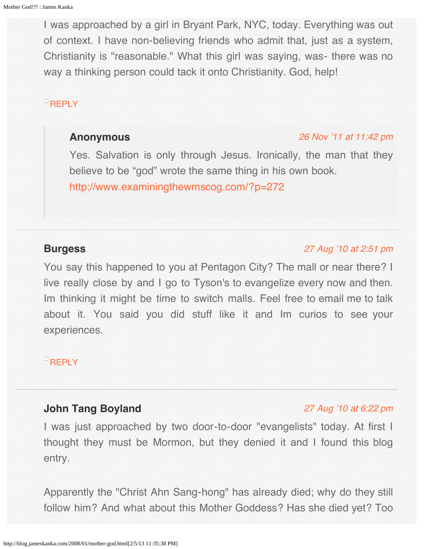<span id="page-74-0"></span>I was approached by a girl in Bryant Park, NYC, today. Everything was out of context. I have non-believing friends who admit that, just as a system, Christianity is "reasonable." What this girl was saying, was- there was no way a thinking person could tack it onto Christianity. God, help!

# <span id="page-74-1"></span> $\overline{\phantom{a}}$ [REPLY](http://blog.jameskanka.com/2008/01/mother-god.html?replytocom=183#respond)

## **Anonymous**

#### [26 Nov '11 at 11:42 pm](#page-74-1)

Yes. Salvation is only through Jesus. Ironically, the man that they believe to be "god" wrote the same thing in his own book. <http://www.examiningthewmscog.com/?p=272>

# <span id="page-74-2"></span>**Burgess**

## [27 Aug '10 at 2:51 pm](#page-74-2)

You say this happened to you at Pentagon City? The mall or near there? I live really close by and I go to Tyson's to evangelize every now and then. Im thinking it might be time to switch malls. Feel free to email me to talk about it. You said you did stuff like it and Im curios to see your experiences.

## **[REPLY](http://blog.jameskanka.com/2008/01/mother-god.html?replytocom=184#respond)**

# **John Tang Boyland**

### [27 Aug '10 at 6:22 pm](#page-75-0)

I was just approached by two door-to-door "evangelists" today. At first I thought they must be Mormon, but they denied it and I found this blog entry.

Apparently the "Christ Ahn Sang-hong" has already died; why do they still follow him? And what about this Mother Goddess? Has she died yet? Too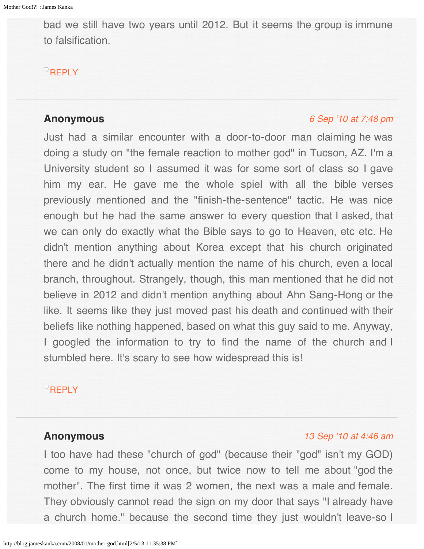<span id="page-75-0"></span>bad we still have two years until 2012. But it seems the group is immune to falsification.

## $^{\circ}$ [REPLY](http://blog.jameskanka.com/2008/01/mother-god.html?replytocom=185#respond)

## <span id="page-75-1"></span>**Anonymous**

#### [6 Sep '10 at 7:48 pm](#page-75-1)

Just had a similar encounter with a door-to-door man claiming he was doing a study on "the female reaction to mother god" in Tucson, AZ. I'm a University student so I assumed it was for some sort of class so I gave him my ear. He gave me the whole spiel with all the bible verses previously mentioned and the "finish-the-sentence" tactic. He was nice enough but he had the same answer to every question that I asked, that we can only do exactly what the Bible says to go to Heaven, etc etc. He didn't mention anything about Korea except that his church originated there and he didn't actually mention the name of his church, even a local branch, throughout. Strangely, though, this man mentioned that he did not believe in 2012 and didn't mention anything about Ahn Sang-Hong or the like. It seems like they just moved past his death and continued with their beliefs like nothing happened, based on what this guy said to me. Anyway, I googled the information to try to find the name of the church and I stumbled here. It's scary to see how widespread this is!

# $R$ [REPLY](http://blog.jameskanka.com/2008/01/mother-god.html?replytocom=186#respond)

# **Anonymous**

## [13 Sep '10 at 4:46 am](#page-76-0)

I too have had these "church of god" (because their "god" isn't my GOD) come to my house, not once, but twice now to tell me about "god the mother". The first time it was 2 women, the next was a male and female. They obviously cannot read the sign on my door that says "I already have a church home." because the second time they just wouldn't leave-so I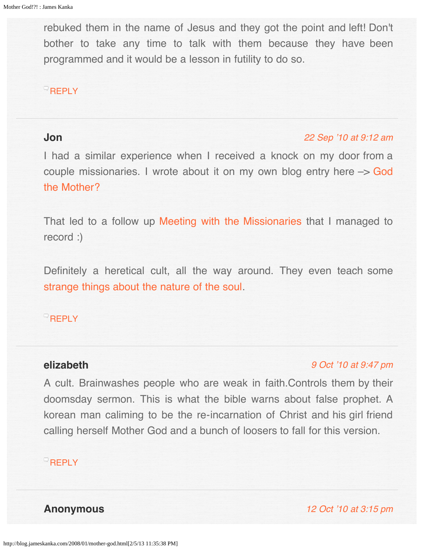<span id="page-76-0"></span>rebuked them in the name of Jesus and they got the point and left! Don't bother to take any time to talk with them because they have been programmed and it would be a lesson in futility to do so.

# $R$ [REPLY](http://blog.jameskanka.com/2008/01/mother-god.html?replytocom=187#respond)

## <span id="page-76-1"></span>**Jon**

### [22 Sep '10 at 9:12 am](#page-76-1)

I had a similar experience when I received a knock on my door from a couple missionaries. I wrote about it on my own blog entry here –> [God](http://yacawa.org/2010/07/16/god-the-mother/) [the Mother?](http://yacawa.org/2010/07/16/god-the-mother/)

That led to a follow up [Meeting with the Missionaries](http://yacawa.org/2010/07/19/meeting-with-the-missionaries/) that I managed to record :)

Definitely a heretical cult, all the way around. They even teach some [strange things about the nature of the soul](http://yacawa.org/2010/08/30/fundamental-truths-response-the-soul/).

## **[REPLY](http://blog.jameskanka.com/2008/01/mother-god.html?replytocom=188#respond)**

## <span id="page-76-2"></span>**elizabeth**

## [9 Oct '10 at 9:47 pm](#page-76-2)

A cult. Brainwashes people who are weak in faith.Controls them by their doomsday sermon. This is what the bible warns about false prophet. A korean man caliming to be the re-incarnation of Christ and his girl friend calling herself Mother God and a bunch of loosers to fall for this version.

# **[REPLY](http://blog.jameskanka.com/2008/01/mother-god.html?replytocom=189#respond)**

**Anonymous** [12 Oct '10 at 3:15 pm](#page-77-0)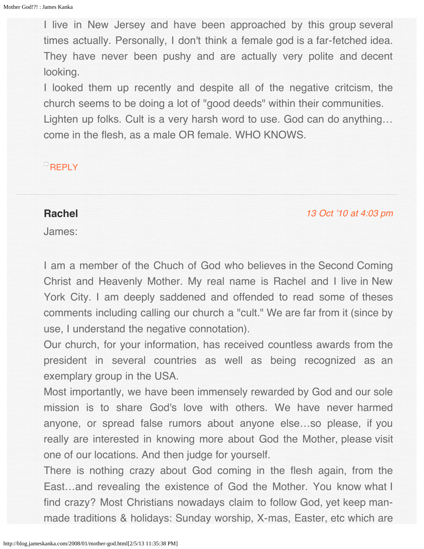<span id="page-77-0"></span>I live in New Jersey and have been approached by this group several times actually. Personally, I don't think a female god is a far-fetched idea. They have never been pushy and are actually very polite and decent looking.

I looked them up recently and despite all of the negative critcism, the church seems to be doing a lot of "good deeds" within their communities. Lighten up folks. Cult is a very harsh word to use. God can do anything… come in the flesh, as a male OR female. WHO KNOWS.

# **[REPLY](http://blog.jameskanka.com/2008/01/mother-god.html?replytocom=190#respond)**

## **Rachel**

[13 Oct '10 at 4:03 pm](#page-78-0)

James:

I am a member of the Chuch of God who believes in the Second Coming Christ and Heavenly Mother. My real name is Rachel and I live in New York City. I am deeply saddened and offended to read some of theses comments including calling our church a "cult." We are far from it (since by use, I understand the negative connotation).

Our church, for your information, has received countless awards from the president in several countries as well as being recognized as an exemplary group in the USA.

Most importantly, we have been immensely rewarded by God and our sole mission is to share God's love with others. We have never harmed anyone, or spread false rumors about anyone else…so please, if you really are interested in knowing more about God the Mother, please visit one of our locations. And then judge for yourself.

There is nothing crazy about God coming in the flesh again, from the East…and revealing the existence of God the Mother. You know what I find crazy? Most Christians nowadays claim to follow God, yet keep manmade traditions & holidays: Sunday worship, X-mas, Easter, etc which are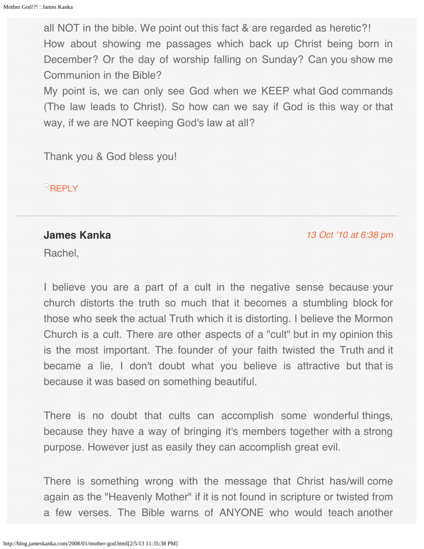<span id="page-78-0"></span>all NOT in the bible. We point out this fact & are regarded as heretic?! How about showing me passages which back up Christ being born in December? Or the day of worship falling on Sunday? Can you show me Communion in the Bible?

My point is, we can only see God when we KEEP what God commands (The law leads to Christ). So how can we say if God is this way or that way, if we are NOT keeping God's law at all?

Thank you & God bless you!

 $R$ [REPLY](http://blog.jameskanka.com/2008/01/mother-god.html?replytocom=191#respond)

## **James Kanka**

[13 Oct '10 at 6:38 pm](#page-79-0)

Rachel,

I believe you are a part of a cult in the negative sense because your church distorts the truth so much that it becomes a stumbling block for those who seek the actual Truth which it is distorting. I believe the Mormon Church is a cult. There are other aspects of a "cult" but in my opinion this is the most important. The founder of your faith twisted the Truth and it became a lie, I don't doubt what you believe is attractive but that is because it was based on something beautiful.

There is no doubt that cults can accomplish some wonderful things, because they have a way of bringing it's members together with a strong purpose. However just as easily they can accomplish great evil.

There is something wrong with the message that Christ has/will come again as the "Heavenly Mother" if it is not found in scripture or twisted from a few verses. The Bible warns of ANYONE who would teach another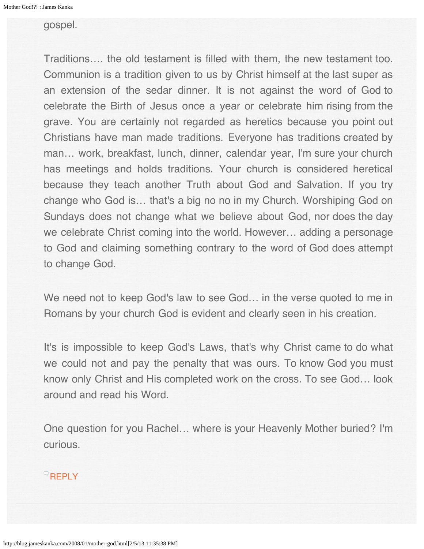#### <span id="page-79-0"></span>gospel.

Traditions…. the old testament is filled with them, the new testament too. Communion is a tradition given to us by Christ himself at the last super as an extension of the sedar dinner. It is not against the word of God to celebrate the Birth of Jesus once a year or celebrate him rising from the grave. You are certainly not regarded as heretics because you point out Christians have man made traditions. Everyone has traditions created by man… work, breakfast, lunch, dinner, calendar year, I'm sure your church has meetings and holds traditions. Your church is considered heretical because they teach another Truth about God and Salvation. If you try change who God is… that's a big no no in my Church. Worshiping God on Sundays does not change what we believe about God, nor does the day we celebrate Christ coming into the world. However… adding a personage to God and claiming something contrary to the word of God does attempt to change God.

We need not to keep God's law to see God… in the verse quoted to me in Romans by your church God is evident and clearly seen in his creation.

It's is impossible to keep God's Laws, that's why Christ came to do what we could not and pay the penalty that was ours. To know God you must know only Christ and His completed work on the cross. To see God… look around and read his Word.

One question for you Rachel… where is your Heavenly Mother buried? I'm curious.

## **[REPLY](http://blog.jameskanka.com/2008/01/mother-god.html?replytocom=192#respond)**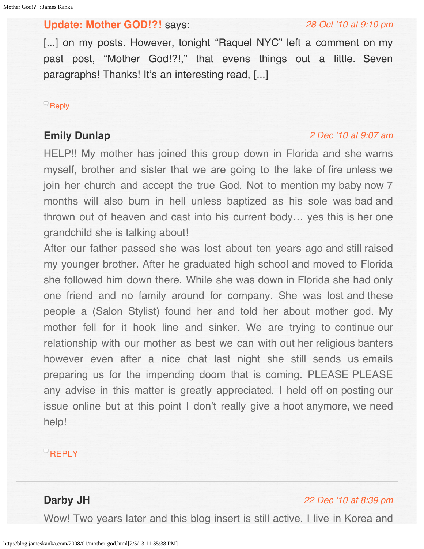## <span id="page-80-0"></span>**[Update: Mother GOD!?!](http://blog.jameskanka.com/2008/08/update-mother-god/)** says:

#### [28 Oct '10 at 9:10 pm](#page-80-0)

[...] on my posts. However, tonight "Raquel NYC" left a comment on my past post, "Mother God!?!," that evens things out a little. Seven paragraphs! Thanks! It's an interesting read, [...]

#### $\mathbb{R}$  [Reply](http://blog.jameskanka.com/2008/01/mother-god.html?replytocom=194#respond)

# <span id="page-80-1"></span>**Emily Dunlap**

#### [2 Dec '10 at 9:07 am](#page-80-1)

HELP!! My mother has joined this group down in Florida and she warns myself, brother and sister that we are going to the lake of fire unless we join her church and accept the true God. Not to mention my baby now 7 months will also burn in hell unless baptized as his sole was bad and thrown out of heaven and cast into his current body… yes this is her one grandchild she is talking about!

After our father passed she was lost about ten years ago and still raised my younger brother. After he graduated high school and moved to Florida she followed him down there. While she was down in Florida she had only one friend and no family around for company. She was lost and these people a (Salon Stylist) found her and told her about mother god. My mother fell for it hook line and sinker. We are trying to continue our relationship with our mother as best we can with out her religious banters however even after a nice chat last night she still sends us emails preparing us for the impending doom that is coming. PLEASE PLEASE any advise in this matter is greatly appreciated. I held off on posting our issue online but at this point I don't really give a hoot anymore, we need help!

## $\overline{P}$ [REPLY](http://blog.jameskanka.com/2008/01/mother-god.html?replytocom=314#respond)

# **Darby JH**

### [22 Dec '10 at 8:39 pm](#page-81-0)

Wow! Two years later and this blog insert is still active. I live in Korea and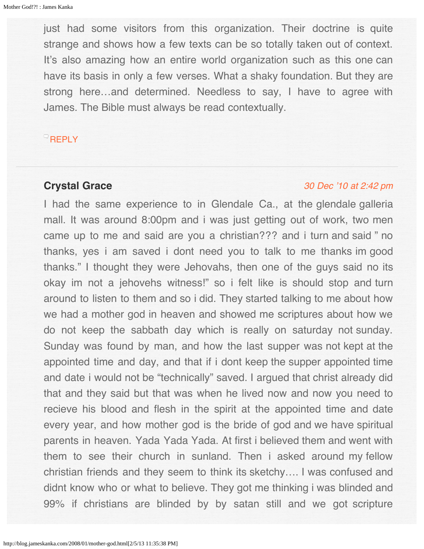<span id="page-81-0"></span>just had some visitors from this organization. Their doctrine is quite strange and shows how a few texts can be so totally taken out of context. It's also amazing how an entire world organization such as this one can have its basis in only a few verses. What a shaky foundation. But they are strong here…and determined. Needless to say, I have to agree with James. The Bible must always be read contextually.

## **[REPLY](http://blog.jameskanka.com/2008/01/mother-god.html?replytocom=517#respond)**

# **Crystal Grace**

### [30 Dec '10 at 2:42 pm](#page-82-0)

I had the same experience to in Glendale Ca., at the glendale galleria mall. It was around 8:00pm and i was just getting out of work, two men came up to me and said are you a christian??? and i turn and said " no thanks, yes i am saved i dont need you to talk to me thanks im good thanks." I thought they were Jehovahs, then one of the guys said no its okay im not a jehovehs witness!" so i felt like is should stop and turn around to listen to them and so i did. They started talking to me about how we had a mother god in heaven and showed me scriptures about how we do not keep the sabbath day which is really on saturday not sunday. Sunday was found by man, and how the last supper was not kept at the appointed time and day, and that if i dont keep the supper appointed time and date i would not be "technically" saved. I argued that christ already did that and they said but that was when he lived now and now you need to recieve his blood and flesh in the spirit at the appointed time and date every year, and how mother god is the bride of god and we have spiritual parents in heaven. Yada Yada Yada. At first i believed them and went with them to see their church in sunland. Then i asked around my fellow christian friends and they seem to think its sketchy…. I was confused and didnt know who or what to believe. They got me thinking i was blinded and 99% if christians are blinded by by satan still and we got scripture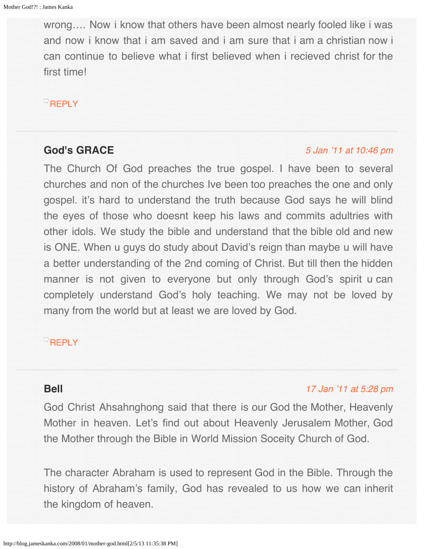<span id="page-82-0"></span>wrong…. Now i know that others have been almost nearly fooled like i was and now i know that i am saved and i am sure that i am a christian now i can continue to believe what i first believed when i recieved christ for the first time!

## **[REPLY](http://blog.jameskanka.com/2008/01/mother-god.html?replytocom=548#respond)**

# <span id="page-82-1"></span>**God's GRACE**

### [5 Jan '11 at 10:46 pm](#page-82-1)

The Church Of God preaches the true gospel. I have been to several churches and non of the churches Ive been too preaches the one and only gospel. it's hard to understand the truth because God says he will blind the eyes of those who doesnt keep his laws and commits adultries with other idols. We study the bible and understand that the bible old and new is ONE. When u guys do study about David's reign than maybe u will have a better understanding of the 2nd coming of Christ. But till then the hidden manner is not given to everyone but only through God's spirit u can completely understand God's holy teaching. We may not be loved by many from the world but at least we are loved by God.

## **[REPLY](http://blog.jameskanka.com/2008/01/mother-god.html?replytocom=591#respond)**

## **Bell**

## [17 Jan '11 at 5:28 pm](#page-88-0)

God Christ Ahsahnghong said that there is our God the Mother, Heavenly Mother in heaven. Let's find out about Heavenly Jerusalem Mother, God the Mother through the Bible in World Mission Soceity Church of God.

The character Abraham is used to represent God in the Bible. Through the history of Abraham's family, God has revealed to us how we can inherit the kingdom of heaven.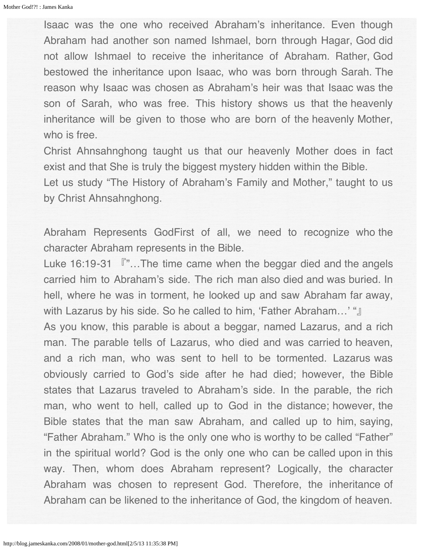Isaac was the one who received Abraham's inheritance. Even though Abraham had another son named Ishmael, born through Hagar, God did not allow Ishmael to receive the inheritance of Abraham. Rather, God bestowed the inheritance upon Isaac, who was born through Sarah. The reason why Isaac was chosen as Abraham's heir was that Isaac was the son of Sarah, who was free. This history shows us that the heavenly inheritance will be given to those who are born of the heavenly Mother, who is free.

Christ Ahnsahnghong taught us that our heavenly Mother does in fact exist and that She is truly the biggest mystery hidden within the Bible. Let us study "The History of Abraham's Family and Mother," taught to us by Christ Ahnsahnghong.

Abraham Represents GodFirst of all, we need to recognize who the character Abraham represents in the Bible.

Luke 16:19-31  $\sqrt{r}$ ... The time came when the beggar died and the angels carried him to Abraham's side. The rich man also died and was buried. In hell, where he was in torment, he looked up and saw Abraham far away, with Lazarus by his side. So he called to him, 'Father Abraham…' "』

As you know, this parable is about a beggar, named Lazarus, and a rich man. The parable tells of Lazarus, who died and was carried to heaven, and a rich man, who was sent to hell to be tormented. Lazarus was obviously carried to God's side after he had died; however, the Bible states that Lazarus traveled to Abraham's side. In the parable, the rich man, who went to hell, called up to God in the distance; however, the Bible states that the man saw Abraham, and called up to him, saying, "Father Abraham." Who is the only one who is worthy to be called "Father" in the spiritual world? God is the only one who can be called upon in this way. Then, whom does Abraham represent? Logically, the character Abraham was chosen to represent God. Therefore, the inheritance of Abraham can be likened to the inheritance of God, the kingdom of heaven.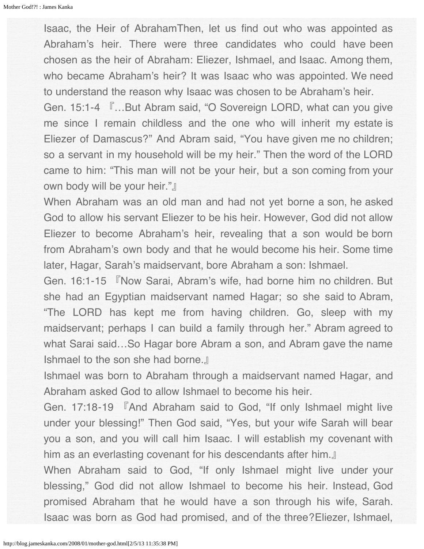Isaac, the Heir of AbrahamThen, let us find out who was appointed as Abraham's heir. There were three candidates who could have been chosen as the heir of Abraham: Eliezer, Ishmael, and Isaac. Among them, who became Abraham's heir? It was Isaac who was appointed. We need to understand the reason why Isaac was chosen to be Abraham's heir.

Gen. 15:1-4 『…But Abram said, "O Sovereign LORD, what can you give me since I remain childless and the one who will inherit my estate is Eliezer of Damascus?" And Abram said, "You have given me no children; so a servant in my household will be my heir." Then the word of the LORD came to him: "This man will not be your heir, but a son coming from your own body will be your heir."』

When Abraham was an old man and had not yet borne a son, he asked God to allow his servant Eliezer to be his heir. However, God did not allow Eliezer to become Abraham's heir, revealing that a son would be born from Abraham's own body and that he would become his heir. Some time later, Hagar, Sarah's maidservant, bore Abraham a son: Ishmael.

Gen. 16:1-15 『Now Sarai, Abram's wife, had borne him no children. But she had an Egyptian maidservant named Hagar; so she said to Abram, "The LORD has kept me from having children. Go, sleep with my maidservant; perhaps I can build a family through her." Abram agreed to what Sarai said…So Hagar bore Abram a son, and Abram gave the name Ishmael to the son she had borne.』

Ishmael was born to Abraham through a maidservant named Hagar, and Abraham asked God to allow Ishmael to become his heir.

Gen. 17:18-19 『And Abraham said to God, "If only Ishmael might live under your blessing!" Then God said, "Yes, but your wife Sarah will bear you a son, and you will call him Isaac. I will establish my covenant with him as an everlasting covenant for his descendants after him.』

When Abraham said to God, "If only Ishmael might live under your blessing," God did not allow Ishmael to become his heir. Instead, God promised Abraham that he would have a son through his wife, Sarah. Isaac was born as God had promised, and of the three?Eliezer, Ishmael,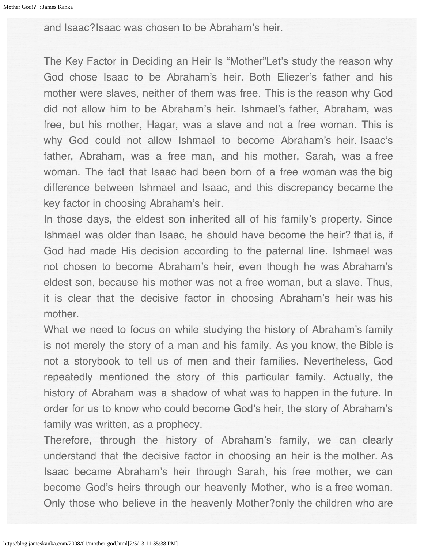and Isaac?Isaac was chosen to be Abraham's heir.

The Key Factor in Deciding an Heir Is "Mother"Let's study the reason why God chose Isaac to be Abraham's heir. Both Eliezer's father and his mother were slaves, neither of them was free. This is the reason why God did not allow him to be Abraham's heir. Ishmael's father, Abraham, was free, but his mother, Hagar, was a slave and not a free woman. This is why God could not allow Ishmael to become Abraham's heir. Isaac's father, Abraham, was a free man, and his mother, Sarah, was a free woman. The fact that Isaac had been born of a free woman was the big difference between Ishmael and Isaac, and this discrepancy became the key factor in choosing Abraham's heir.

In those days, the eldest son inherited all of his family's property. Since Ishmael was older than Isaac, he should have become the heir? that is, if God had made His decision according to the paternal line. Ishmael was not chosen to become Abraham's heir, even though he was Abraham's eldest son, because his mother was not a free woman, but a slave. Thus, it is clear that the decisive factor in choosing Abraham's heir was his mother.

What we need to focus on while studying the history of Abraham's family is not merely the story of a man and his family. As you know, the Bible is not a storybook to tell us of men and their families. Nevertheless, God repeatedly mentioned the story of this particular family. Actually, the history of Abraham was a shadow of what was to happen in the future. In order for us to know who could become God's heir, the story of Abraham's family was written, as a prophecy.

Therefore, through the history of Abraham's family, we can clearly understand that the decisive factor in choosing an heir is the mother. As Isaac became Abraham's heir through Sarah, his free mother, we can become God's heirs through our heavenly Mother, who is a free woman. Only those who believe in the heavenly Mother?only the children who are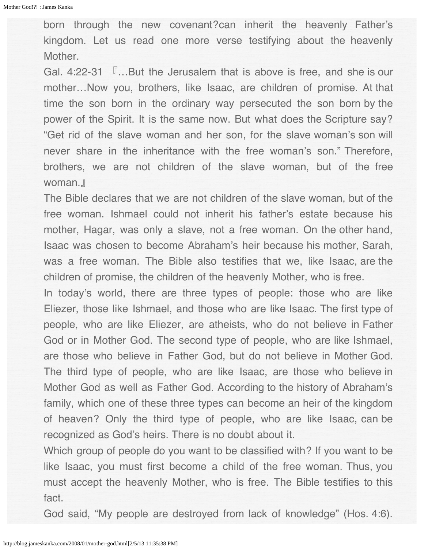born through the new covenant?can inherit the heavenly Father's kingdom. Let us read one more verse testifying about the heavenly Mother.

Gal. 4:22-31 『…But the Jerusalem that is above is free, and she is our mother…Now you, brothers, like Isaac, are children of promise. At that time the son born in the ordinary way persecuted the son born by the power of the Spirit. It is the same now. But what does the Scripture say? "Get rid of the slave woman and her son, for the slave woman's son will never share in the inheritance with the free woman's son." Therefore, brothers, we are not children of the slave woman, but of the free woman.』

The Bible declares that we are not children of the slave woman, but of the free woman. Ishmael could not inherit his father's estate because his mother, Hagar, was only a slave, not a free woman. On the other hand, Isaac was chosen to become Abraham's heir because his mother, Sarah, was a free woman. The Bible also testifies that we, like Isaac, are the children of promise, the children of the heavenly Mother, who is free.

In today's world, there are three types of people: those who are like Eliezer, those like Ishmael, and those who are like Isaac. The first type of people, who are like Eliezer, are atheists, who do not believe in Father God or in Mother God. The second type of people, who are like Ishmael, are those who believe in Father God, but do not believe in Mother God. The third type of people, who are like Isaac, are those who believe in Mother God as well as Father God. According to the history of Abraham's family, which one of these three types can become an heir of the kingdom of heaven? Only the third type of people, who are like Isaac, can be recognized as God's heirs. There is no doubt about it.

Which group of people do you want to be classified with? If you want to be like Isaac, you must first become a child of the free woman. Thus, you must accept the heavenly Mother, who is free. The Bible testifies to this fact.

God said, "My people are destroyed from lack of knowledge" (Hos. 4:6).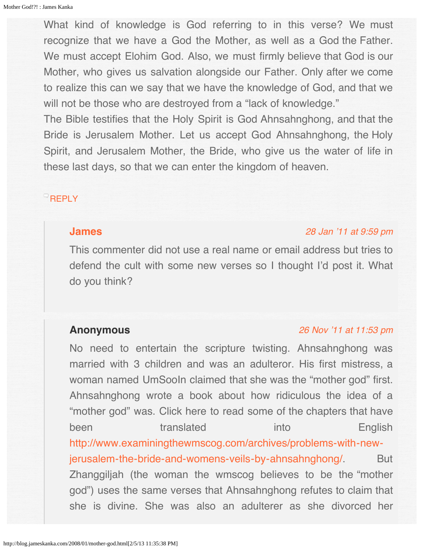What kind of knowledge is God referring to in this verse? We must recognize that we have a God the Mother, as well as a God the Father. We must accept Elohim God. Also, we must firmly believe that God is our Mother, who gives us salvation alongside our Father. Only after we come to realize this can we say that we have the knowledge of God, and that we will not be those who are destroyed from a "lack of knowledge."

The Bible testifies that the Holy Spirit is God Ahnsahnghong, and that the Bride is Jerusalem Mother. Let us accept God Ahnsahnghong, the Holy Spirit, and Jerusalem Mother, the Bride, who give us the water of life in these last days, so that we can enter the kingdom of heaven.

## <span id="page-87-0"></span>**[REPLY](http://blog.jameskanka.com/2008/01/mother-god.html?replytocom=631#respond)**

## **[James](http://jameskanka.com/)**

#### [28 Jan '11 at 9:59 pm](#page-87-0)

This commenter did not use a real name or email address but tries to defend the cult with some new verses so I thought I'd post it. What do you think?

## **Anonymous**

## [26 Nov '11 at 11:53 pm](#page-88-1)

No need to entertain the scripture twisting. Ahnsahnghong was married with 3 children and was an adulteror. His first mistress, a woman named UmSooIn claimed that she was the "mother god" first. Ahnsahnghong wrote a book about how ridiculous the idea of a "mother god" was. Click here to read some of the chapters that have been translated into English [http://www.examiningthewmscog.com/archives/problems-with-new](http://www.examiningthewmscog.com/archives/problems-with-new-jerusalem-the-bride-and-womens-veils-by-ahnsahnghong/)[jerusalem-the-bride-and-womens-veils-by-ahnsahnghong/](http://www.examiningthewmscog.com/archives/problems-with-new-jerusalem-the-bride-and-womens-veils-by-ahnsahnghong/). But Zhanggiljah (the woman the wmscog believes to be the "mother god") uses the same verses that Ahnsahnghong refutes to claim that she is divine. She was also an adulterer as she divorced her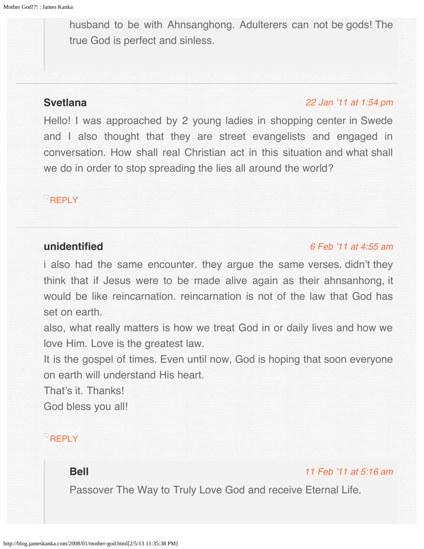<span id="page-88-1"></span><span id="page-88-0"></span>husband to be with Ahnsanghong. Adulterers can not be gods! The true God is perfect and sinless.

# <span id="page-88-2"></span>**Svetlana**

## [22 Jan '11 at 1:54 pm](#page-88-2)

Hello! I was approached by 2 young ladies in shopping center in Swede and I also thought that they are street evangelists and engaged in conversation. How shall real Christian act in this situation and what shall we do in order to stop spreading the lies all around the world?

# **[REPLY](http://blog.jameskanka.com/2008/01/mother-god.html?replytocom=648#respond)**

# **unidentified**

## [6 Feb '11 at 4:55 am](#page-100-0)

i also had the same encounter. they argue the same verses. didn't they think that if Jesus were to be made alive again as their ahnsanhong, it would be like reincarnation. reincarnation is not of the law that God has set on earth.

also, what really matters is how we treat God in or daily lives and how we love Him. Love is the greatest law.

It is the gospel of times. Even until now, God is hoping that soon everyone on earth will understand His heart.

That's it. Thanks! God bless you all!

# **[REPLY](http://blog.jameskanka.com/2008/01/mother-god.html?replytocom=719#respond)**

# **Bell**

[11 Feb '11 at 5:16 am](#page-94-0)

Passover The Way to Truly Love God and receive Eternal Life.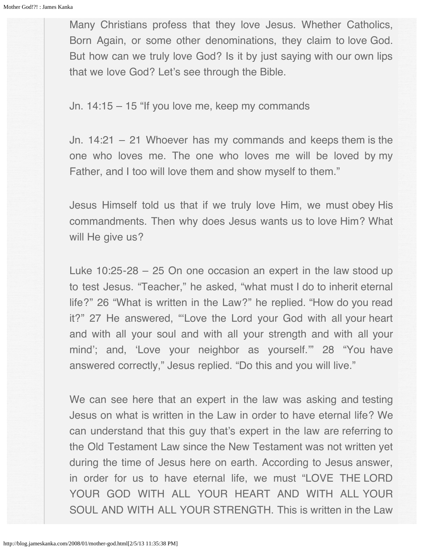Many Christians profess that they love Jesus. Whether Catholics, Born Again, or some other denominations, they claim to love God. But how can we truly love God? Is it by just saying with our own lips that we love God? Let's see through the Bible.

Jn. 14:15 – 15 "If you love me, keep my commands

Jn. 14:21 – 21 Whoever has my commands and keeps them is the one who loves me. The one who loves me will be loved by my Father, and I too will love them and show myself to them."

Jesus Himself told us that if we truly love Him, we must obey His commandments. Then why does Jesus wants us to love Him? What will He give us?

Luke 10:25-28 – 25 On one occasion an expert in the law stood up to test Jesus. "Teacher," he asked, "what must I do to inherit eternal life?" 26 "What is written in the Law?" he replied. "How do you read it?" 27 He answered, "'Love the Lord your God with all your heart and with all your soul and with all your strength and with all your mind'; and, 'Love your neighbor as yourself.'" 28 "You have answered correctly," Jesus replied. "Do this and you will live."

We can see here that an expert in the law was asking and testing Jesus on what is written in the Law in order to have eternal life? We can understand that this guy that's expert in the law are referring to the Old Testament Law since the New Testament was not written yet during the time of Jesus here on earth. According to Jesus answer, in order for us to have eternal life, we must "LOVE THE LORD YOUR GOD WITH ALL YOUR HEART AND WITH ALL YOUR SOUL AND WITH ALL YOUR STRENGTH. This is written in the Law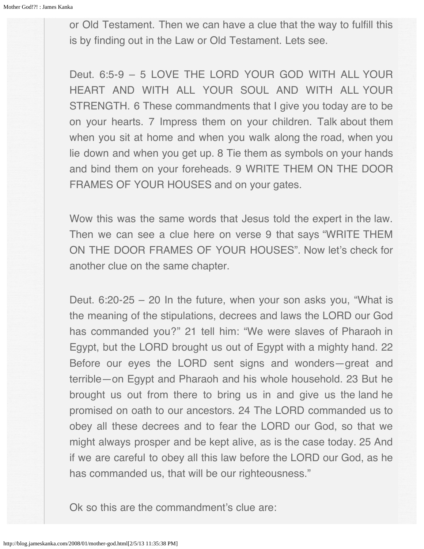or Old Testament. Then we can have a clue that the way to fulfill this is by finding out in the Law or Old Testament. Lets see.

Deut. 6:5-9 – 5 LOVE THE LORD YOUR GOD WITH ALL YOUR HEART AND WITH ALL YOUR SOUL AND WITH ALL YOUR STRENGTH. 6 These commandments that I give you today are to be on your hearts. 7 Impress them on your children. Talk about them when you sit at home and when you walk along the road, when you lie down and when you get up. 8 Tie them as symbols on your hands and bind them on your foreheads. 9 WRITE THEM ON THE DOOR FRAMES OF YOUR HOUSES and on your gates.

Wow this was the same words that Jesus told the expert in the law. Then we can see a clue here on verse 9 that says "WRITE THEM ON THE DOOR FRAMES OF YOUR HOUSES". Now let's check for another clue on the same chapter.

Deut. 6:20-25 – 20 In the future, when your son asks you, "What is the meaning of the stipulations, decrees and laws the LORD our God has commanded you?" 21 tell him: "We were slaves of Pharaoh in Egypt, but the LORD brought us out of Egypt with a mighty hand. 22 Before our eyes the LORD sent signs and wonders—great and terrible—on Egypt and Pharaoh and his whole household. 23 But he brought us out from there to bring us in and give us the land he promised on oath to our ancestors. 24 The LORD commanded us to obey all these decrees and to fear the LORD our God, so that we might always prosper and be kept alive, as is the case today. 25 And if we are careful to obey all this law before the LORD our God, as he has commanded us, that will be our righteousness."

Ok so this are the commandment's clue are: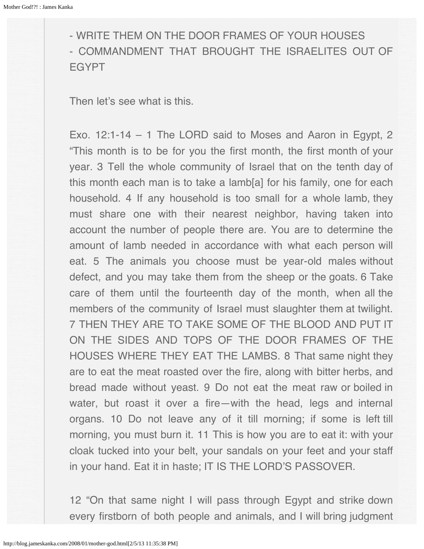- WRITE THEM ON THE DOOR FRAMES OF YOUR HOUSES - COMMANDMENT THAT BROUGHT THE ISRAELITES OUT OF EGYPT

Then let's see what is this.

Exo. 12:1-14 – 1 The LORD said to Moses and Aaron in Egypt, 2 "This month is to be for you the first month, the first month of your year. 3 Tell the whole community of Israel that on the tenth day of this month each man is to take a lamb[a] for his family, one for each household. 4 If any household is too small for a whole lamb, they must share one with their nearest neighbor, having taken into account the number of people there are. You are to determine the amount of lamb needed in accordance with what each person will eat. 5 The animals you choose must be year-old males without defect, and you may take them from the sheep or the goats. 6 Take care of them until the fourteenth day of the month, when all the members of the community of Israel must slaughter them at twilight. 7 THEN THEY ARE TO TAKE SOME OF THE BLOOD AND PUT IT ON THE SIDES AND TOPS OF THE DOOR FRAMES OF THE HOUSES WHERE THEY EAT THE LAMBS. 8 That same night they are to eat the meat roasted over the fire, along with bitter herbs, and bread made without yeast. 9 Do not eat the meat raw or boiled in water, but roast it over a fire—with the head, legs and internal organs. 10 Do not leave any of it till morning; if some is left till morning, you must burn it. 11 This is how you are to eat it: with your cloak tucked into your belt, your sandals on your feet and your staff in your hand. Eat it in haste; IT IS THE LORD'S PASSOVER.

12 "On that same night I will pass through Egypt and strike down every firstborn of both people and animals, and I will bring judgment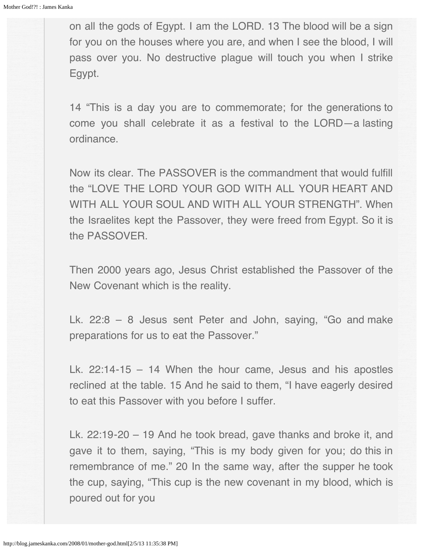on all the gods of Egypt. I am the LORD. 13 The blood will be a sign for you on the houses where you are, and when I see the blood, I will pass over you. No destructive plague will touch you when I strike Egypt.

14 "This is a day you are to commemorate; for the generations to come you shall celebrate it as a festival to the LORD—a lasting ordinance.

Now its clear. The PASSOVER is the commandment that would fulfill the "LOVE THE LORD YOUR GOD WITH ALL YOUR HEART AND WITH ALL YOUR SOUL AND WITH ALL YOUR STRENGTH". When the Israelites kept the Passover, they were freed from Egypt. So it is the PASSOVER.

Then 2000 years ago, Jesus Christ established the Passover of the New Covenant which is the reality.

Lk. 22:8 – 8 Jesus sent Peter and John, saying, "Go and make preparations for us to eat the Passover."

Lk. 22:14-15 – 14 When the hour came, Jesus and his apostles reclined at the table. 15 And he said to them, "I have eagerly desired to eat this Passover with you before I suffer.

Lk. 22:19-20 – 19 And he took bread, gave thanks and broke it, and gave it to them, saying, "This is my body given for you; do this in remembrance of me." 20 In the same way, after the supper he took the cup, saying, "This cup is the new covenant in my blood, which is poured out for you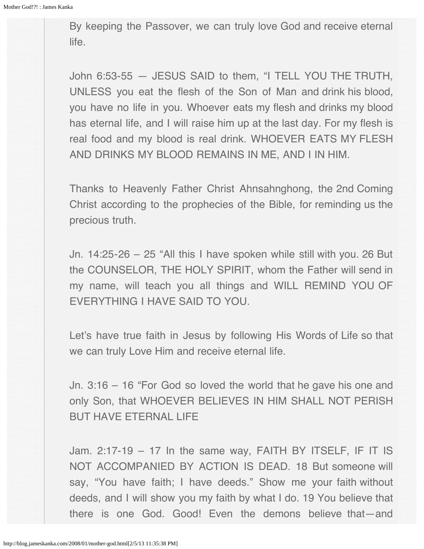By keeping the Passover, we can truly love God and receive eternal life.

John 6:53-55 — JESUS SAID to them, "I TELL YOU THE TRUTH, UNLESS you eat the flesh of the Son of Man and drink his blood, you have no life in you. Whoever eats my flesh and drinks my blood has eternal life, and I will raise him up at the last day. For my flesh is real food and my blood is real drink. WHOEVER EATS MY FLESH AND DRINKS MY BLOOD REMAINS IN ME, AND I IN HIM.

Thanks to Heavenly Father Christ Ahnsahnghong, the 2nd Coming Christ according to the prophecies of the Bible, for reminding us the precious truth.

Jn. 14:25-26 – 25 "All this I have spoken while still with you. 26 But the COUNSELOR, THE HOLY SPIRIT, whom the Father will send in my name, will teach you all things and WILL REMIND YOU OF EVERYTHING I HAVE SAID TO YOU.

Let's have true faith in Jesus by following His Words of Life so that we can truly Love Him and receive eternal life.

Jn. 3:16 – 16 "For God so loved the world that he gave his one and only Son, that WHOEVER BELIEVES IN HIM SHALL NOT PERISH BUT HAVE ETERNAL LIFE

Jam. 2:17-19 – 17 In the same way, FAITH BY ITSELF, IF IT IS NOT ACCOMPANIED BY ACTION IS DEAD. 18 But someone will say, "You have faith; I have deeds." Show me your faith without deeds, and I will show you my faith by what I do. 19 You believe that there is one God. Good! Even the demons believe that—and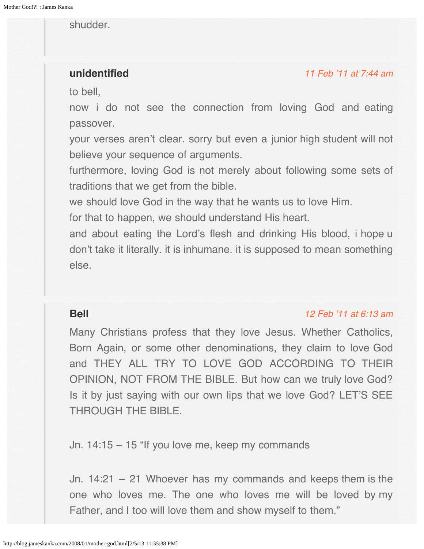## <span id="page-94-0"></span>shudder.

# <span id="page-94-1"></span>**unidentified**

#### [11 Feb '11 at 7:44 am](#page-94-1)

to bell,

now i do not see the connection from loving God and eating passover.

your verses aren't clear. sorry but even a junior high student will not believe your sequence of arguments.

furthermore, loving God is not merely about following some sets of traditions that we get from the bible.

we should love God in the way that he wants us to love Him.

for that to happen, we should understand His heart.

and about eating the Lord's flesh and drinking His blood, i hope u don't take it literally. it is inhumane. it is supposed to mean something else.

## **Bell**

### [12 Feb '11 at 6:13 am](#page-99-0)

Many Christians profess that they love Jesus. Whether Catholics, Born Again, or some other denominations, they claim to love God and THEY ALL TRY TO LOVE GOD ACCORDING TO THEIR OPINION, NOT FROM THE BIBLE. But how can we truly love God? Is it by just saying with our own lips that we love God? LET'S SEE THROUGH THE BIBLE.

Jn. 14:15 – 15 "If you love me, keep my commands

Jn. 14:21 – 21 Whoever has my commands and keeps them is the one who loves me. The one who loves me will be loved by my Father, and I too will love them and show myself to them."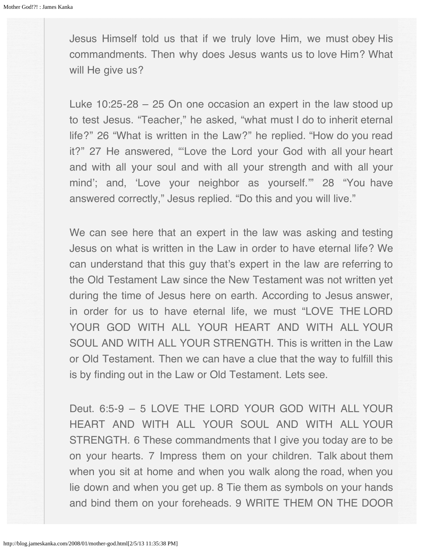Jesus Himself told us that if we truly love Him, we must obey His commandments. Then why does Jesus wants us to love Him? What will He give us?

Luke 10:25-28 – 25 On one occasion an expert in the law stood up to test Jesus. "Teacher," he asked, "what must I do to inherit eternal life?" 26 "What is written in the Law?" he replied. "How do you read it?" 27 He answered, "'Love the Lord your God with all your heart and with all your soul and with all your strength and with all your mind'; and, 'Love your neighbor as yourself.'" 28 "You have answered correctly," Jesus replied. "Do this and you will live."

We can see here that an expert in the law was asking and testing Jesus on what is written in the Law in order to have eternal life? We can understand that this guy that's expert in the law are referring to the Old Testament Law since the New Testament was not written yet during the time of Jesus here on earth. According to Jesus answer, in order for us to have eternal life, we must "LOVE THE LORD YOUR GOD WITH ALL YOUR HEART AND WITH ALL YOUR SOUL AND WITH ALL YOUR STRENGTH. This is written in the Law or Old Testament. Then we can have a clue that the way to fulfill this is by finding out in the Law or Old Testament. Lets see.

Deut. 6:5-9 – 5 LOVE THE LORD YOUR GOD WITH ALL YOUR HEART AND WITH ALL YOUR SOUL AND WITH ALL YOUR STRENGTH. 6 These commandments that I give you today are to be on your hearts. 7 Impress them on your children. Talk about them when you sit at home and when you walk along the road, when you lie down and when you get up. 8 Tie them as symbols on your hands and bind them on your foreheads. 9 WRITE THEM ON THE DOOR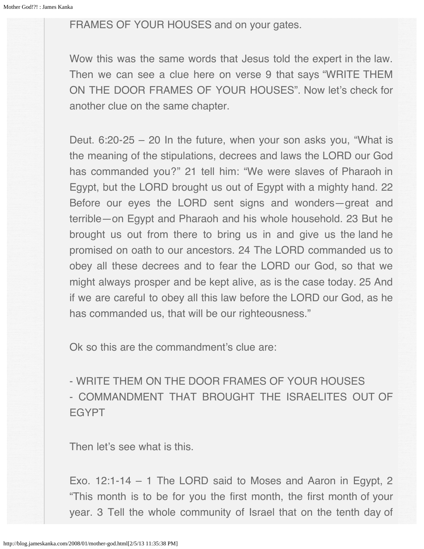# FRAMES OF YOUR HOUSES and on your gates.

Wow this was the same words that Jesus told the expert in the law. Then we can see a clue here on verse 9 that says "WRITE THEM ON THE DOOR FRAMES OF YOUR HOUSES". Now let's check for another clue on the same chapter.

Deut. 6:20-25 – 20 In the future, when your son asks you, "What is the meaning of the stipulations, decrees and laws the LORD our God has commanded you?" 21 tell him: "We were slaves of Pharaoh in Egypt, but the LORD brought us out of Egypt with a mighty hand. 22 Before our eyes the LORD sent signs and wonders—great and terrible—on Egypt and Pharaoh and his whole household. 23 But he brought us out from there to bring us in and give us the land he promised on oath to our ancestors. 24 The LORD commanded us to obey all these decrees and to fear the LORD our God, so that we might always prosper and be kept alive, as is the case today. 25 And if we are careful to obey all this law before the LORD our God, as he has commanded us, that will be our righteousness."

Ok so this are the commandment's clue are:

- WRITE THEM ON THE DOOR FRAMES OF YOUR HOUSES - COMMANDMENT THAT BROUGHT THE ISRAELITES OUT OF **EGYPT** 

Then let's see what is this.

Exo. 12:1-14 – 1 The LORD said to Moses and Aaron in Egypt, 2 "This month is to be for you the first month, the first month of your year. 3 Tell the whole community of Israel that on the tenth day of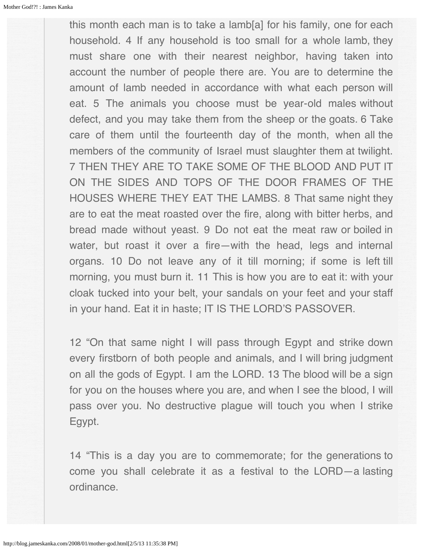this month each man is to take a lamb[a] for his family, one for each household. 4 If any household is too small for a whole lamb, they must share one with their nearest neighbor, having taken into account the number of people there are. You are to determine the amount of lamb needed in accordance with what each person will eat. 5 The animals you choose must be year-old males without defect, and you may take them from the sheep or the goats. 6 Take care of them until the fourteenth day of the month, when all the members of the community of Israel must slaughter them at twilight. 7 THEN THEY ARE TO TAKE SOME OF THE BLOOD AND PUT IT ON THE SIDES AND TOPS OF THE DOOR FRAMES OF THE HOUSES WHERE THEY EAT THE LAMBS. 8 That same night they are to eat the meat roasted over the fire, along with bitter herbs, and bread made without yeast. 9 Do not eat the meat raw or boiled in water, but roast it over a fire—with the head, legs and internal organs. 10 Do not leave any of it till morning; if some is left till morning, you must burn it. 11 This is how you are to eat it: with your cloak tucked into your belt, your sandals on your feet and your staff in your hand. Eat it in haste; IT IS THE LORD'S PASSOVER.

12 "On that same night I will pass through Egypt and strike down every firstborn of both people and animals, and I will bring judgment on all the gods of Egypt. I am the LORD. 13 The blood will be a sign for you on the houses where you are, and when I see the blood, I will pass over you. No destructive plague will touch you when I strike Egypt.

14 "This is a day you are to commemorate; for the generations to come you shall celebrate it as a festival to the LORD—a lasting ordinance.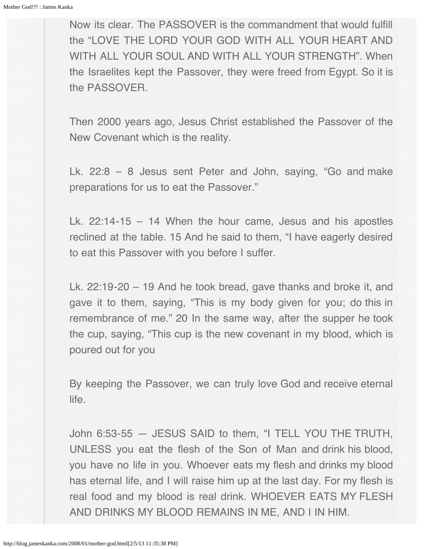Now its clear. The PASSOVER is the commandment that would fulfill the "LOVE THE LORD YOUR GOD WITH ALL YOUR HEART AND WITH ALL YOUR SOUL AND WITH ALL YOUR STRENGTH". When the Israelites kept the Passover, they were freed from Egypt. So it is the PASSOVER.

Then 2000 years ago, Jesus Christ established the Passover of the New Covenant which is the reality.

Lk. 22:8 – 8 Jesus sent Peter and John, saying, "Go and make preparations for us to eat the Passover."

Lk. 22:14-15 – 14 When the hour came, Jesus and his apostles reclined at the table. 15 And he said to them, "I have eagerly desired to eat this Passover with you before I suffer.

Lk. 22:19-20 – 19 And he took bread, gave thanks and broke it, and gave it to them, saying, "This is my body given for you; do this in remembrance of me." 20 In the same way, after the supper he took the cup, saying, "This cup is the new covenant in my blood, which is poured out for you

By keeping the Passover, we can truly love God and receive eternal life.

John 6:53-55 — JESUS SAID to them, "I TELL YOU THE TRUTH, UNLESS you eat the flesh of the Son of Man and drink his blood, you have no life in you. Whoever eats my flesh and drinks my blood has eternal life, and I will raise him up at the last day. For my flesh is real food and my blood is real drink. WHOEVER EATS MY FLESH AND DRINKS MY BLOOD REMAINS IN ME, AND I IN HIM.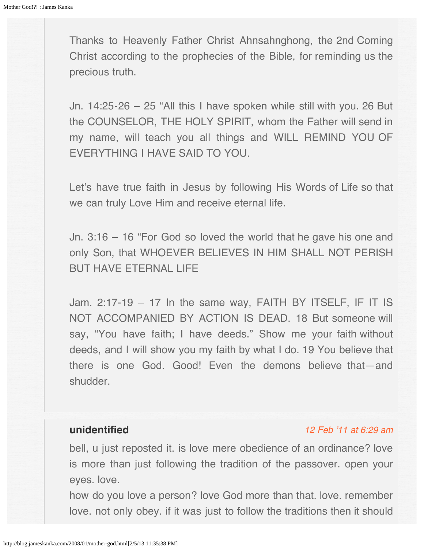<span id="page-99-0"></span>Thanks to Heavenly Father Christ Ahnsahnghong, the 2nd Coming Christ according to the prophecies of the Bible, for reminding us the precious truth.

Jn. 14:25-26 – 25 "All this I have spoken while still with you. 26 But the COUNSELOR, THE HOLY SPIRIT, whom the Father will send in my name, will teach you all things and WILL REMIND YOU OF EVERYTHING I HAVE SAID TO YOU.

Let's have true faith in Jesus by following His Words of Life so that we can truly Love Him and receive eternal life.

Jn. 3:16 – 16 "For God so loved the world that he gave his one and only Son, that WHOEVER BELIEVES IN HIM SHALL NOT PERISH BUT HAVE ETERNAL LIFE

Jam. 2:17-19 – 17 In the same way, FAITH BY ITSELF, IF IT IS NOT ACCOMPANIED BY ACTION IS DEAD. 18 But someone will say, "You have faith; I have deeds." Show me your faith without deeds, and I will show you my faith by what I do. 19 You believe that there is one God. Good! Even the demons believe that—and shudder.

# **unidentified**

#### [12 Feb '11 at 6:29 am](#page-100-1)

bell, u just reposted it. is love mere obedience of an ordinance? love is more than just following the tradition of the passover. open your eyes. love.

how do you love a person? love God more than that. love. remember love. not only obey. if it was just to follow the traditions then it should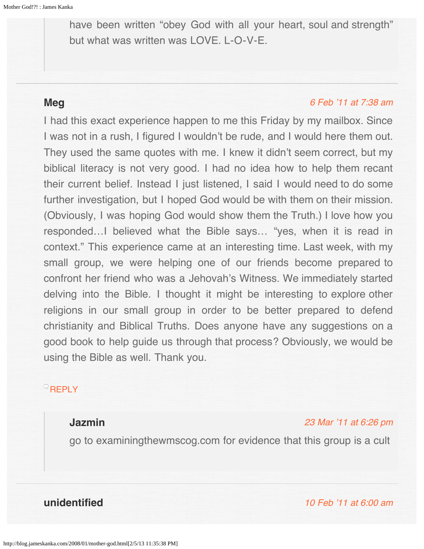<span id="page-100-1"></span><span id="page-100-0"></span>have been written "obey God with all your heart, soul and strength" but what was written was LOVE. L-O-V-E.

# <span id="page-100-2"></span>**Meg**

## [6 Feb '11 at 7:38 am](#page-100-2)

I had this exact experience happen to me this Friday by my mailbox. Since I was not in a rush, I figured I wouldn't be rude, and I would here them out. They used the same quotes with me. I knew it didn't seem correct, but my biblical literacy is not very good. I had no idea how to help them recant their current belief. Instead I just listened, I said I would need to do some further investigation, but I hoped God would be with them on their mission. (Obviously, I was hoping God would show them the Truth.) I love how you responded…I believed what the Bible says… "yes, when it is read in context." This experience came at an interesting time. Last week, with my small group, we were helping one of our friends become prepared to confront her friend who was a Jehovah's Witness. We immediately started delving into the Bible. I thought it might be interesting to explore other religions in our small group in order to be better prepared to defend christianity and Biblical Truths. Does anyone have any suggestions on a good book to help guide us through that process? Obviously, we would be using the Bible as well. Thank you.

# <span id="page-100-3"></span> $\overline{\phantom{a}}$ [REPLY](http://blog.jameskanka.com/2008/01/mother-god.html?replytocom=721#respond)

# **Jazmin**

### [23 Mar '11 at 6:26 pm](#page-100-3)

go to examiningthewmscog.com for evidence that this group is a cult

**unidentified** [10 Feb '11 at 6:00 am](#page-101-0)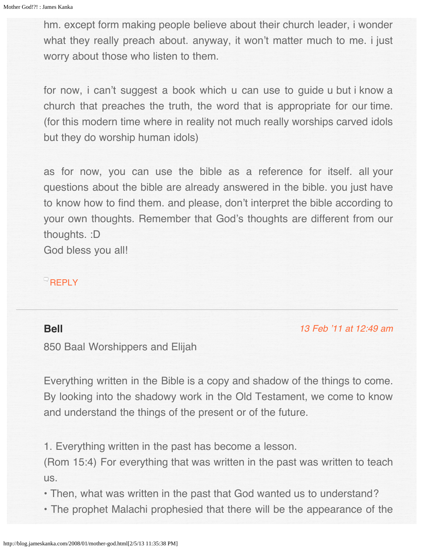<span id="page-101-0"></span>hm. except form making people believe about their church leader, i wonder what they really preach about. anyway, it won't matter much to me. i just worry about those who listen to them.

for now, i can't suggest a book which u can use to guide u but i know a church that preaches the truth, the word that is appropriate for our time. (for this modern time where in reality not much really worships carved idols but they do worship human idols)

as for now, you can use the bible as a reference for itself. all your questions about the bible are already answered in the bible. you just have to know how to find them. and please, don't interpret the bible according to your own thoughts. Remember that God's thoughts are different from our thoughts. :D

God bless you all!

# [REPLY](http://blog.jameskanka.com/2008/01/mother-god.html?replytocom=744#respond)

# **Bell**

[13 Feb '11 at 12:49 am](#page-107-0)

850 Baal Worshippers and Elijah

Everything written in the Bible is a copy and shadow of the things to come. By looking into the shadowy work in the Old Testament, we come to know and understand the things of the present or of the future.

1. Everything written in the past has become a lesson.

(Rom 15:4) For everything that was written in the past was written to teach us.

• Then, what was written in the past that God wanted us to understand?

• The prophet Malachi prophesied that there will be the appearance of the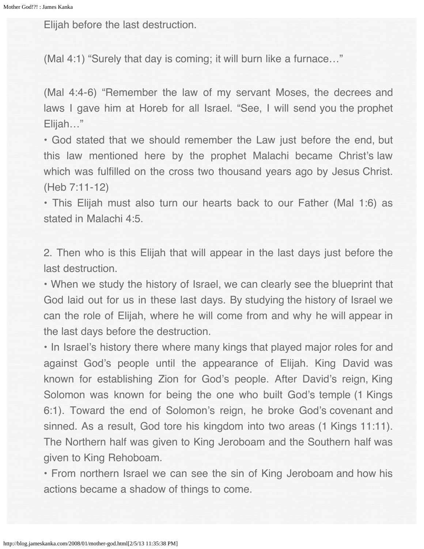Elijah before the last destruction.

(Mal 4:1) "Surely that day is coming; it will burn like a furnace…"

(Mal 4:4-6) "Remember the law of my servant Moses, the decrees and laws I gave him at Horeb for all Israel. "See, I will send you the prophet Elijah…"

• God stated that we should remember the Law just before the end, but this law mentioned here by the prophet Malachi became Christ's law which was fulfilled on the cross two thousand years ago by Jesus Christ. (Heb 7:11-12)

• This Elijah must also turn our hearts back to our Father (Mal 1:6) as stated in Malachi 4:5.

2. Then who is this Elijah that will appear in the last days just before the last destruction.

• When we study the history of Israel, we can clearly see the blueprint that God laid out for us in these last days. By studying the history of Israel we can the role of Elijah, where he will come from and why he will appear in the last days before the destruction.

• In Israel's history there where many kings that played major roles for and against God's people until the appearance of Elijah. King David was known for establishing Zion for God's people. After David's reign, King Solomon was known for being the one who built God's temple (1 Kings 6:1). Toward the end of Solomon's reign, he broke God's covenant and sinned. As a result, God tore his kingdom into two areas (1 Kings 11:11). The Northern half was given to King Jeroboam and the Southern half was given to King Rehoboam.

• From northern Israel we can see the sin of King Jeroboam and how his actions became a shadow of things to come.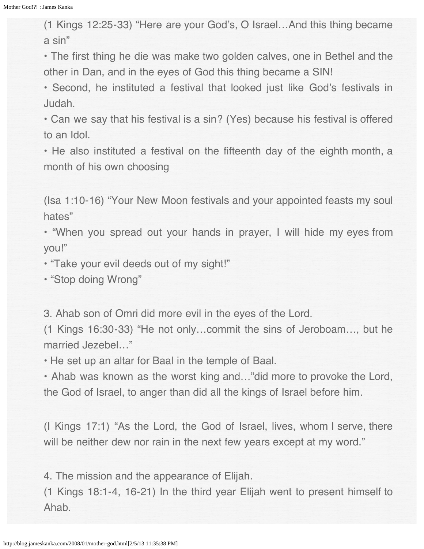(1 Kings 12:25-33) "Here are your God's, O Israel…And this thing became a sin"

• The first thing he die was make two golden calves, one in Bethel and the other in Dan, and in the eyes of God this thing became a SIN!

• Second, he instituted a festival that looked just like God's festivals in Judah.

• Can we say that his festival is a sin? (Yes) because his festival is offered to an Idol.

• He also instituted a festival on the fifteenth day of the eighth month, a month of his own choosing

(Isa 1:10-16) "Your New Moon festivals and your appointed feasts my soul hates"

• "When you spread out your hands in prayer, I will hide my eyes from you!"

• "Take your evil deeds out of my sight!"

• "Stop doing Wrong"

3. Ahab son of Omri did more evil in the eyes of the Lord.

(1 Kings 16:30-33) "He not only…commit the sins of Jeroboam…, but he married Jezebel…"

• He set up an altar for Baal in the temple of Baal.

• Ahab was known as the worst king and…"did more to provoke the Lord, the God of Israel, to anger than did all the kings of Israel before him.

(I Kings 17:1) "As the Lord, the God of Israel, lives, whom I serve, there will be neither dew nor rain in the next few years except at my word."

4. The mission and the appearance of Elijah.

(1 Kings 18:1-4, 16-21) In the third year Elijah went to present himself to Ahab.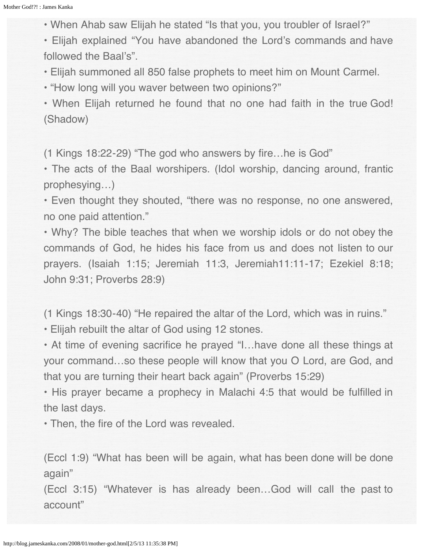• When Ahab saw Elijah he stated "Is that you, you troubler of Israel?"

• Elijah explained "You have abandoned the Lord's commands and have followed the Baal's".

• Elijah summoned all 850 false prophets to meet him on Mount Carmel.

• "How long will you waver between two opinions?"

• When Elijah returned he found that no one had faith in the true God! (Shadow)

(1 Kings 18:22-29) "The god who answers by fire…he is God"

• The acts of the Baal worshipers. (Idol worship, dancing around, frantic prophesying…)

• Even thought they shouted, "there was no response, no one answered, no one paid attention."

• Why? The bible teaches that when we worship idols or do not obey the commands of God, he hides his face from us and does not listen to our prayers. (Isaiah 1:15; Jeremiah 11:3, Jeremiah11:11-17; Ezekiel 8:18; John 9:31; Proverbs 28:9)

(1 Kings 18:30-40) "He repaired the altar of the Lord, which was in ruins."

• Elijah rebuilt the altar of God using 12 stones.

• At time of evening sacrifice he prayed "I…have done all these things at your command…so these people will know that you O Lord, are God, and that you are turning their heart back again" (Proverbs 15:29)

• His prayer became a prophecy in Malachi 4:5 that would be fulfilled in the last days.

• Then, the fire of the Lord was revealed.

(Eccl 1:9) "What has been will be again, what has been done will be done again"

(Eccl 3:15) "Whatever is has already been…God will call the past to account"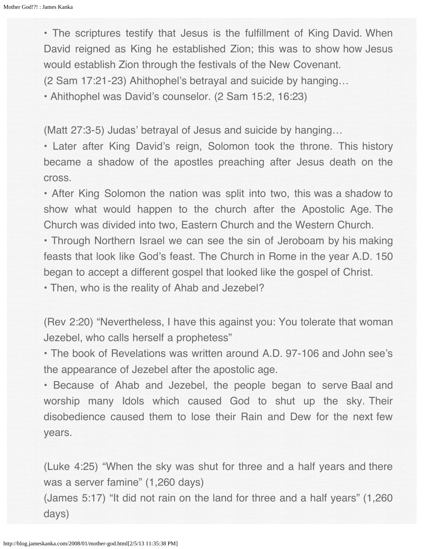• The scriptures testify that Jesus is the fulfillment of King David. When David reigned as King he established Zion; this was to show how Jesus would establish Zion through the festivals of the New Covenant.

(2 Sam 17:21-23) Ahithophel's betrayal and suicide by hanging…

• Ahithophel was David's counselor. (2 Sam 15:2, 16:23)

(Matt 27:3-5) Judas' betrayal of Jesus and suicide by hanging…

• Later after King David's reign, Solomon took the throne. This history became a shadow of the apostles preaching after Jesus death on the cross.

• After King Solomon the nation was split into two, this was a shadow to show what would happen to the church after the Apostolic Age. The Church was divided into two, Eastern Church and the Western Church.

• Through Northern Israel we can see the sin of Jeroboam by his making feasts that look like God's feast. The Church in Rome in the year A.D. 150 began to accept a different gospel that looked like the gospel of Christ.

• Then, who is the reality of Ahab and Jezebel?

(Rev 2:20) "Nevertheless, I have this against you: You tolerate that woman Jezebel, who calls herself a prophetess"

• The book of Revelations was written around A.D. 97-106 and John see's the appearance of Jezebel after the apostolic age.

• Because of Ahab and Jezebel, the people began to serve Baal and worship many Idols which caused God to shut up the sky. Their disobedience caused them to lose their Rain and Dew for the next few years.

(Luke 4:25) "When the sky was shut for three and a half years and there was a server famine" (1,260 days)

(James 5:17) "It did not rain on the land for three and a half years" (1,260 days)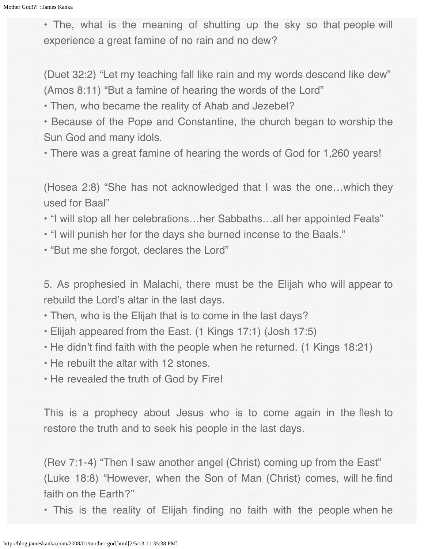• The, what is the meaning of shutting up the sky so that people will experience a great famine of no rain and no dew?

(Duet 32:2) "Let my teaching fall like rain and my words descend like dew" (Amos 8:11) "But a famine of hearing the words of the Lord"

• Then, who became the reality of Ahab and Jezebel?

• Because of the Pope and Constantine, the church began to worship the Sun God and many idols.

• There was a great famine of hearing the words of God for 1,260 years!

(Hosea 2:8) "She has not acknowledged that I was the one…which they used for Baal"

• "I will stop all her celebrations…her Sabbaths…all her appointed Feats"

- "I will punish her for the days she burned incense to the Baals."
- "But me she forgot, declares the Lord"

5. As prophesied in Malachi, there must be the Elijah who will appear to rebuild the Lord's altar in the last days.

• Then, who is the Elijah that is to come in the last days?

- Elijah appeared from the East. (1 Kings 17:1) (Josh 17:5)
- He didn't find faith with the people when he returned. (1 Kings 18:21)
- He rebuilt the altar with 12 stones.
- He revealed the truth of God by Fire!

This is a prophecy about Jesus who is to come again in the flesh to restore the truth and to seek his people in the last days.

(Rev 7:1-4) "Then I saw another angel (Christ) coming up from the East" (Luke 18:8) "However, when the Son of Man (Christ) comes, will he find faith on the Earth?"

• This is the reality of Elijah finding no faith with the people when he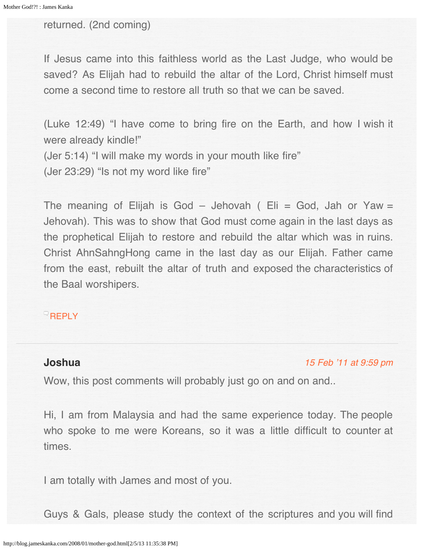<span id="page-107-0"></span>returned. (2nd coming)

If Jesus came into this faithless world as the Last Judge, who would be saved? As Elijah had to rebuild the altar of the Lord, Christ himself must come a second time to restore all truth so that we can be saved.

(Luke 12:49) "I have come to bring fire on the Earth, and how I wish it were already kindle!" (Jer 5:14) "I will make my words in your mouth like fire" (Jer 23:29) "Is not my word like fire"

The meaning of Elijah is God - Jehovah (  $Eli = God$ , Jah or Yaw = Jehovah). This was to show that God must come again in the last days as the prophetical Elijah to restore and rebuild the altar which was in ruins. Christ AhnSahngHong came in the last day as our Elijah. Father came from the east, rebuilt the altar of truth and exposed the characteristics of the Baal worshipers.

## **[REPLY](http://blog.jameskanka.com/2008/01/mother-god.html?replytocom=765#respond)**

## **Joshua**

[15 Feb '11 at 9:59 pm](#page-109-0)

Wow, this post comments will probably just go on and on and...

Hi, I am from Malaysia and had the same experience today. The people who spoke to me were Koreans, so it was a little difficult to counter at times.

I am totally with James and most of you.

Guys & Gals, please study the context of the scriptures and you will find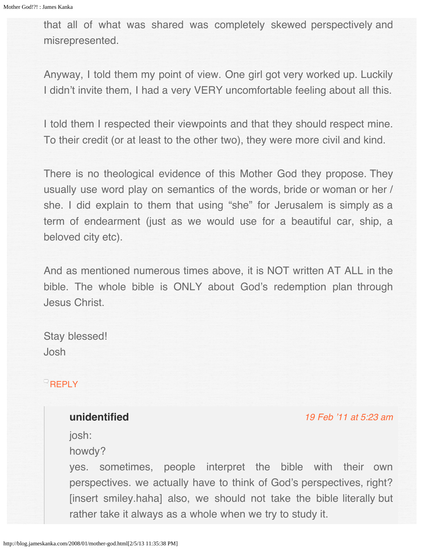that all of what was shared was completely skewed perspectively and misrepresented.

Anyway, I told them my point of view. One girl got very worked up. Luckily I didn't invite them, I had a very VERY uncomfortable feeling about all this.

I told them I respected their viewpoints and that they should respect mine. To their credit (or at least to the other two), they were more civil and kind.

There is no theological evidence of this Mother God they propose. They usually use word play on semantics of the words, bride or woman or her / she. I did explain to them that using "she" for Jerusalem is simply as a term of endearment (just as we would use for a beautiful car, ship, a beloved city etc).

And as mentioned numerous times above, it is NOT written AT ALL in the bible. The whole bible is ONLY about God's redemption plan through Jesus Christ.

Stay blessed! Josh

# **[REPLY](http://blog.jameskanka.com/2008/01/mother-god.html?replytocom=873#respond)**

# **unidentified**

[19 Feb '11 at 5:23 am](#page-109-0)

josh:

howdy?

yes. sometimes, people interpret the bible with their own perspectives. we actually have to think of God's perspectives, right? [insert smiley.haha] also, we should not take the bible literally but rather take it always as a whole when we try to study it.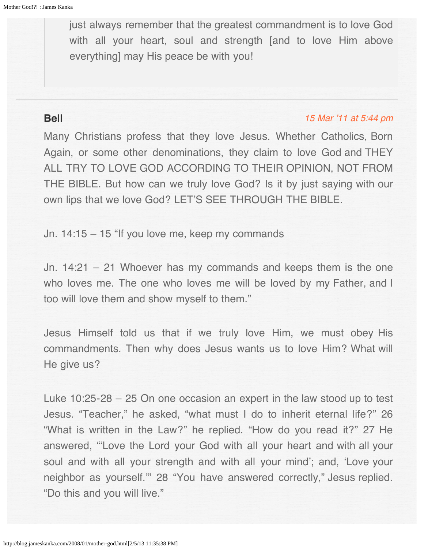<span id="page-109-0"></span>just always remember that the greatest commandment is to love God with all your heart, soul and strength [and to love Him above everything] may His peace be with you!

# **Bell**

### [15 Mar '11 at 5:44 pm](#page-114-0)

Many Christians profess that they love Jesus. Whether Catholics, Born Again, or some other denominations, they claim to love God and THEY ALL TRY TO LOVE GOD ACCORDING TO THEIR OPINION, NOT FROM THE BIBLE. But how can we truly love God? Is it by just saying with our own lips that we love God? LET'S SEE THROUGH THE BIBLE.

Jn. 14:15 – 15 "If you love me, keep my commands

Jn. 14:21 – 21 Whoever has my commands and keeps them is the one who loves me. The one who loves me will be loved by my Father, and I too will love them and show myself to them."

Jesus Himself told us that if we truly love Him, we must obey His commandments. Then why does Jesus wants us to love Him? What will He give us?

Luke 10:25-28 – 25 On one occasion an expert in the law stood up to test Jesus. "Teacher," he asked, "what must I do to inherit eternal life?" 26 "What is written in the Law?" he replied. "How do you read it?" 27 He answered, "'Love the Lord your God with all your heart and with all your soul and with all your strength and with all your mind'; and, 'Love your neighbor as yourself.'" 28 "You have answered correctly," Jesus replied. "Do this and you will live."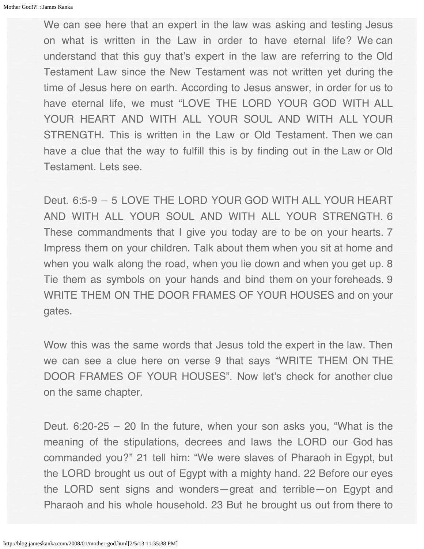We can see here that an expert in the law was asking and testing Jesus on what is written in the Law in order to have eternal life? We can understand that this guy that's expert in the law are referring to the Old Testament Law since the New Testament was not written yet during the time of Jesus here on earth. According to Jesus answer, in order for us to have eternal life, we must "LOVE THE LORD YOUR GOD WITH ALL YOUR HEART AND WITH ALL YOUR SOUL AND WITH ALL YOUR STRENGTH. This is written in the Law or Old Testament. Then we can have a clue that the way to fulfill this is by finding out in the Law or Old Testament. Lets see.

Deut. 6:5-9 – 5 LOVE THE LORD YOUR GOD WITH ALL YOUR HEART AND WITH ALL YOUR SOUL AND WITH ALL YOUR STRENGTH. 6 These commandments that I give you today are to be on your hearts. 7 Impress them on your children. Talk about them when you sit at home and when you walk along the road, when you lie down and when you get up. 8 Tie them as symbols on your hands and bind them on your foreheads. 9 WRITE THEM ON THE DOOR FRAMES OF YOUR HOUSES and on your gates.

Wow this was the same words that Jesus told the expert in the law. Then we can see a clue here on verse 9 that says "WRITE THEM ON THE DOOR FRAMES OF YOUR HOUSES". Now let's check for another clue on the same chapter.

Deut.  $6:20-25 - 20$  In the future, when your son asks you, "What is the meaning of the stipulations, decrees and laws the LORD our God has commanded you?" 21 tell him: "We were slaves of Pharaoh in Egypt, but the LORD brought us out of Egypt with a mighty hand. 22 Before our eyes the LORD sent signs and wonders—great and terrible—on Egypt and Pharaoh and his whole household. 23 But he brought us out from there to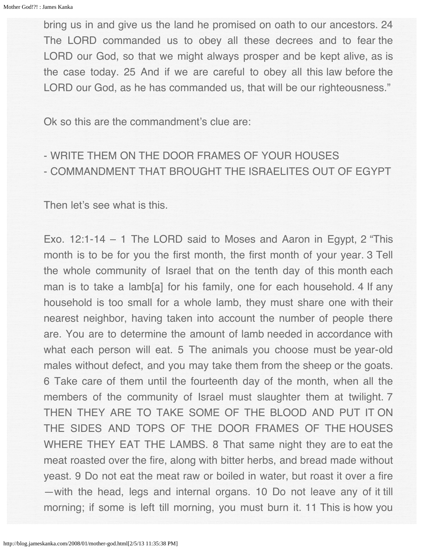bring us in and give us the land he promised on oath to our ancestors. 24 The LORD commanded us to obey all these decrees and to fear the LORD our God, so that we might always prosper and be kept alive, as is the case today. 25 And if we are careful to obey all this law before the LORD our God, as he has commanded us, that will be our righteousness."

Ok so this are the commandment's clue are:

- WRITE THEM ON THE DOOR FRAMES OF YOUR HOUSES - COMMANDMENT THAT BROUGHT THE ISRAELITES OUT OF EGYPT

Then let's see what is this.

Exo. 12:1-14 – 1 The LORD said to Moses and Aaron in Egypt, 2 "This month is to be for you the first month, the first month of your year. 3 Tell the whole community of Israel that on the tenth day of this month each man is to take a lamb[a] for his family, one for each household. 4 If any household is too small for a whole lamb, they must share one with their nearest neighbor, having taken into account the number of people there are. You are to determine the amount of lamb needed in accordance with what each person will eat. 5 The animals you choose must be year-old males without defect, and you may take them from the sheep or the goats. 6 Take care of them until the fourteenth day of the month, when all the members of the community of Israel must slaughter them at twilight. 7 THEN THEY ARE TO TAKE SOME OF THE BLOOD AND PUT IT ON THE SIDES AND TOPS OF THE DOOR FRAMES OF THE HOUSES WHERE THEY EAT THE LAMBS. 8 That same night they are to eat the meat roasted over the fire, along with bitter herbs, and bread made without yeast. 9 Do not eat the meat raw or boiled in water, but roast it over a fire —with the head, legs and internal organs. 10 Do not leave any of it till morning; if some is left till morning, you must burn it. 11 This is how you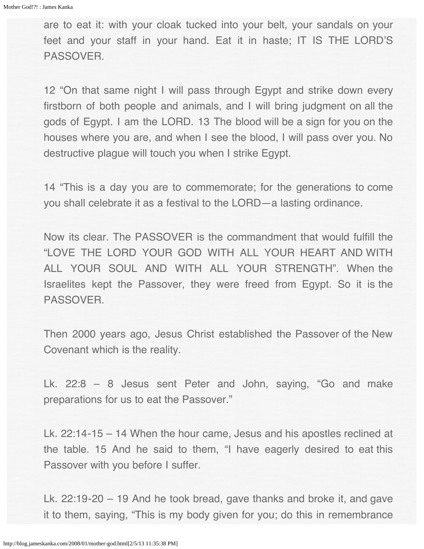are to eat it: with your cloak tucked into your belt, your sandals on your feet and your staff in your hand. Eat it in haste; IT IS THE LORD'S PASSOVER.

12 "On that same night I will pass through Egypt and strike down every firstborn of both people and animals, and I will bring judgment on all the gods of Egypt. I am the LORD. 13 The blood will be a sign for you on the houses where you are, and when I see the blood, I will pass over you. No destructive plague will touch you when I strike Egypt.

14 "This is a day you are to commemorate; for the generations to come you shall celebrate it as a festival to the LORD—a lasting ordinance.

Now its clear. The PASSOVER is the commandment that would fulfill the "LOVE THE LORD YOUR GOD WITH ALL YOUR HEART AND WITH ALL YOUR SOUL AND WITH ALL YOUR STRENGTH". When the Israelites kept the Passover, they were freed from Egypt. So it is the PASSOVER.

Then 2000 years ago, Jesus Christ established the Passover of the New Covenant which is the reality.

Lk. 22:8 – 8 Jesus sent Peter and John, saying, "Go and make preparations for us to eat the Passover."

Lk. 22:14-15 – 14 When the hour came, Jesus and his apostles reclined at the table. 15 And he said to them, "I have eagerly desired to eat this Passover with you before I suffer.

Lk. 22:19-20 – 19 And he took bread, gave thanks and broke it, and gave it to them, saying, "This is my body given for you; do this in remembrance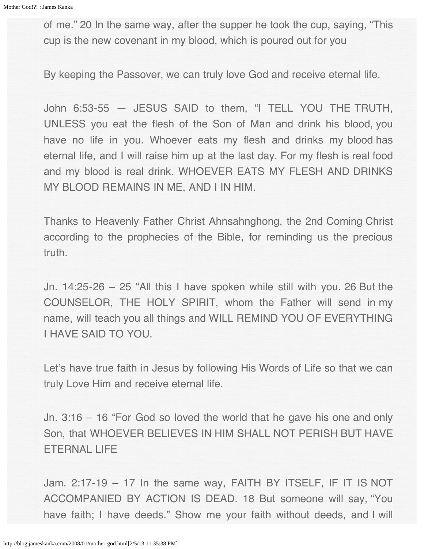of me." 20 In the same way, after the supper he took the cup, saying, "This cup is the new covenant in my blood, which is poured out for you

By keeping the Passover, we can truly love God and receive eternal life.

John 6:53-55 — JESUS SAID to them, "I TELL YOU THE TRUTH, UNLESS you eat the flesh of the Son of Man and drink his blood, you have no life in you. Whoever eats my flesh and drinks my blood has eternal life, and I will raise him up at the last day. For my flesh is real food and my blood is real drink. WHOEVER EATS MY FLESH AND DRINKS MY BLOOD REMAINS IN ME, AND I IN HIM.

Thanks to Heavenly Father Christ Ahnsahnghong, the 2nd Coming Christ according to the prophecies of the Bible, for reminding us the precious truth.

Jn. 14:25-26 – 25 "All this I have spoken while still with you. 26 But the COUNSELOR, THE HOLY SPIRIT, whom the Father will send in my name, will teach you all things and WILL REMIND YOU OF EVERYTHING I HAVE SAID TO YOU.

Let's have true faith in Jesus by following His Words of Life so that we can truly Love Him and receive eternal life.

Jn. 3:16 – 16 "For God so loved the world that he gave his one and only Son, that WHOEVER BELIEVES IN HIM SHALL NOT PERISH BUT HAVE ETERNAL LIFE

Jam. 2:17-19 – 17 In the same way, FAITH BY ITSELF, IF IT IS NOT ACCOMPANIED BY ACTION IS DEAD. 18 But someone will say, "You have faith; I have deeds." Show me your faith without deeds, and I will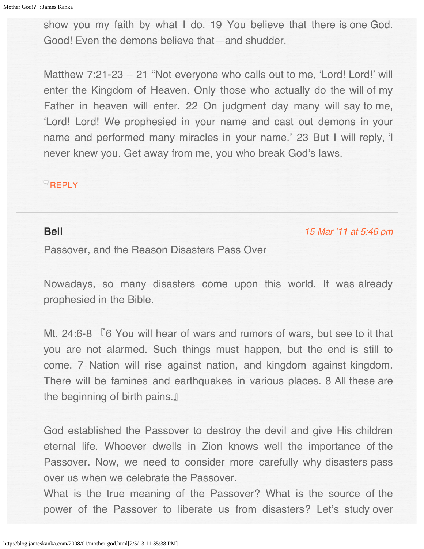<span id="page-114-0"></span>show you my faith by what I do. 19 You believe that there is one God. Good! Even the demons believe that—and shudder.

Matthew 7:21-23 – 21 "Not everyone who calls out to me, 'Lord! Lord!' will enter the Kingdom of Heaven. Only those who actually do the will of my Father in heaven will enter. 22 On judgment day many will say to me, 'Lord! Lord! We prophesied in your name and cast out demons in your name and performed many miracles in your name.' 23 But I will reply, 'I never knew you. Get away from me, you who break God's laws.

## **[REPLY](http://blog.jameskanka.com/2008/01/mother-god.html?replytocom=1188#respond)**

### **Bell**

#### [15 Mar '11 at 5:46 pm](#page-124-0)

Passover, and the Reason Disasters Pass Over

Nowadays, so many disasters come upon this world. It was already prophesied in the Bible.

Mt. 24:6-8 『6 You will hear of wars and rumors of wars, but see to it that you are not alarmed. Such things must happen, but the end is still to come. 7 Nation will rise against nation, and kingdom against kingdom. There will be famines and earthquakes in various places. 8 All these are the beginning of birth pains.』

God established the Passover to destroy the devil and give His children eternal life. Whoever dwells in Zion knows well the importance of the Passover. Now, we need to consider more carefully why disasters pass over us when we celebrate the Passover.

What is the true meaning of the Passover? What is the source of the power of the Passover to liberate us from disasters? Let's study over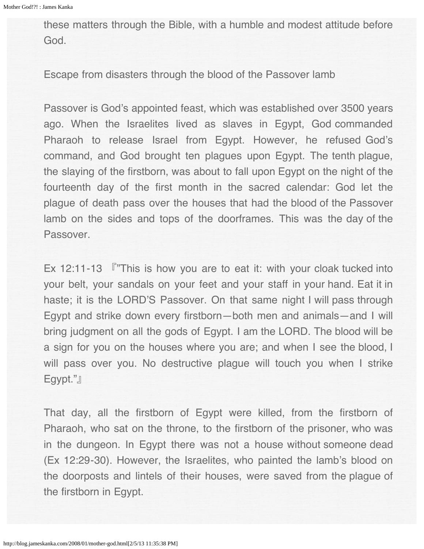these matters through the Bible, with a humble and modest attitude before God.

Escape from disasters through the blood of the Passover lamb

Passover is God's appointed feast, which was established over 3500 years ago. When the Israelites lived as slaves in Egypt, God commanded Pharaoh to release Israel from Egypt. However, he refused God's command, and God brought ten plagues upon Egypt. The tenth plague, the slaying of the firstborn, was about to fall upon Egypt on the night of the fourteenth day of the first month in the sacred calendar: God let the plague of death pass over the houses that had the blood of the Passover lamb on the sides and tops of the doorframes. This was the day of the Passover.

Ex 12:11-13 『"This is how you are to eat it: with your cloak tucked into your belt, your sandals on your feet and your staff in your hand. Eat it in haste; it is the LORD'S Passover. On that same night I will pass through Egypt and strike down every firstborn―both men and animals―and I will bring judgment on all the gods of Egypt. I am the LORD. The blood will be a sign for you on the houses where you are; and when I see the blood, I will pass over you. No destructive plague will touch you when I strike Egypt."』

That day, all the firstborn of Egypt were killed, from the firstborn of Pharaoh, who sat on the throne, to the firstborn of the prisoner, who was in the dungeon. In Egypt there was not a house without someone dead (Ex 12:29-30). However, the Israelites, who painted the lamb's blood on the doorposts and lintels of their houses, were saved from the plague of the firstborn in Egypt.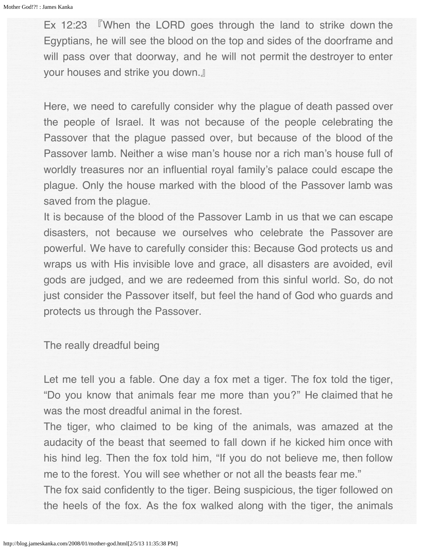Ex 12:23 『When the LORD goes through the land to strike down the Egyptians, he will see the blood on the top and sides of the doorframe and will pass over that doorway, and he will not permit the destroyer to enter your houses and strike you down.』

Here, we need to carefully consider why the plague of death passed over the people of Israel. It was not because of the people celebrating the Passover that the plague passed over, but because of the blood of the Passover lamb. Neither a wise man's house nor a rich man's house full of worldly treasures nor an influential royal family's palace could escape the plague. Only the house marked with the blood of the Passover lamb was saved from the plague.

It is because of the blood of the Passover Lamb in us that we can escape disasters, not because we ourselves who celebrate the Passover are powerful. We have to carefully consider this: Because God protects us and wraps us with His invisible love and grace, all disasters are avoided, evil gods are judged, and we are redeemed from this sinful world. So, do not just consider the Passover itself, but feel the hand of God who guards and protects us through the Passover.

The really dreadful being

Let me tell you a fable. One day a fox met a tiger. The fox told the tiger, "Do you know that animals fear me more than you?" He claimed that he was the most dreadful animal in the forest.

The tiger, who claimed to be king of the animals, was amazed at the audacity of the beast that seemed to fall down if he kicked him once with his hind leg. Then the fox told him, "If you do not believe me, then follow me to the forest. You will see whether or not all the beasts fear me."

The fox said confidently to the tiger. Being suspicious, the tiger followed on the heels of the fox. As the fox walked along with the tiger, the animals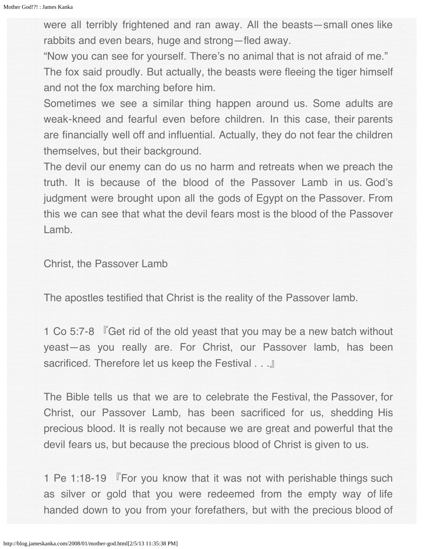were all terribly frightened and ran away. All the beasts―small ones like rabbits and even bears, huge and strong―fled away.

"Now you can see for yourself. There's no animal that is not afraid of me."

The fox said proudly. But actually, the beasts were fleeing the tiger himself and not the fox marching before him.

Sometimes we see a similar thing happen around us. Some adults are weak-kneed and fearful even before children. In this case, their parents are financially well off and influential. Actually, they do not fear the children themselves, but their background.

The devil our enemy can do us no harm and retreats when we preach the truth. It is because of the blood of the Passover Lamb in us. God's judgment were brought upon all the gods of Egypt on the Passover. From this we can see that what the devil fears most is the blood of the Passover Lamb.

Christ, the Passover Lamb

The apostles testified that Christ is the reality of the Passover lamb.

1 Co 5:7-8 『Get rid of the old yeast that you may be a new batch without yeast―as you really are. For Christ, our Passover lamb, has been sacrificed. Therefore let us keep the Festival . . .』

The Bible tells us that we are to celebrate the Festival, the Passover, for Christ, our Passover Lamb, has been sacrificed for us, shedding His precious blood. It is really not because we are great and powerful that the devil fears us, but because the precious blood of Christ is given to us.

1 Pe 1:18-19 『For you know that it was not with perishable things such as silver or gold that you were redeemed from the empty way of life handed down to you from your forefathers, but with the precious blood of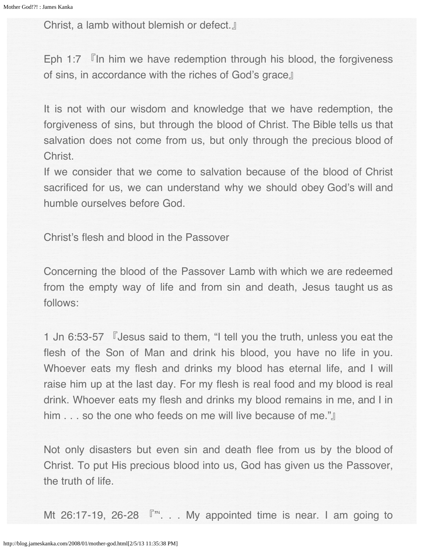Christ, a lamb without blemish or defect.』

Eph 1:7 『In him we have redemption through his blood, the forgiveness of sins, in accordance with the riches of God's grace』

It is not with our wisdom and knowledge that we have redemption, the forgiveness of sins, but through the blood of Christ. The Bible tells us that salvation does not come from us, but only through the precious blood of Christ.

If we consider that we come to salvation because of the blood of Christ sacrificed for us, we can understand why we should obey God's will and humble ourselves before God.

Christ's flesh and blood in the Passover

Concerning the blood of the Passover Lamb with which we are redeemed from the empty way of life and from sin and death, Jesus taught us as follows:

1 Jn 6:53-57 『Jesus said to them, "I tell you the truth, unless you eat the flesh of the Son of Man and drink his blood, you have no life in you. Whoever eats my flesh and drinks my blood has eternal life, and I will raise him up at the last day. For my flesh is real food and my blood is real drink. Whoever eats my flesh and drinks my blood remains in me, and I in him . . . so the one who feeds on me will live because of me."』

Not only disasters but even sin and death flee from us by the blood of Christ. To put His precious blood into us, God has given us the Passover, the truth of life.

Mt 26:17-19, 26-28  $\sqrt{m}$ . . My appointed time is near. I am going to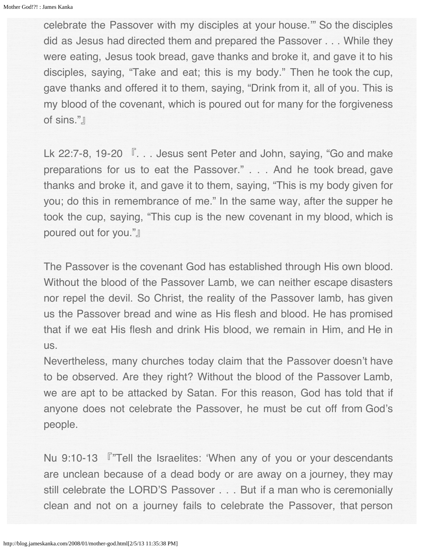celebrate the Passover with my disciples at your house.'" So the disciples did as Jesus had directed them and prepared the Passover . . . While they were eating, Jesus took bread, gave thanks and broke it, and gave it to his disciples, saying, "Take and eat; this is my body." Then he took the cup, gave thanks and offered it to them, saying, "Drink from it, all of you. This is my blood of the covenant, which is poured out for many for the forgiveness of sins."』

Lk 22:7-8, 19-20  $\sqrt{ }$ ... Jesus sent Peter and John, saying, "Go and make preparations for us to eat the Passover." . . . And he took bread, gave thanks and broke it, and gave it to them, saying, "This is my body given for you; do this in remembrance of me." In the same way, after the supper he took the cup, saying, "This cup is the new covenant in my blood, which is poured out for you."』

The Passover is the covenant God has established through His own blood. Without the blood of the Passover Lamb, we can neither escape disasters nor repel the devil. So Christ, the reality of the Passover lamb, has given us the Passover bread and wine as His flesh and blood. He has promised that if we eat His flesh and drink His blood, we remain in Him, and He in us.

Nevertheless, many churches today claim that the Passover doesn't have to be observed. Are they right? Without the blood of the Passover Lamb, we are apt to be attacked by Satan. For this reason, God has told that if anyone does not celebrate the Passover, he must be cut off from God's people.

Nu 9:10-13 『"Tell the Israelites: 'When any of you or your descendants are unclean because of a dead body or are away on a journey, they may still celebrate the LORD'S Passover . . . But if a man who is ceremonially clean and not on a journey fails to celebrate the Passover, that person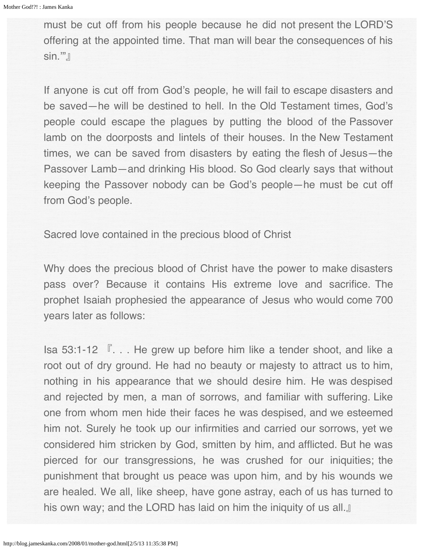must be cut off from his people because he did not present the LORD'S offering at the appointed time. That man will bear the consequences of his sin.""』

If anyone is cut off from God's people, he will fail to escape disasters and be saved―he will be destined to hell. In the Old Testament times, God's people could escape the plagues by putting the blood of the Passover lamb on the doorposts and lintels of their houses. In the New Testament times, we can be saved from disasters by eating the flesh of Jesus―the Passover Lamb―and drinking His blood. So God clearly says that without keeping the Passover nobody can be God's people―he must be cut off from God's people.

Sacred love contained in the precious blood of Christ

Why does the precious blood of Christ have the power to make disasters pass over? Because it contains His extreme love and sacrifice. The prophet Isaiah prophesied the appearance of Jesus who would come 700 years later as follows:

Isa 53:1-12 『. . . He grew up before him like a tender shoot, and like a root out of dry ground. He had no beauty or majesty to attract us to him, nothing in his appearance that we should desire him. He was despised and rejected by men, a man of sorrows, and familiar with suffering. Like one from whom men hide their faces he was despised, and we esteemed him not. Surely he took up our infirmities and carried our sorrows, yet we considered him stricken by God, smitten by him, and afflicted. But he was pierced for our transgressions, he was crushed for our iniquities; the punishment that brought us peace was upon him, and by his wounds we are healed. We all, like sheep, have gone astray, each of us has turned to his own way; and the LORD has laid on him the iniquity of us all.』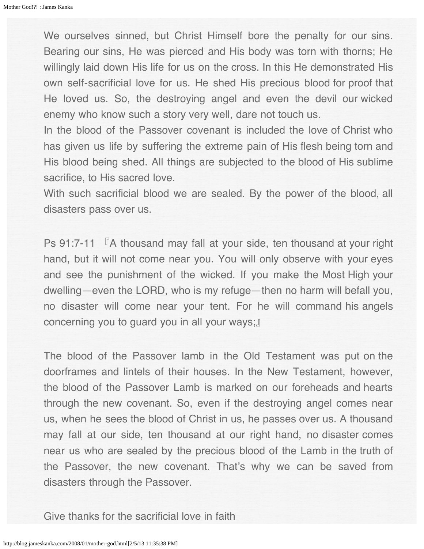We ourselves sinned, but Christ Himself bore the penalty for our sins. Bearing our sins, He was pierced and His body was torn with thorns; He willingly laid down His life for us on the cross. In this He demonstrated His own self-sacrificial love for us. He shed His precious blood for proof that He loved us. So, the destroying angel and even the devil our wicked enemy who know such a story very well, dare not touch us.

In the blood of the Passover covenant is included the love of Christ who has given us life by suffering the extreme pain of His flesh being torn and His blood being shed. All things are subjected to the blood of His sublime sacrifice, to His sacred love.

With such sacrificial blood we are sealed. By the power of the blood, all disasters pass over us.

Ps 91:7-11 『A thousand may fall at your side, ten thousand at your right hand, but it will not come near you. You will only observe with your eyes and see the punishment of the wicked. If you make the Most High your dwelling―even the LORD, who is my refuge―then no harm will befall you, no disaster will come near your tent. For he will command his angels concerning you to guard you in all your ways;』

The blood of the Passover lamb in the Old Testament was put on the doorframes and lintels of their houses. In the New Testament, however, the blood of the Passover Lamb is marked on our foreheads and hearts through the new covenant. So, even if the destroying angel comes near us, when he sees the blood of Christ in us, he passes over us. A thousand may fall at our side, ten thousand at our right hand, no disaster comes near us who are sealed by the precious blood of the Lamb in the truth of the Passover, the new covenant. That's why we can be saved from disasters through the Passover.

Give thanks for the sacrificial love in faith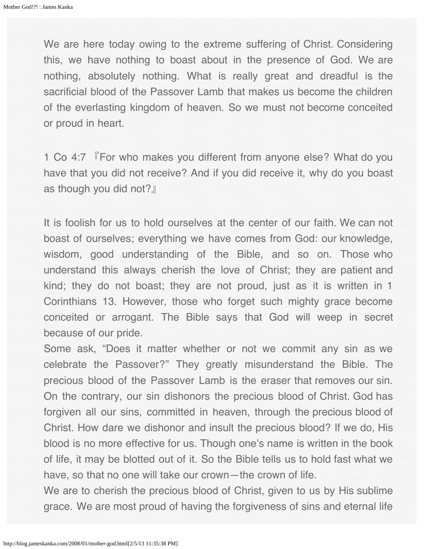We are here today owing to the extreme suffering of Christ. Considering this, we have nothing to boast about in the presence of God. We are nothing, absolutely nothing. What is really great and dreadful is the sacrificial blood of the Passover Lamb that makes us become the children of the everlasting kingdom of heaven. So we must not become conceited or proud in heart.

1 Co 4:7 『For who makes you different from anyone else? What do you have that you did not receive? And if you did receive it, why do you boast as though you did not?』

It is foolish for us to hold ourselves at the center of our faith. We can not boast of ourselves; everything we have comes from God: our knowledge, wisdom, good understanding of the Bible, and so on. Those who understand this always cherish the love of Christ; they are patient and kind; they do not boast; they are not proud, just as it is written in 1 Corinthians 13. However, those who forget such mighty grace become conceited or arrogant. The Bible says that God will weep in secret because of our pride.

Some ask, "Does it matter whether or not we commit any sin as we celebrate the Passover?" They greatly misunderstand the Bible. The precious blood of the Passover Lamb is the eraser that removes our sin. On the contrary, our sin dishonors the precious blood of Christ. God has forgiven all our sins, committed in heaven, through the precious blood of Christ. How dare we dishonor and insult the precious blood? If we do, His blood is no more effective for us. Though one's name is written in the book of life, it may be blotted out of it. So the Bible tells us to hold fast what we have, so that no one will take our crown—the crown of life.

We are to cherish the precious blood of Christ, given to us by His sublime grace. We are most proud of having the forgiveness of sins and eternal life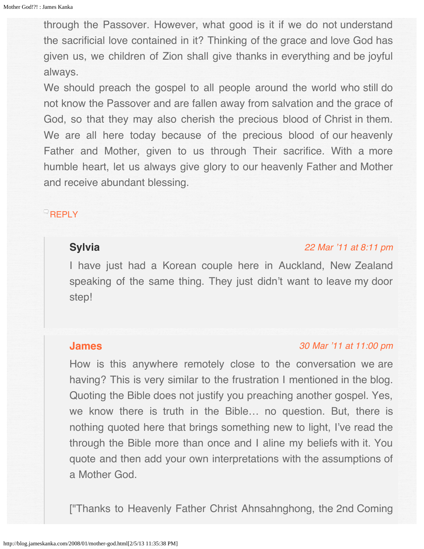through the Passover. However, what good is it if we do not understand the sacrificial love contained in it? Thinking of the grace and love God has given us, we children of Zion shall give thanks in everything and be joyful always.

We should preach the gospel to all people around the world who still do not know the Passover and are fallen away from salvation and the grace of God, so that they may also cherish the precious blood of Christ in them. We are all here today because of the precious blood of our heavenly Father and Mother, given to us through Their sacrifice. With a more humble heart, let us always give glory to our heavenly Father and Mother and receive abundant blessing.

# <span id="page-123-0"></span> $^{\circ}$ [REPLY](http://blog.jameskanka.com/2008/01/mother-god.html?replytocom=1189#respond)

### **Sylvia**

#### [22 Mar '11 at 8:11 pm](#page-123-0)

I have just had a Korean couple here in Auckland, New Zealand speaking of the same thing. They just didn't want to leave my door step!

### **[James](http://jameskanka.com/)**

#### [30 Mar '11 at 11:00 pm](#page-124-1)

How is this anywhere remotely close to the conversation we are having? This is very similar to the frustration I mentioned in the blog. Quoting the Bible does not justify you preaching another gospel. Yes, we know there is truth in the Bible… no question. But, there is nothing quoted here that brings something new to light, I've read the through the Bible more than once and I aline my beliefs with it. You quote and then add your own interpretations with the assumptions of a Mother God.

["Thanks to Heavenly Father Christ Ahnsahnghong, the 2nd Coming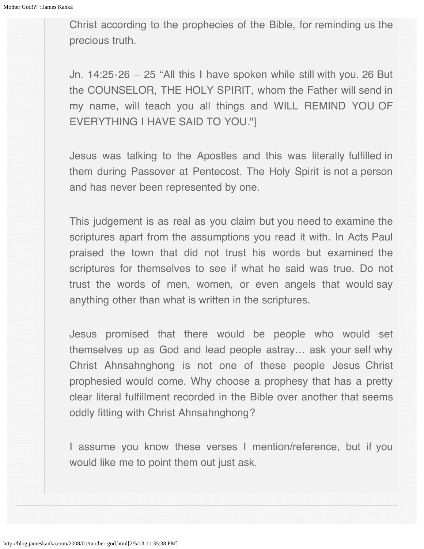<span id="page-124-1"></span><span id="page-124-0"></span>Christ according to the prophecies of the Bible, for reminding us the precious truth.

Jn. 14:25-26 – 25 "All this I have spoken while still with you. 26 But the COUNSELOR, THE HOLY SPIRIT, whom the Father will send in my name, will teach you all things and WILL REMIND YOU OF EVERYTHING I HAVE SAID TO YOU."]

Jesus was talking to the Apostles and this was literally fulfilled in them during Passover at Pentecost. The Holy Spirit is not a person and has never been represented by one.

This judgement is as real as you claim but you need to examine the scriptures apart from the assumptions you read it with. In Acts Paul praised the town that did not trust his words but examined the scriptures for themselves to see if what he said was true. Do not trust the words of men, women, or even angels that would say anything other than what is written in the scriptures.

Jesus promised that there would be people who would set themselves up as God and lead people astray… ask your self why Christ Ahnsahnghong is not one of these people Jesus Christ prophesied would come. Why choose a prophesy that has a pretty clear literal fulfillment recorded in the Bible over another that seems oddly fitting with Christ Ahnsahnghong?

I assume you know these verses I mention/reference, but if you would like me to point them out just ask.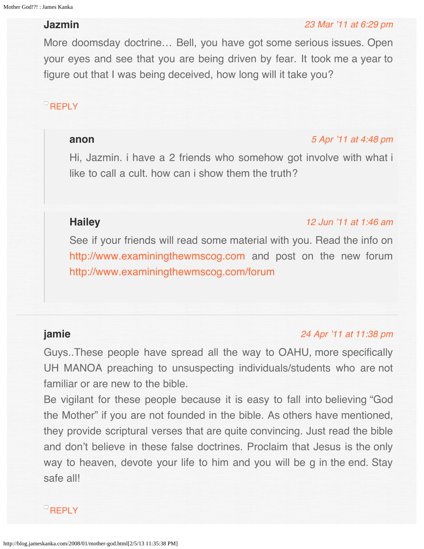# <span id="page-125-0"></span>**Jazmin**

#### [23 Mar '11 at 6:29 pm](#page-125-0)

More doomsday doctrine… Bell, you have got some serious issues. Open your eyes and see that you are being driven by fear. It took me a year to figure out that I was being deceived, how long will it take you?

# <span id="page-125-1"></span>[REPLY](http://blog.jameskanka.com/2008/01/mother-god.html?replytocom=1274#respond)

#### **anon**

#### [5 Apr '11 at 4:48 pm](#page-125-1)

Hi, Jazmin. i have a 2 friends who somehow got involve with what i like to call a cult. how can i show them the truth?

# <span id="page-125-2"></span>**Hailey**

#### [12 Jun '11 at 1:46 am](#page-125-2)

See if your friends will read some material with you. Read the info on [http://www.examiningthewmscog.com](http://www.examiningthewmscog.com/) and post on the new forum <http://www.examiningthewmscog.com/forum>

## **jamie**

### [24 Apr '11 at 11:38 pm](#page-126-0)

Guys..These people have spread all the way to OAHU, more specifically UH MANOA preaching to unsuspecting individuals/students who are not familiar or are new to the bible.

Be vigilant for these people because it is easy to fall into believing "God the Mother" if you are not founded in the bible. As others have mentioned, they provide scriptural verses that are quite convincing. Just read the bible and don't believe in these false doctrines. Proclaim that Jesus is the only way to heaven, devote your life to him and you will be g in the end. Stay safe all!

**[REPLY](http://blog.jameskanka.com/2008/01/mother-god.html?replytocom=1595#respond)**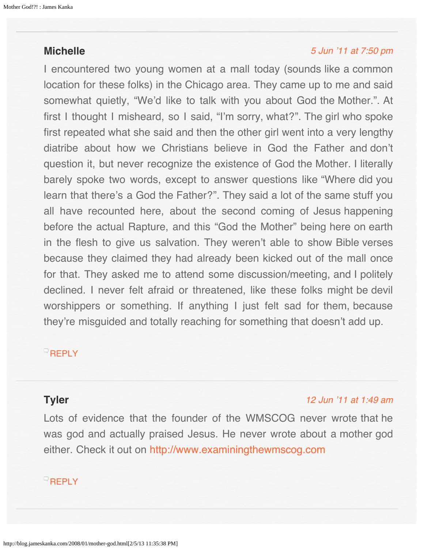# <span id="page-126-1"></span><span id="page-126-0"></span>**Michelle**

### [5 Jun '11 at 7:50 pm](#page-126-1)

I encountered two young women at a mall today (sounds like a common location for these folks) in the Chicago area. They came up to me and said somewhat quietly, "We'd like to talk with you about God the Mother.". At first I thought I misheard, so I said, "I'm sorry, what?". The girl who spoke first repeated what she said and then the other girl went into a very lengthy diatribe about how we Christians believe in God the Father and don't question it, but never recognize the existence of God the Mother. I literally barely spoke two words, except to answer questions like "Where did you learn that there's a God the Father?". They said a lot of the same stuff you all have recounted here, about the second coming of Jesus happening before the actual Rapture, and this "God the Mother" being here on earth in the flesh to give us salvation. They weren't able to show Bible verses because they claimed they had already been kicked out of the mall once for that. They asked me to attend some discussion/meeting, and I politely declined. I never felt afraid or threatened, like these folks might be devil worshippers or something. If anything I just felt sad for them, because they're misguided and totally reaching for something that doesn't add up.

# **[REPLY](http://blog.jameskanka.com/2008/01/mother-god.html?replytocom=2025#respond)**

# <span id="page-126-2"></span>**Tyler**

### [12 Jun '11 at 1:49 am](#page-126-2)

Lots of evidence that the founder of the WMSCOG never wrote that he was god and actually praised Jesus. He never wrote about a mother god either. Check it out on [http://www.examiningthewmscog.com](http://www.examiningthewmscog.com/)

# **[REPLY](http://blog.jameskanka.com/2008/01/mother-god.html?replytocom=2071#respond)**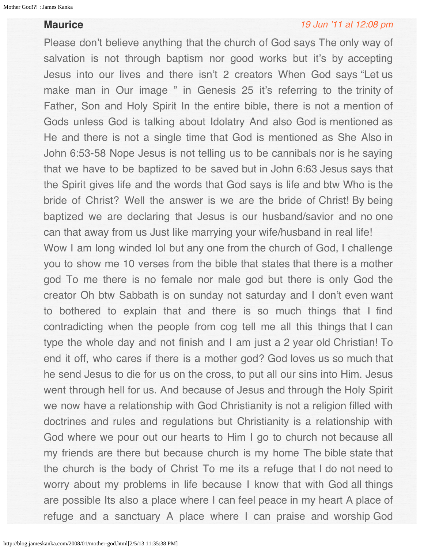# **Maurice**

#### [19 Jun '11 at 12:08 pm](#page-128-0)

Please don't believe anything that the church of God says The only way of salvation is not through baptism nor good works but it's by accepting Jesus into our lives and there isn't 2 creators When God says "Let us make man in Our image " in Genesis 25 it's referring to the trinity of Father, Son and Holy Spirit In the entire bible, there is not a mention of Gods unless God is talking about Idolatry And also God is mentioned as He and there is not a single time that God is mentioned as She Also in John 6:53-58 Nope Jesus is not telling us to be cannibals nor is he saying that we have to be baptized to be saved but in John 6:63 Jesus says that the Spirit gives life and the words that God says is life and btw Who is the bride of Christ? Well the answer is we are the bride of Christ! By being baptized we are declaring that Jesus is our husband/savior and no one can that away from us Just like marrying your wife/husband in real life! Wow I am long winded lol but any one from the church of God, I challenge you to show me 10 verses from the bible that states that there is a mother god To me there is no female nor male god but there is only God the creator Oh btw Sabbath is on sunday not saturday and I don't even want to bothered to explain that and there is so much things that I find contradicting when the people from cog tell me all this things that I can type the whole day and not finish and I am just a 2 year old Christian! To end it off, who cares if there is a mother god? God loves us so much that he send Jesus to die for us on the cross, to put all our sins into Him. Jesus went through hell for us. And because of Jesus and through the Holy Spirit we now have a relationship with God Christianity is not a religion filled with doctrines and rules and regulations but Christianity is a relationship with God where we pour out our hearts to Him I go to church not because all my friends are there but because church is my home The bible state that the church is the body of Christ To me its a refuge that I do not need to worry about my problems in life because I know that with God all things are possible Its also a place where I can feel peace in my heart A place of refuge and a sanctuary A place where I can praise and worship God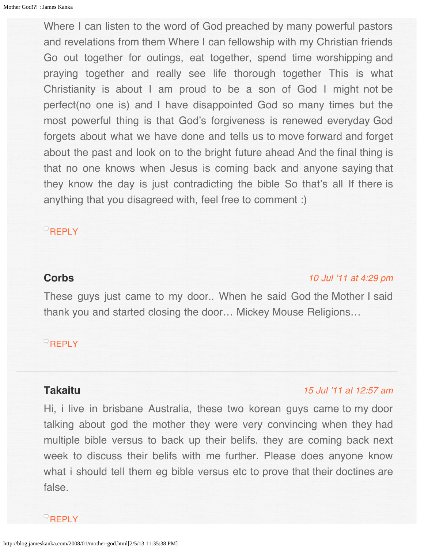<span id="page-128-0"></span>Where I can listen to the word of God preached by many powerful pastors and revelations from them Where I can fellowship with my Christian friends Go out together for outings, eat together, spend time worshipping and praying together and really see life thorough together This is what Christianity is about I am proud to be a son of God I might not be perfect(no one is) and I have disappointed God so many times but the most powerful thing is that God's forgiveness is renewed everyday God forgets about what we have done and tells us to move forward and forget about the past and look on to the bright future ahead And the final thing is that no one knows when Jesus is coming back and anyone saying that they know the day is just contradicting the bible So that's all If there is anything that you disagreed with, feel free to comment :)

# **[REPLY](http://blog.jameskanka.com/2008/01/mother-god.html?replytocom=2133#respond)**

# <span id="page-128-1"></span>**Corbs**

#### [10 Jul '11 at 4:29 pm](#page-128-1)

These guys just came to my door.. When he said God the Mother I said thank you and started closing the door… Mickey Mouse Religions…

# $\overline{\phantom{a}}$ [REPLY](http://blog.jameskanka.com/2008/01/mother-god.html?replytocom=2377#respond)

### **Takaitu**

### [15 Jul '11 at 12:57 am](#page-129-0)

Hi, i live in brisbane Australia, these two korean guys came to my door talking about god the mother they were very convincing when they had multiple bible versus to back up their belifs. they are coming back next week to discuss their belifs with me further. Please does anyone know what i should tell them eg bible versus etc to prove that their doctines are false.

### $\bigcirc$ [REPLY](http://blog.jameskanka.com/2008/01/mother-god.html?replytocom=2414#respond)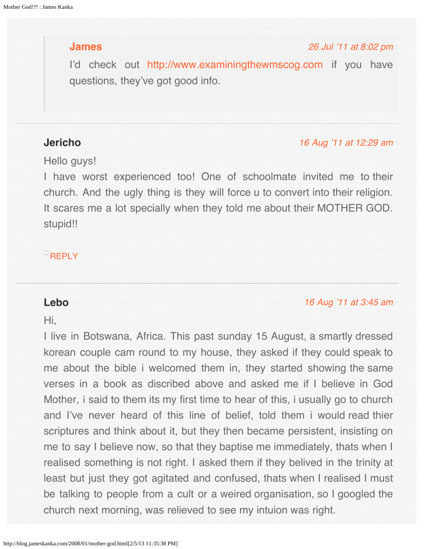# <span id="page-129-1"></span><span id="page-129-0"></span>**[James](http://jameskanka.com/)**

### [26 Jul '11 at 8:02 pm](#page-129-1)

I'd check out [http://www.examiningthewmscog.com](http://www.examiningthewmscog.com/) if you have questions, they've got good info.

# <span id="page-129-2"></span>**Jericho**

#### [16 Aug '11 at 12:29 am](#page-129-2)

### Hello guys!

I have worst experienced too! One of schoolmate invited me to their church. And the ugly thing is they will force u to convert into their religion. It scares me a lot specially when they told me about their MOTHER GOD. stupid!!

# $^{\circ}$ [REPLY](http://blog.jameskanka.com/2008/01/mother-god.html?replytocom=2774#respond)

### **Lebo**

#### [16 Aug '11 at 3:45 am](#page-130-0)

### Hi,

I live in Botswana, Africa. This past sunday 15 August, a smartly dressed korean couple cam round to my house, they asked if they could speak to me about the bible i welcomed them in, they started showing the same verses in a book as discribed above and asked me if I believe in God Mother, i said to them its my first time to hear of this, i usually go to church and I've never heard of this line of belief, told them i would read thier scriptures and think about it, but they then became persistent, insisting on me to say I believe now, so that they baptise me immediately, thats when I realised something is not right. I asked them if they belived in the trinity at least but just they got agitated and confused, thats when I realised I must be talking to people from a cult or a weired organisation, so I googled the church next morning, was relieved to see my intuion was right.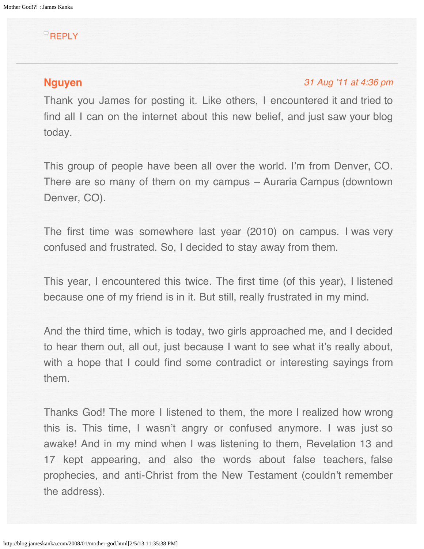# <span id="page-130-0"></span><sup>Q</sup>[REPLY](http://blog.jameskanka.com/2008/01/mother-god.html?replytocom=2776#respond)

# **[Nguyen](http://blogcuatoe.blogspot.com/)**

### [31 Aug '11 at 4:36 pm](#page-131-0)

Thank you James for posting it. Like others, I encountered it and tried to find all I can on the internet about this new belief, and just saw your blog today.

This group of people have been all over the world. I'm from Denver, CO. There are so many of them on my campus – Auraria Campus (downtown Denver, CO).

The first time was somewhere last year (2010) on campus. I was very confused and frustrated. So, I decided to stay away from them.

This year, I encountered this twice. The first time (of this year), I listened because one of my friend is in it. But still, really frustrated in my mind.

And the third time, which is today, two girls approached me, and I decided to hear them out, all out, just because I want to see what it's really about, with a hope that I could find some contradict or interesting sayings from them.

Thanks God! The more I listened to them, the more I realized how wrong this is. This time, I wasn't angry or confused anymore. I was just so awake! And in my mind when I was listening to them, Revelation 13 and 17 kept appearing, and also the words about false teachers, false prophecies, and anti-Christ from the New Testament (couldn't remember the address).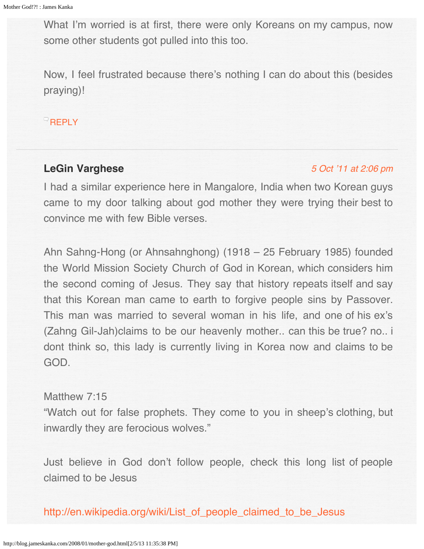<span id="page-131-0"></span>What I'm worried is at first, there were only Koreans on my campus, now some other students got pulled into this too.

Now, I feel frustrated because there's nothing I can do about this (besides praying)!

 $\overline{\phantom{a}}$ [REPLY](http://blog.jameskanka.com/2008/01/mother-god.html?replytocom=2886#respond)

# **LeGin Varghese**

### [5 Oct '11 at 2:06 pm](#page-132-0)

I had a similar experience here in Mangalore, India when two Korean guys came to my door talking about god mother they were trying their best to convince me with few Bible verses.

Ahn Sahng-Hong (or Ahnsahnghong) (1918 – 25 February 1985) founded the World Mission Society Church of God in Korean, which considers him the second coming of Jesus. They say that history repeats itself and say that this Korean man came to earth to forgive people sins by Passover. This man was married to several woman in his life, and one of his ex's (Zahng Gil-Jah)claims to be our heavenly mother.. can this be true? no.. i dont think so, this lady is currently living in Korea now and claims to be GOD.

### Matthew 7:15

"Watch out for false prophets. They come to you in sheep's clothing, but inwardly they are ferocious wolves."

Just believe in God don't follow people, check this long list of people claimed to be Jesus

[http://en.wikipedia.org/wiki/List\\_of\\_people\\_claimed\\_to\\_be\\_Jesus](http://en.wikipedia.org/wiki/List_of_people_claimed_to_be_Jesus)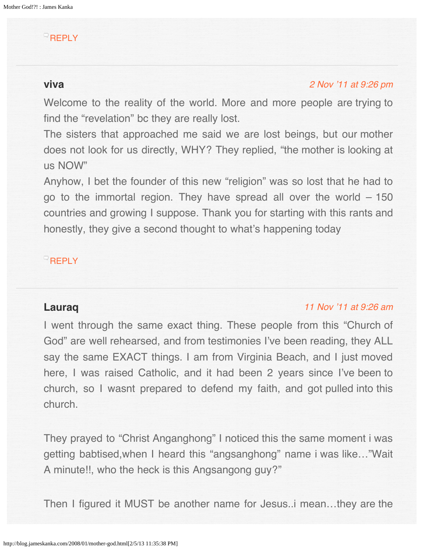# <span id="page-132-0"></span>**[REPLY](http://blog.jameskanka.com/2008/01/mother-god.html?replytocom=3161#respond)**

# <span id="page-132-1"></span>**viva**

### [2 Nov '11 at 9:26 pm](#page-132-1)

Welcome to the reality of the world. More and more people are trying to find the "revelation" bc they are really lost.

The sisters that approached me said we are lost beings, but our mother does not look for us directly, WHY? They replied, "the mother is looking at us NOW"

Anyhow, I bet the founder of this new "religion" was so lost that he had to go to the immortal region. They have spread all over the world – 150 countries and growing I suppose. Thank you for starting with this rants and honestly, they give a second thought to what's happening today

# **[REPLY](http://blog.jameskanka.com/2008/01/mother-god.html?replytocom=3595#respond)**

## **Lauraq**

### [11 Nov '11 at 9:26 am](#page-134-0)

I went through the same exact thing. These people from this "Church of God" are well rehearsed, and from testimonies I've been reading, they ALL say the same EXACT things. I am from Virginia Beach, and I just moved here, I was raised Catholic, and it had been 2 years since I've been to church, so I wasnt prepared to defend my faith, and got pulled into this church.

They prayed to "Christ Anganghong" I noticed this the same moment i was getting babtised,when I heard this "angsanghong" name i was like…"Wait A minute!!, who the heck is this Angsangong guy?"

Then I figured it MUST be another name for Jesus..i mean…they are the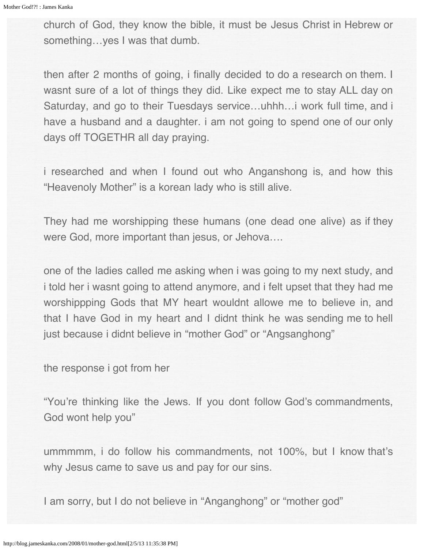church of God, they know the bible, it must be Jesus Christ in Hebrew or something...yes I was that dumb.

then after 2 months of going, i finally decided to do a research on them. I wasnt sure of a lot of things they did. Like expect me to stay ALL day on Saturday, and go to their Tuesdays service…uhhh…i work full time, and i have a husband and a daughter. i am not going to spend one of our only days off TOGETHR all day praying.

i researched and when I found out who Anganshong is, and how this "Heavenoly Mother" is a korean lady who is still alive.

They had me worshipping these humans (one dead one alive) as if they were God, more important than jesus, or Jehova….

one of the ladies called me asking when i was going to my next study, and i told her i wasnt going to attend anymore, and i felt upset that they had me worshippping Gods that MY heart wouldnt allowe me to believe in, and that I have God in my heart and I didnt think he was sending me to hell just because i didnt believe in "mother God" or "Angsanghong"

the response i got from her

"You're thinking like the Jews. If you dont follow God's commandments, God wont help you"

ummmmm, i do follow his commandments, not 100%, but I know that's why Jesus came to save us and pay for our sins.

I am sorry, but I do not believe in "Anganghong" or "mother god"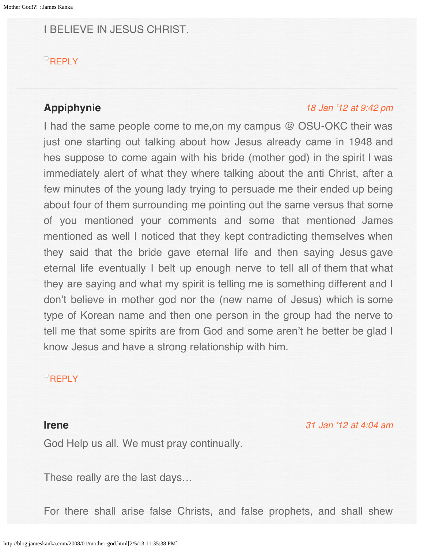<span id="page-134-0"></span>I BELIEVE IN JESUS CHRIST.

### **[REPLY](http://blog.jameskanka.com/2008/01/mother-god.html?replytocom=3824#respond)**

# <span id="page-134-1"></span>**Appiphynie**

### [18 Jan '12 at 9:42 pm](#page-134-1)

I had the same people come to me,on my campus @ OSU-OKC their was just one starting out talking about how Jesus already came in 1948 and hes suppose to come again with his bride (mother god) in the spirit I was immediately alert of what they where talking about the anti Christ, after a few minutes of the young lady trying to persuade me their ended up being about four of them surrounding me pointing out the same versus that some of you mentioned your comments and some that mentioned James mentioned as well I noticed that they kept contradicting themselves when they said that the bride gave eternal life and then saying Jesus gave eternal life eventually I belt up enough nerve to tell all of them that what they are saying and what my spirit is telling me is something different and I don't believe in mother god nor the (new name of Jesus) which is some type of Korean name and then one person in the group had the nerve to tell me that some spirits are from God and some aren't he better be glad I know Jesus and have a strong relationship with him.

# **[REPLY](http://blog.jameskanka.com/2008/01/mother-god.html?replytocom=8303#respond)**

### **Irene**

[31 Jan '12 at 4:04 am](#page-135-0)

God Help us all. We must pray continually.

These really are the last days…

For there shall arise false Christs, and false prophets, and shall shew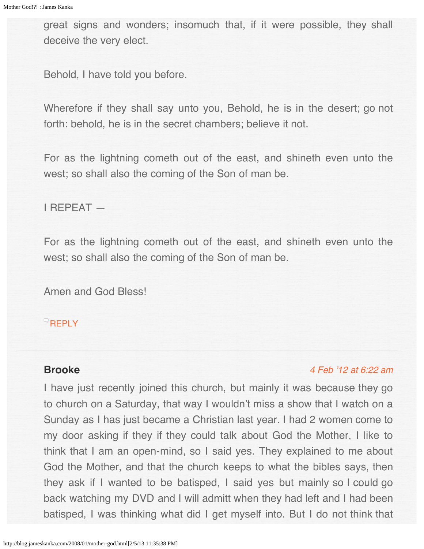<span id="page-135-0"></span>great signs and wonders; insomuch that, if it were possible, they shall deceive the very elect.

Behold, I have told you before.

Wherefore if they shall say unto you, Behold, he is in the desert; go not forth: behold, he is in the secret chambers; believe it not.

For as the lightning cometh out of the east, and shineth even unto the west; so shall also the coming of the Son of man be.

I REPEAT —

For as the lightning cometh out of the east, and shineth even unto the west; so shall also the coming of the Son of man be.

Amen and God Bless!

**[REPLY](http://blog.jameskanka.com/2008/01/mother-god.html?replytocom=8973#respond)** 

# **Brooke**

### [4 Feb '12 at 6:22 am](#page-137-0)

I have just recently joined this church, but mainly it was because they go to church on a Saturday, that way I wouldn't miss a show that I watch on a Sunday as I has just became a Christian last year. I had 2 women come to my door asking if they if they could talk about God the Mother, I like to think that I am an open-mind, so I said yes. They explained to me about God the Mother, and that the church keeps to what the bibles says, then they ask if I wanted to be batisped, I said yes but mainly so I could go back watching my DVD and I will admitt when they had left and I had been batisped, I was thinking what did I get myself into. But I do not think that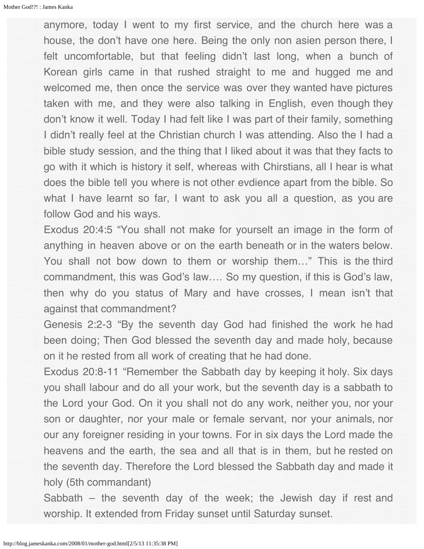anymore, today I went to my first service, and the church here was a house, the don't have one here. Being the only non asien person there, I felt uncomfortable, but that feeling didn't last long, when a bunch of Korean girls came in that rushed straight to me and hugged me and welcomed me, then once the service was over they wanted have pictures taken with me, and they were also talking in English, even though they don't know it well. Today I had felt like I was part of their family, something I didn't really feel at the Christian church I was attending. Also the I had a bible study session, and the thing that I liked about it was that they facts to go with it which is history it self, whereas with Chirstians, all I hear is what does the bible tell you where is not other evdience apart from the bible. So what I have learnt so far, I want to ask you all a question, as you are follow God and his ways.

Exodus 20:4:5 "You shall not make for yourselt an image in the form of anything in heaven above or on the earth beneath or in the waters below. You shall not bow down to them or worship them…" This is the third commandment, this was God's law…. So my question, if this is God's law, then why do you status of Mary and have crosses, I mean isn't that against that commandment?

Genesis 2:2-3 "By the seventh day God had finished the work he had been doing; Then God blessed the seventh day and made holy, because on it he rested from all work of creating that he had done.

Exodus 20:8-11 "Remember the Sabbath day by keeping it holy. Six days you shall labour and do all your work, but the seventh day is a sabbath to the Lord your God. On it you shall not do any work, neither you, nor your son or daughter, nor your male or female servant, nor your animals, nor our any foreigner residing in your towns. For in six days the Lord made the heavens and the earth, the sea and all that is in them, but he rested on the seventh day. Therefore the Lord blessed the Sabbath day and made it holy (5th commandant)

Sabbath – the seventh day of the week; the Jewish day if rest and worship. It extended from Friday sunset until Saturday sunset.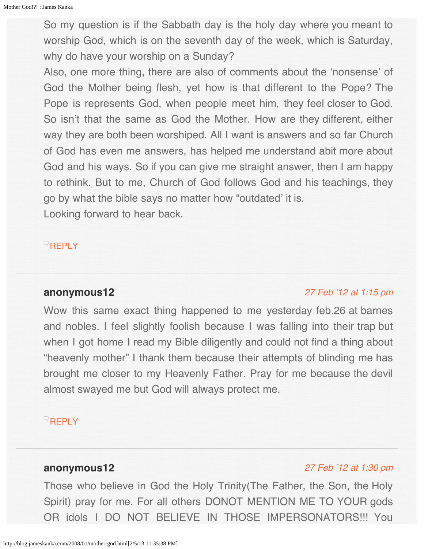<span id="page-137-0"></span>So my question is if the Sabbath day is the holy day where you meant to worship God, which is on the seventh day of the week, which is Saturday, why do have your worship on a Sunday?

Also, one more thing, there are also of comments about the 'nonsense' of God the Mother being flesh, yet how is that different to the Pope? The Pope is represents God, when people meet him, they feel closer to God. So isn't that the same as God the Mother. How are they different, either way they are both been worshiped. All I want is answers and so far Church of God has even me answers, has helped me understand abit more about God and his ways. So if you can give me straight answer, then I am happy to rethink. But to me, Church of God follows God and his teachings, they go by what the bible says no matter how "outdated' it is.

Looking forward to hear back.

**[REPLY](http://blog.jameskanka.com/2008/01/mother-god.html?replytocom=9084#respond)** 

## <span id="page-137-1"></span>**anonymous12**

#### [27 Feb '12 at 1:15 pm](#page-137-1)

Wow this same exact thing happened to me yesterday feb.26 at barnes and nobles. I feel slightly foolish because I was falling into their trap but when I got home I read my Bible diligently and could not find a thing about "heavenly mother" I thank them because their attempts of blinding me has brought me closer to my Heavenly Father. Pray for me because the devil almost swayed me but God will always protect me.

## **[REPLY](http://blog.jameskanka.com/2008/01/mother-god.html?replytocom=9641#respond)**

# **anonymous12**

#### [27 Feb '12 at 1:30 pm](#page-138-0)

Those who believe in God the Holy Trinity(The Father, the Son, the Holy Spirit) pray for me. For all others DONOT MENTION ME TO YOUR gods OR idols I DO NOT BELIEVE IN THOSE IMPERSONATORS!!! You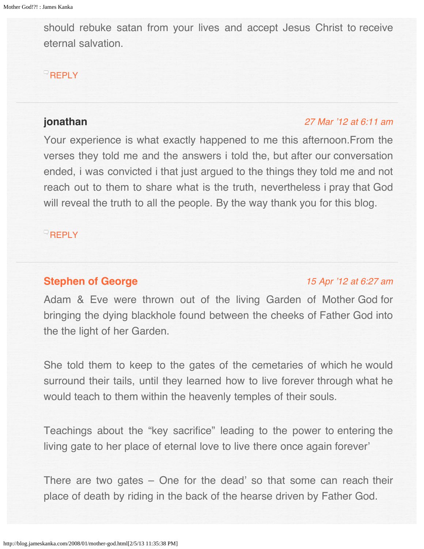<span id="page-138-0"></span>should rebuke satan from your lives and accept Jesus Christ to receive eternal salvation.

# $R$ [REPLY](http://blog.jameskanka.com/2008/01/mother-god.html?replytocom=9643#respond)

## <span id="page-138-1"></span>**jonathan**

### [27 Mar '12 at 6:11 am](#page-138-1)

Your experience is what exactly happened to me this afternoon.From the verses they told me and the answers i told the, but after our conversation ended, i was convicted i that just argued to the things they told me and not reach out to them to share what is the truth, nevertheless i pray that God will reveal the truth to all the people. By the way thank you for this blog.

# **[REPLY](http://blog.jameskanka.com/2008/01/mother-god.html?replytocom=10321#respond)**

# **[Stephen of George](http://home.comcast.net/~ifcj/Israel.html)**

# [15 Apr '12 at 6:27 am](#page-140-0)

Adam & Eve were thrown out of the living Garden of Mother God for bringing the dying blackhole found between the cheeks of Father God into the the light of her Garden.

She told them to keep to the gates of the cemetaries of which he would surround their tails, until they learned how to live forever through what he would teach to them within the heavenly temples of their souls.

Teachings about the "key sacrifice" leading to the power to entering the living gate to her place of eternal love to live there once again forever'

There are two gates – One for the dead' so that some can reach their place of death by riding in the back of the hearse driven by Father God.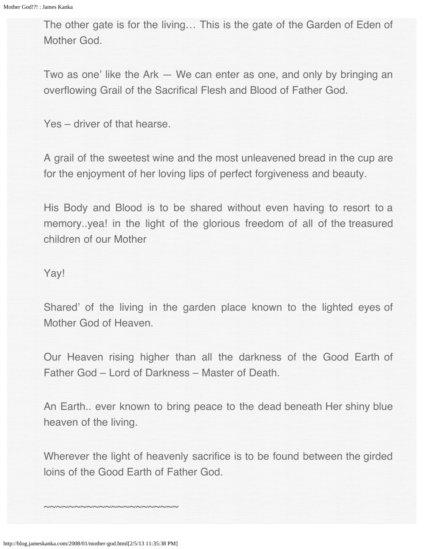The other gate is for the living… This is the gate of the Garden of Eden of Mother God.

Two as one' like the Ark — We can enter as one, and only by bringing an overflowing Grail of the Sacrifical Flesh and Blood of Father God.

Yes – driver of that hearse.

A grail of the sweetest wine and the most unleavened bread in the cup are for the enjoyment of her loving lips of perfect forgiveness and beauty.

His Body and Blood is to be shared without even having to resort to a memory..yea! in the light of the glorious freedom of all of the treasured children of our Mother

Yay!

Shared' of the living in the garden place known to the lighted eyes of Mother God of Heaven.

Our Heaven rising higher than all the darkness of the Good Earth of Father God – Lord of Darkness – Master of Death.

An Earth.. ever known to bring peace to the dead beneath Her shiny blue heaven of the living.

Wherever the light of heavenly sacrifice is to be found between the girded loins of the Good Earth of Father God.

~~~~~~~~~~~~~~~~~~~~~~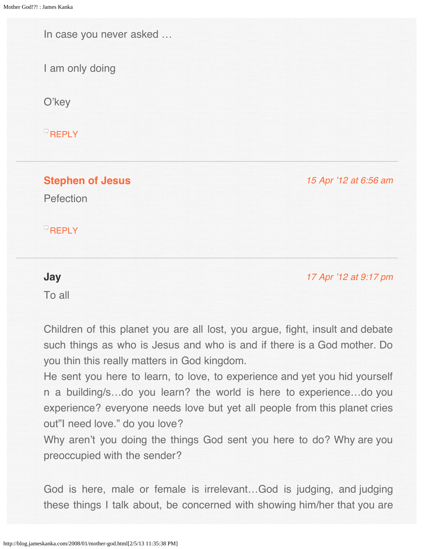<span id="page-140-0"></span>In case you never asked …

I am only doing

O'key

**[REPLY](http://blog.jameskanka.com/2008/01/mother-god.html?replytocom=11115#respond)** 

<span id="page-140-1"></span>**[Stephen of Jesus](http://home.comcast.net/~ifcj/Israel.html)**

[15 Apr '12 at 6:56 am](#page-140-1)

Pefection

**[REPLY](http://blog.jameskanka.com/2008/01/mother-god.html?replytocom=11117#respond)** 

### [17 Apr '12 at 9:17 pm](#page-141-0)

To all

**Jay**

Children of this planet you are all lost, you argue, fight, insult and debate such things as who is Jesus and who is and if there is a God mother. Do you thin this really matters in God kingdom.

He sent you here to learn, to love, to experience and yet you hid yourself n a building/s…do you learn? the world is here to experience…do you experience? everyone needs love but yet all people from this planet cries out"I need love." do you love?

Why aren't you doing the things God sent you here to do? Why are you preoccupied with the sender?

God is here, male or female is irrelevant…God is judging, and judging these things I talk about, be concerned with showing him/her that you are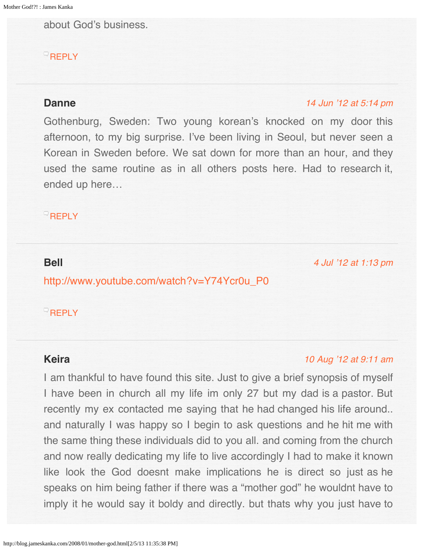<span id="page-141-0"></span>about God's business.

# **[REPLY](http://blog.jameskanka.com/2008/01/mother-god.html?replytocom=11221#respond)**

### <span id="page-141-1"></span>**Danne**

### [14 Jun '12 at 5:14 pm](#page-141-1)

Gothenburg, Sweden: Two young korean's knocked on my door this afternoon, to my big surprise. I've been living in Seoul, but never seen a Korean in Sweden before. We sat down for more than an hour, and they used the same routine as in all others posts here. Had to research it, ended up here…

### **[REPLY](http://blog.jameskanka.com/2008/01/mother-god.html?replytocom=13181#respond)**

### <span id="page-141-2"></span>**Bell**

[4 Jul '12 at 1:13 pm](#page-141-2)

[http://www.youtube.com/watch?v=Y74Ycr0u\\_P0](http://www.youtube.com/watch?v=Y74Ycr0u_P0)

### $\overline{\phantom{a}}$ [REPLY](http://blog.jameskanka.com/2008/01/mother-god.html?replytocom=14040#respond)

## **Keira**

#### [10 Aug '12 at 9:11 am](#page-142-0)

I am thankful to have found this site. Just to give a brief synopsis of myself I have been in church all my life im only 27 but my dad is a pastor. But recently my ex contacted me saying that he had changed his life around.. and naturally I was happy so I begin to ask questions and he hit me with the same thing these individuals did to you all. and coming from the church and now really dedicating my life to live accordingly I had to make it known like look the God doesnt make implications he is direct so just as he speaks on him being father if there was a "mother god" he wouldnt have to imply it he would say it boldy and directly. but thats why you just have to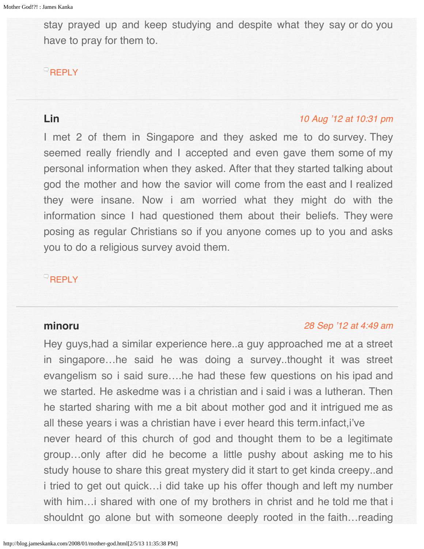<span id="page-142-0"></span>stay prayed up and keep studying and despite what they say or do you have to pray for them to.

### **[REPLY](http://blog.jameskanka.com/2008/01/mother-god.html?replytocom=15559#respond)**

# <span id="page-142-1"></span>**Lin**

### [10 Aug '12 at 10:31 pm](#page-142-1)

I met 2 of them in Singapore and they asked me to do survey. They seemed really friendly and I accepted and even gave them some of my personal information when they asked. After that they started talking about god the mother and how the savior will come from the east and I realized they were insane. Now i am worried what they might do with the information since I had questioned them about their beliefs. They were posing as regular Christians so if you anyone comes up to you and asks you to do a religious survey avoid them.

# $R$ [REPLY](http://blog.jameskanka.com/2008/01/mother-god.html?replytocom=15567#respond)

## **minoru**

### [28 Sep '12 at 4:49 am](#page-143-0)

Hey guys,had a similar experience here..a guy approached me at a street in singapore…he said he was doing a survey..thought it was street evangelism so i said sure….he had these few questions on his ipad and we started. He askedme was i a christian and i said i was a lutheran. Then he started sharing with me a bit about mother god and it intrigued me as all these years i was a christian have i ever heard this term.infact,i've never heard of this church of god and thought them to be a legitimate group…only after did he become a little pushy about asking me to his study house to share this great mystery did it start to get kinda creepy..and i tried to get out quick…i did take up his offer though and left my number with him... i shared with one of my brothers in christ and he told me that i shouldnt go alone but with someone deeply rooted in the faith…reading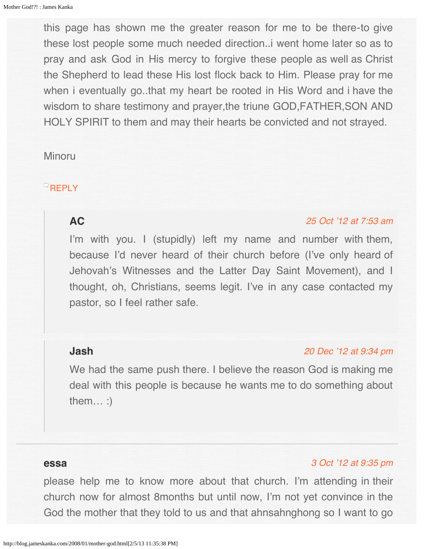<span id="page-143-0"></span>this page has shown me the greater reason for me to be there-to give these lost people some much needed direction..i went home later so as to pray and ask God in His mercy to forgive these people as well as Christ the Shepherd to lead these His lost flock back to Him. Please pray for me when i eventually go..that my heart be rooted in His Word and i have the wisdom to share testimony and prayer,the triune GOD,FATHER,SON AND HOLY SPIRIT to them and may their hearts be convicted and not strayed.

### Minoru

# <span id="page-143-1"></span> $\overline{\phantom{a}}$ [REPLY](http://blog.jameskanka.com/2008/01/mother-god.html?replytocom=16901#respond)

### **AC**

#### [25 Oct '12 at 7:53 am](#page-143-1)

I'm with you. I (stupidly) left my name and number with them, because I'd never heard of their church before (I've only heard of Jehovah's Witnesses and the Latter Day Saint Movement), and I thought, oh, Christians, seems legit. I've in any case contacted my pastor, so I feel rather safe.

### <span id="page-143-2"></span>**Jash**

#### [20 Dec '12 at 9:34 pm](#page-143-2)

We had the same push there. I believe the reason God is making me deal with this people is because he wants me to do something about them… :)

### **essa**

### [3 Oct '12 at 9:35 pm](#page-145-0)

please help me to know more about that church. I'm attending in their church now for almost 8months but until now, I'm not yet convince in the God the mother that they told to us and that ahnsahnghong so I want to go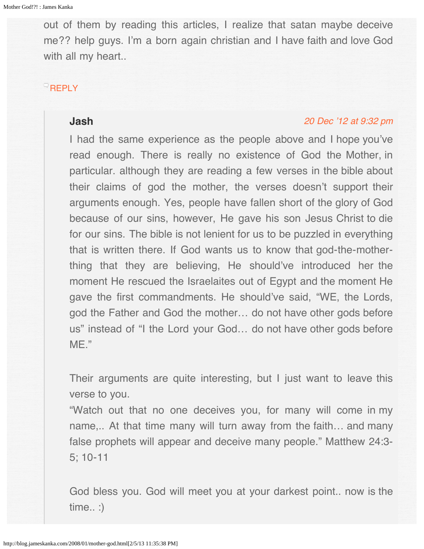out of them by reading this articles, I realize that satan maybe deceive me?? help guys. I'm a born again christian and I have faith and love God with all my heart...

# **[REPLY](http://blog.jameskanka.com/2008/01/mother-god.html?replytocom=17157#respond)**

#### **Jash**

#### [20 Dec '12 at 9:32 pm](#page-145-0)

I had the same experience as the people above and I hope you've read enough. There is really no existence of God the Mother, in particular. although they are reading a few verses in the bible about their claims of god the mother, the verses doesn't support their arguments enough. Yes, people have fallen short of the glory of God because of our sins, however, He gave his son Jesus Christ to die for our sins. The bible is not lenient for us to be puzzled in everything that is written there. If God wants us to know that god-the-motherthing that they are believing, He should've introduced her the moment He rescued the Israelaites out of Egypt and the moment He gave the first commandments. He should've said, "WE, the Lords, god the Father and God the mother… do not have other gods before us" instead of "I the Lord your God… do not have other gods before ME."

Their arguments are quite interesting, but I just want to leave this verse to you.

"Watch out that no one deceives you, for many will come in my name,.. At that time many will turn away from the faith… and many false prophets will appear and deceive many people." Matthew 24:3- 5; 10-11

God bless you. God will meet you at your darkest point.. now is the time.. :)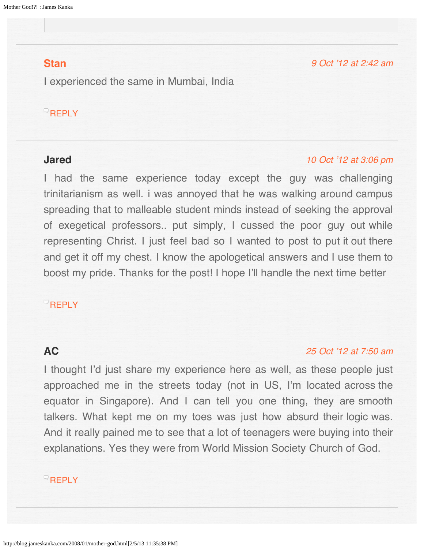## <span id="page-145-1"></span><span id="page-145-0"></span>**[Stan](https://www.facebook.com/stanmathewmumbai)**

[9 Oct '12 at 2:42 am](#page-145-1)

I experienced the same in Mumbai, India

# $^{\circ}$ [REPLY](http://blog.jameskanka.com/2008/01/mother-god.html?replytocom=17318#respond)

#### <span id="page-145-2"></span>**Jared**

#### [10 Oct '12 at 3:06 pm](#page-145-2)

I had the same experience today except the guy was challenging trinitarianism as well. i was annoyed that he was walking around campus spreading that to malleable student minds instead of seeking the approval of exegetical professors.. put simply, I cussed the poor guy out while representing Christ. I just feel bad so I wanted to post to put it out there and get it off my chest. I know the apologetical answers and I use them to boost my pride. Thanks for the post! I hope I'll handle the next time better

## **[REPLY](http://blog.jameskanka.com/2008/01/mother-god.html?replytocom=17355#respond)**

### <span id="page-145-3"></span>**AC**

#### [25 Oct '12 at 7:50 am](#page-145-3)

I thought I'd just share my experience here as well, as these people just approached me in the streets today (not in US, I'm located across the equator in Singapore). And I can tell you one thing, they are smooth talkers. What kept me on my toes was just how absurd their logic was. And it really pained me to see that a lot of teenagers were buying into their explanations. Yes they were from World Mission Society Church of God.

# **[REPLY](http://blog.jameskanka.com/2008/01/mother-god.html?replytocom=18161#respond)**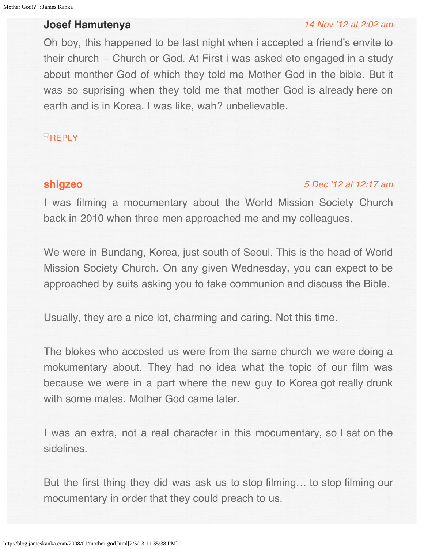## <span id="page-146-0"></span>**Josef Hamutenya**

#### [14 Nov '12 at 2:02 am](#page-146-0)

Oh boy, this happened to be last night when i accepted a friend's envite to their church – Church or God. At First i was asked eto engaged in a study about monther God of which they told me Mother God in the bible. But it was so suprising when they told me that mother God is already here on earth and is in Korea. I was like, wah? unbelievable.

 $R$ [REPLY](http://blog.jameskanka.com/2008/01/mother-god.html?replytocom=19425#respond)

# **[shigzeo](http://ohm-image.net/)**

#### [5 Dec '12 at 12:17 am](#page-147-0)

I was filming a mocumentary about the World Mission Society Church back in 2010 when three men approached me and my colleagues.

We were in Bundang, Korea, just south of Seoul. This is the head of World Mission Society Church. On any given Wednesday, you can expect to be approached by suits asking you to take communion and discuss the Bible.

Usually, they are a nice lot, charming and caring. Not this time.

The blokes who accosted us were from the same church we were doing a mokumentary about. They had no idea what the topic of our film was because we were in a part where the new guy to Korea got really drunk with some mates. Mother God came later.

I was an extra, not a real character in this mocumentary, so I sat on the sidelines.

But the first thing they did was ask us to stop filming… to stop filming our mocumentary in order that they could preach to us.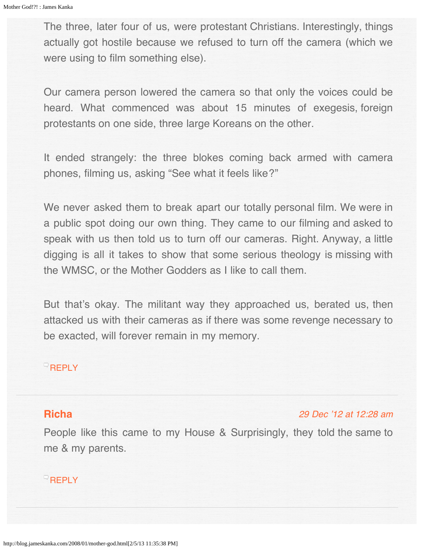<span id="page-147-0"></span>The three, later four of us, were protestant Christians. Interestingly, things actually got hostile because we refused to turn off the camera (which we were using to film something else).

Our camera person lowered the camera so that only the voices could be heard. What commenced was about 15 minutes of exegesis, foreign protestants on one side, three large Koreans on the other.

It ended strangely: the three blokes coming back armed with camera phones, filming us, asking "See what it feels like?"

We never asked them to break apart our totally personal film. We were in a public spot doing our own thing. They came to our filming and asked to speak with us then told us to turn off our cameras. Right. Anyway, a little digging is all it takes to show that some serious theology is missing with the WMSC, or the Mother Godders as I like to call them.

But that's okay. The militant way they approached us, berated us, then attacked us with their cameras as if there was some revenge necessary to be exacted, will forever remain in my memory.

### **[REPLY](http://blog.jameskanka.com/2008/01/mother-god.html?replytocom=20012#respond)**

### <span id="page-147-1"></span>**[Richa](http://www.youtube.com/user/TheRpt?feature=mhee)**

[29 Dec '12 at 12:28 am](#page-147-1)

People like this came to my House & Surprisingly, they told the same to me & my parents.

### **[REPLY](http://blog.jameskanka.com/2008/01/mother-god.html?replytocom=20633#respond)**